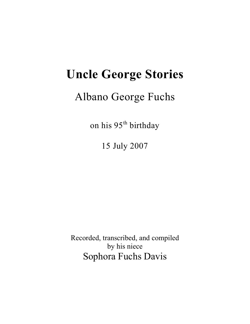# **Uncle George Stories**

## Albano George Fuchs

on his 95<sup>th</sup> birthday

15 July 2007

Recorded, transcribed, and compiled by his niece Sophora Fuchs Davis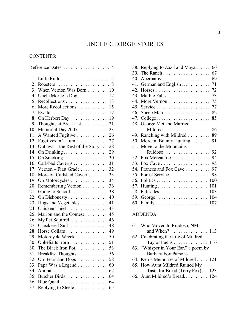### UNCLE GEORGE STORIES

#### CONTENTS:

|                  | Reference Dates                                          | $\overline{4}$ |
|------------------|----------------------------------------------------------|----------------|
| 1.               | Little Rudi 5                                            |                |
| 2.               |                                                          |                |
| 3.               | When Vernon Was Born 10                                  |                |
| $\overline{4}$ . | Uncle Moritz's Dog                                       | 12             |
| 5.               | Recollections                                            | 13             |
| 6.               | More Recollections                                       | 15             |
| 7.               | $Ewald \ldots \ldots \ldots \ldots \ldots \ldots \ldots$ | 17             |
| 8.               | On Herbert Day                                           | 19             |
| 9.               | Thoughts at Breakfast                                    | 21             |
| 10.              | Memorial Day 2007                                        | 23             |
| 11.              | A Wanted Fugitive  26                                    |                |
| 12.              | Fugitives in Tatum                                       | 27             |
| 13.              | Outlaws – the Rest of the Story 28                       |                |
| 14.              |                                                          | 29             |
| 15.              | On Smoking                                               | 30             |
| 16.              | Carlsbad Caverns                                         | 31             |
| 17.              |                                                          |                |
| 18.              | More on Carlsbad Caverns                                 | 33             |
| 19.              | On Motorcycles                                           | 34             |
| 20.              | Remembering Vernon                                       | 36             |
| 21.              | Going to School $\ldots \ldots \ldots \ldots$            | 38             |
| 22.              | On Dishonesty                                            | 40             |
| 23.              | Hugs and Vegetables                                      | 41             |
| 24.              | Chicken Thief                                            | 43             |
| 25.              | Marion and the Contest                                   | 45             |
| 26.              | My Pet Squirrel                                          | 46<br>48       |
| 27.<br>28.       | Checkered Suit<br>Horse Collars  49                      |                |
| 29.              | Motorcycle Wreck                                         | 50             |
| 30.              | Ophelia Is Born                                          | 51             |
| 30.              | The Black Iron Pot. $\ldots$                             | 53             |
| 31.              | Breakfast Thoughts                                       | 56             |
| 32.              | On Bears and Dogs                                        | 58             |
| 33.              | Papa Was a Legend                                        | 60             |
| 34.              | Animals                                                  | 62             |
| 35.              | Butcher Birds                                            | 64             |
|                  |                                                          | 64             |
|                  | 37. Replying to Steele                                   | 65             |
|                  |                                                          |                |

|     | 38. Replying to Zazil and Maya  66                           |     |
|-----|--------------------------------------------------------------|-----|
| 39. |                                                              | 67  |
|     | 40. Abernathy $\dots \dots \dots \dots \dots \dots \dots$ 69 |     |
|     | 41. German and English  71                                   |     |
| 42. |                                                              |     |
|     | 43. Marble Falls                                             | 73  |
|     | 44. More Vernon 75                                           |     |
|     |                                                              |     |
|     |                                                              | 82  |
| 47. | College                                                      | 85  |
|     | 48. George Met and Married                                   |     |
|     | Mildred                                                      | 86  |
|     | 49. Ranching with Mildred                                    | 89  |
|     | 50. More on Bounty Hunting.                                  | 91  |
|     | 51. Move to the Mountains -                                  |     |
|     |                                                              |     |
|     | 52. Fox Mercantile                                           | 94  |
|     |                                                              | 95  |
|     | 54. Frances and Fox Cave                                     | 97  |
|     | 55. Forest Service                                           | 98  |
|     |                                                              | 100 |
|     |                                                              | 101 |
| 58. | Palisades                                                    | 103 |
|     |                                                              | 104 |
|     |                                                              | 107 |
|     |                                                              |     |

#### ADDENDA

| and When? $\ldots \ldots \ldots \ldots 113$ |
|---------------------------------------------|
|                                             |
| Taylor Fuchs 116                            |
|                                             |
|                                             |
| 64. Ken's Memories of Mildred  121          |
|                                             |
| Taste for Bread (Terry Fox). . 123          |
| 66. Aunt Mildred's Bread 124                |
|                                             |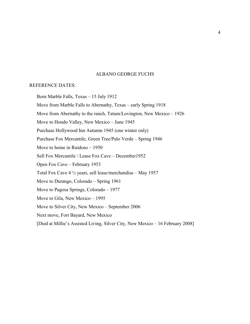#### ALBANO GEORGE FUCHS

#### REFERENCE DATES:

Born Marble Falls, Texas – 15 July 1912 Move from Marble Falls to Abernathy, Texas – early Spring 1918 Move from Abernathy to the ranch, Tatum/Lovington, New Mexico – 1926 Move to Hondo Valley, New Mexico – June 1945 Purchase Hollywood Inn Autumn 1945 (one winter only) Purchase Fox Mercantile, Green Tree/Palo Verde – Spring 1946 Move to home in Ruidoso – 1950 Sell Fox Mercantile / Lease Fox Cave – December1952 Open Fox Cave – February 1953 Total Fox Cave 4 ½ years, sell lease/merchandise – May 1957 Move to Durango, Colorado – Spring 1961 Move to Pagosa Springs, Colorado – 1977 Move to Gila, New Mexico – 1995 Move to Silver City, New Mexico – September 2006 Next move, Fort Bayard, New Mexico [Died at Millie's Assisted Living, Silver City, New Mexico – 16 February 2008]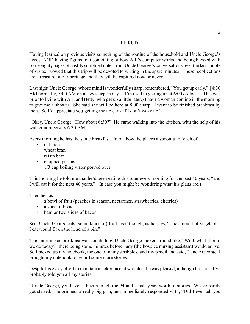#### LITTLE RUDI

Having learned on previous visits something of the routine of the household and Uncle George's needs, AND having figured out something of how A.J.'s computer works and being blessed with some eighty pages of hastily scribbled notes from Uncle George's conversations over the last couple of visits, I vowed that this trip will be devoted to writing in the spare minutes. These recollections are a treasure of our heritage and they will be captured now or never.

Last night Uncle George, whose mind is wonderfully sharp, remembered, "You get up early." [4:30 AM normally, 5:00 AM on a lazy sleep-in day] "I'm used to getting up at 6:00 o'clock. (This was prior to living with A.J. and Betty, who get up a little later.) I have a woman coming in the morning to give me a shower. She said she will be here at 8:00 sharp. I want to be finished breakfast by then. So I'd appreciate you getting me up early if I don't wake up."

"Okay, Uncle George. How about 6:30?" He came walking into the kitchen, with the help of his walker at precisely 6:30 AM.

Every morning he has the same breakfast. Into a bowl he places a spoonful of each of

- · oat bran
- wheat bran
- · raisin bran
- · chopped pecans
- · 1/3 cup boiling water poured over

This morning he told me that he'd been eating this bran every morning for the past 40 years, "and I will eat it for the next 40 years." (In case you might be wondering what his plans are.)

Then he has

- · a bowl of fruit (peaches in season, nectarines, strawberries, cherries)
- a slice of bread
- ham or two slices of bacon

See, Uncle George eats (some kinds of) fruit even though, as he says, "The amount of vegetables I eat would fit on the head of a pin."

This morning as breakfast was concluding, Uncle George looked around like, "Well, what should we do today?" there being some minutes before Judy (the hospice nursing assistant) would arrive. So I picked up my notebook, the one of many scribbles, and my pencil and said, "Uncle George, I brought my notebook to record some more stories."

Despite his every effort to maintain a poker face, it was clear he was pleased, although he said, "I've probably told you all my stories."

"Uncle George, you haven't begun to tell me 94-and-a-half years worth of stories. We've barely got started. He grinned, a really big grin, and immediately responded with, "Did I ever tell you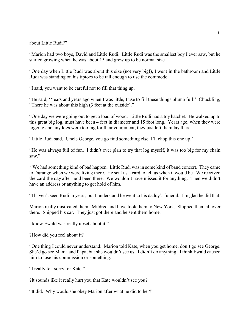about Little Rudi?"

"Marion had two boys, David and Little Rudi. Little Rudi was the smallest boy I ever saw, but he started growing when he was about 15 and grew up to be normal size.

"One day when Little Rudi was about this size (not very big!), I went in the bathroom and Little Rudi was standing on his tiptoes to be tall enough to use the commode.

"I said, you want to be careful not to fill that thing up.

"He said, 'Years and years ago when I was little, I use to fill these things plumb full!' Chuckling, "There he was about this high (3 feet at the outside)."

"One day we were going out to get a load of wood. Little Rudi had a toy hatchet. He walked up to this great big log, must have been 4 feet in diameter and 15 foot long. Years ago, when they were logging and any logs were too big for their equipment, they just left them lay there.

"Little Rudi said, 'Uncle George, you go find something else, I'll chop this one up.'

"He was always full of fun. I didn't ever plan to try that log myself, it was too big for my chain saw."

 "We had something kind of bad happen. Little Rudi was in some kind of band concert. They came to Durango when we were living there. He sent us a card to tell us when it would be. We received the card the day after he'd been there. We wouldn't have missed it for anything. Then we didn't have an address or anything to get hold of him.

"I haven't seen Rudi in years, but I understand he went to his daddy's funeral. I'm glad he did that.

Marion really mistreated them. Mildred and I, we took them to New York. Shipped them all over there. Shipped his car. They just got there and he sent them home.

I know Ewald was really upset about it."

?How did you feel about it?

"One thing I could never understand: Marion told Kate, when you get home, don't go see George. She'd go see Mama and Papa, but she wouldn't see us. I didn't do anything. I think Ewald caused him to lose his commission or something.

"I really felt sorry for Kate."

?It sounds like it really hurt you that Kate wouldn't see you?

"It did. Why would she obey Marion after what he did to her?"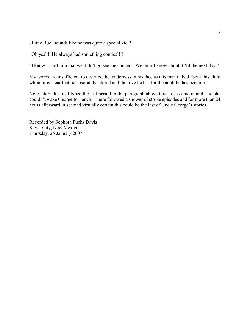?Little Rudi sounds like he was quite a special kid.?

"Oh yeah! He always had something comical!!!

"I know it hurt him that we didn't go see the concert. We didn't know about it 'til the next day."

My words are insufficient to describe the tenderness in his face as this man talked about this child whom it is clear that he absolutely adored and the love he has for the adult he has become.

Note later: Just as I typed the last period in the paragraph above this, Jose came in and said she couldn't wake George for lunch. There followed a shower of stroke episodes and for more than 24 hours afterward, it seemed virtually certain this could be the last of Uncle George's stories.

Recorded by Sophora Fuchs Davis Silver City, New Mexico Thursday, 25 January 2007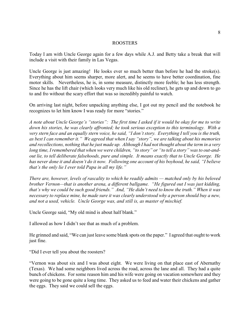#### ROOSTERS

Today I am with Uncle George again for a few days while A.J. and Betty take a break that will include a visit with their family in Las Vegas.

Uncle George is just amazing! He looks ever so much better than before he had the stroke(s). Everything about him seems sharper, more alert, and he seems to have better coordination, fine motor skills. Nevertheless, he is, in some measure, distinctly more feeble; he has less strength. Since he has the lift chair (which looks very much like his old recliner), he gets up and down to go to and fro without the scary effort that was so incredibly painful to watch.

On arriving last night, before unpacking anything else, I got out my pencil and the notebook he recognizes to let him know I was ready for more "stories."

*A note about Uncle George's "stories": The first time I asked if it would be okay for me to write down his stories, he was clearly affronted; he took serious exception to this terminology. With a very stern face and an equally stern voice, he said, "I don't story. Everything I tell you is the truth, as best I can remember it." We agreed that when I say "story", we are talking about his memories and recollections, nothing that he just made up. Although I had not thought about the term in a very long time, I remembered that when we were children, "to story" or "to tell a story" was to out-andout lie, to tell deliberate falsehoods, pure and simple. It means exactly that to Uncle George. He has never done it and doesn't do it now. Following one account of his boyhood, he said, "I believe that's the only lie I ever told Papa in all my life."*

*There are, however, levels of rascality to which he readily admits — matched only by his beloved brother Vernon—that is another arena, a different ballgame. "He figured out I was just kidding, that's why we could be such good friends." And, "He didn't need to know the truth." When it was necessary to replace mine, he made sure it was clearly understood why a person should buy a new, and not a used, vehicle. Uncle George was, and still is, as master of mischief.* 

Uncle George said, "My old mind is about half blank."

I allowed as how I didn't see that as much of a problem.

He grinned and said, "We can just leave some blank spots on the paper." I agreed that ought to work just fine.

"Did I ever tell you about the roosters?

"Vernon was about six and I was about eight. We were living on that place east of Abernathy (Texas). We had some neighbors lived across the road, across the lane and all. They had a quite bunch of chickens. For some reason him and his wife were going on vacation somewhere and they were going to be gone quite a long time. They asked us to feed and water their chickens and gather the eggs. They said we could sell the eggs.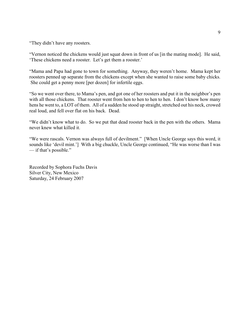"They didn't have any roosters.

"Vernon noticed the chickens would just squat down in front of us [in the mating mode]. He said, 'These chickens need a rooster. Let's get them a rooster.'

"Mama and Papa had gone to town for something. Anyway, they weren't home. Mama kept her roosters penned up separate from the chickens except when she wanted to raise some baby chicks. She could get a penny more [per dozen] for infertile eggs.

"So we went over there, to Mama's pen, and got one of her roosters and put it in the neighbor's pen with all those chickens. That rooster went from hen to hen to hen to hen. I don't know how many hens he went to, a LOT of them. All of a sudden he stood up straight, stretched out his neck, crowed real loud, and fell over flat on his back. Dead.

"We didn't know what to do. So we put that dead rooster back in the pen with the others. Mama never knew what killed it.

"We were rascals. Vernon was always full of devilment." [When Uncle George says this word, it sounds like 'devil mint.'] With a big chuckle, Uncle George continued, "He was worse than I was — if that's possible."

Recorded by Sophora Fuchs Davis Silver City, New Mexico Saturday, 24 February 2007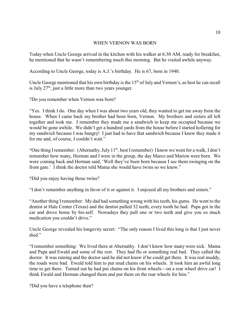#### WHEN VERNON WAS BORN

Today when Uncle George arrived in the kitchen with his walker at 6:30 AM, ready for breakfast, he mentioned that he wasn't remembering much this morning. But he visited awhile anyway.

According to Uncle George, today is A.J.'s birthday. He is 67, born in 1940.

Uncle George mentioned that his own birthday is the  $15<sup>th</sup>$  of July and Vernon's, as best he can recall is July  $27<sup>th</sup>$ , just a little more than two years younger.

?Do you remember when Vernon was born?

"Yes. I think I do. One day when I was about two years old, they wanted to get me away from the house. When I came back my brother had been born, Vernon. My brothers and sisters all left together and took me. I remember they made me a sandwich to keep me occupied because we would be gone awhile. We didn't get a hundred yards from the house before I started hollering for my sandwich because I was hungry! I just had to have that sandwich because I knew they made it for me and, of course, I couldn't wait."

"One thing I remember: (Abernathy, July  $11<sup>th</sup>$ , best I remember) I know we went for a walk, I don't remember how many, Herman and I were in the group, the day Marco and Marion were born. We were coming back and Herman said, 'Well they've been born because I see them swinging on the front gate.' I think the doctor told Mama she would have twins so we knew."

?Did you enjoy having those twins?

"I don't remember anything in favor of it or against it. I enjoyed all my brothers and sisters."

"Another thing I remember: My dad had something wrong with his teeth, his gums. He went to the dentist at Hale Center (Texas) and the dentist pulled 32 teeth, every tooth he had. Papa got in the car and drove home by his-self. Nowadays they pull one or two teeth and give you so much medication you couldn't drive."

Uncle George revealed his longevity secret: "The only reason I lived this long is that I just never died."

"I remember something: We lived there at Abernathy. I don't know how many were sick. Mama and Papa and Ewald and some of the rest. They had flu or something real bad. They called the doctor. It was raining and the doctor said he did not know if he could get there. It was real muddy, the roads were bad. Ewald told him to put mud chains on his wheels. It took him an awful long time to get there. Turned out he had put chains on his front wheels—on a rear wheel drive car! I think Ewald and Herman changed them and put them on the rear wheels for him."

?Did you have a telephone then?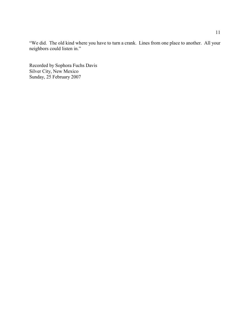"We did. The old kind where you have to turn a crank. Lines from one place to another. All your neighbors could listen in."

Recorded by Sophora Fuchs Davis Silver City, New Mexico Sunday, 25 February 2007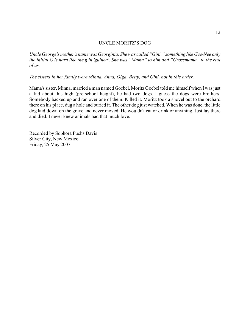#### UNCLE MORITZ'S DOG

*Uncle George's mother's name was Georginia. She was called "Gini," something like Gee-Nee only the initial G is hard like the g in 'guinea'. She was "Mama" to him and "Grossmama" to the rest of us.*

*The sisters in her family were Minna, Anna, Olga, Betty, and Gini, not in this order.* 

Mama's sister, Minna, married a man named Goebel. Moritz Goebel told me himself when I was just a kid about this high (pre-school height), he had two dogs. I guess the dogs were brothers. Somebody backed up and ran over one of them. Killed it. Moritz took a shovel out to the orchard there on his place, dug a hole and buried it. The other dog just watched. When he was done, the little dog laid down on the grave and never moved. He wouldn't eat or drink or anything. Just lay there and died. I never knew animals had that much love.

Recorded by Sophora Fuchs Davis Silver City, New Mexico Friday, 25 May 2007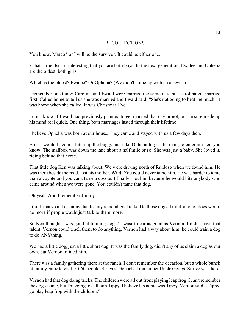#### RECOLLECTIONS

You know, Marco\* or I will be the survivor. It could be either one.

?That's true. Isn't it interesting that you are both boys. In the next generation, Ewalee and Ophelia are the oldest, both girls.

Which is the oldest? Ewalee? Or Ophelia? (We didn't come up with an answer.)

I remember one thing: Carolina and Ewald were married the same day, but Carolina got married first. Called home to tell us she was married and Ewald said, "She's not going to beat me much." I was home when she called. It was Christmas Eve.

I don't know if Ewald had previously planned to get married that day or not, but he sure made up his mind real quick. One thing, both marriages lasted through their lifetime.

I believe Ophelia was born at our house. They came and stayed with us a few days then.

Ernest would have me hitch up the buggy and take Ophelia to get the mail, to entertain her, you know. The mailbox was down the lane about a half mile or so. She was just a baby. She loved it, riding behind that horse.

That little dog Ken was talking about: We were driving north of Ruidoso when we found him. He was there beside the road, lost his mother. Wild. You could never tame him. He was harder to tame than a coyote and you can't tame a coyote. I finally shot him because he would bite anybody who came around when we were gone. You couldn't tame that dog.

Oh yeah. And I remember Jimmy.

I think that's kind of funny that Kenny remembers I talked to those dogs. I think a lot of dogs would do more if people would just talk to them more.

So Ken thought I was good at training dogs? I wasn't near as good as Vernon. I didn't have that talent. Vernon could teach them to do anything. Vernon had a way about him; he could train a dog to do ANYthing.

We had a little dog, just a little short dog. It was the family dog, didn't any of us claim a dog as our own, but Vernon trained him.

There was a family gathering there at the ranch. I don't remember the occasion, but a whole bunch of family came to visit, 50-60 people: Struves, Goebels. I remember Uncle George Struve was there.

Vernon had that dog doing tricks. The children were all out front playing leap frog. I can't remember the dog's name, but I'm going to call him Tippy. I believe his name was Tippy. Vernon said, "Tippy, go play leap frog with the children."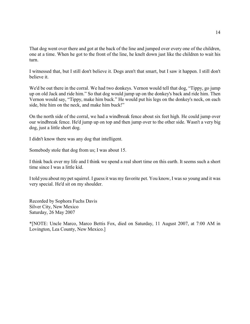That dog went over there and got at the back of the line and jumped over every one of the children, one at a time. When he got to the front of the line, he knelt down just like the children to wait his turn.

I witnessed that, but I still don't believe it. Dogs aren't that smart, but I saw it happen. I still don't believe it.

We'd be out there in the corral. We had two donkeys. Vernon would tell that dog, "Tippy, go jump up on old Jack and ride him." So that dog would jump up on the donkey's back and ride him. Then Vernon would say, "Tippy, make him buck." He would put his legs on the donkey's neck, on each side, bite him on the neck, and make him buck!"

On the north side of the corral, we had a windbreak fence about six feet high. He could jump over our windbreak fence. He'd jump up on top and then jump over to the other side. Wasn't a very big dog, just a little short dog.

I didn't know there was any dog that intelligent.

Somebody stole that dog from us; I was about 15.

I think back over my life and I think we spend a real short time on this earth. It seems such a short time since I was a little kid.

I told you about my pet squirrel. I guess it was my favorite pet. You know, I was so young and it was very special. He'd sit on my shoulder.

Recorded by Sophora Fuchs Davis Silver City, New Mexico Saturday, 26 May 2007

\*[NOTE: Uncle Marco, Marco Bettis Fox, died on Saturday, 11 August 2007, at 7:00 AM in Lovington, Lea County, New Mexico.]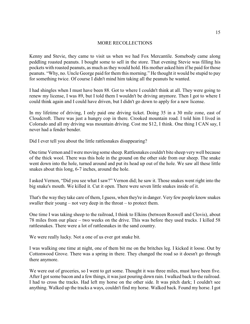#### MORE RECOLLECTIONS

Kenny and Stevie, they came to visit us when we had Fox Mercantile. Somebody came along peddling roasted peanuts. I bought some to sell in the store. That evening Stevie was filling his pockets with roasted peanuts, as much as they would hold. His mother asked him if he paid for those peanuts. "Why, no. Uncle George paid for them this morning." He thought it would be stupid to pay for something twice. Of course I didn't mind him taking all the peanuts he wanted.

I had shingles when I must have been 88. Got to where I couldn't think at all. They were going to renew my license, I was 89, but I told them I wouldn't be driving anymore. Then I got to where I could think again and I could have driven, but I didn't go down to apply for a new license.

In my lifetime of driving, I only paid one driving ticket. Doing 35 in a 30 mile zone, east of Cloudcroft. There was just a hungry cop in there. Crooked mountain road. I told him I lived in Colorado and all my driving was mountain driving. Cost me \$12, I think. One thing I CAN say, I never had a fender bender.

Did I ever tell you about the little rattlesnakes disappearing?

One time Vernon and I were moving some sheep. Rattlesnakes couldn't bite sheep verywell because of the thick wool. There was this hole in the ground on the other side from our sheep. The snake went down into the hole, turned around and put its head up out of the hole. We saw all these little snakes about this long, 6-7 inches, around the hole.

I asked Vernon, "Did you see what I saw?" Vernon did; he saw it. Those snakes went right into the big snake's mouth. We killed it. Cut it open. There were seven little snakes inside of it.

That's the way they take care of them, I guess, when they're in danger. Very few people know snakes swaller their young – not very deep in the throat – to protect them.

One time I was taking sheep to the railroad, I think to Elkins (between Roswell and Clovis), about 78 miles from our place – two weeks on the drive. This was before they used trucks. I killed 58 rattlesnakes. There were a lot of rattlesnakes in the sand country.

We were really lucky. Not a one of us ever got snake bit.

I was walking one time at night, one of them bit me on the britches leg. I kicked it loose. Out by Cottonwood Grove. There was a spring in there. They changed the road so it doesn't go through there anymore.

We were out of groceries, so I went to get some. Thought it was three miles, must have been five. After I got some bacon and a few things, it was just pouring down rain. I walked back to the railroad. I had to cross the tracks. Had left my horse on the other side. It was pitch dark; I couldn't see anything. Walked up the tracks a ways, couldn't find my horse. Walked back. Found my horse. I got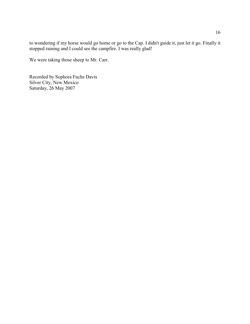to wondering if my horse would go home or go to the Cap. I didn't guide it, just let it go. Finally it stopped raining and I could see the campfire. I was really glad!

We were taking those sheep to Mr. Carr.

Recorded by Sophora Fuchs Davis Silver City, New Mexico Saturday, 26 May 2007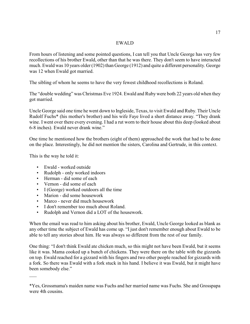#### EWALD

From hours of listening and some pointed questions, I can tell you that Uncle George has very few recollections of his brother Ewald, other than that he was there. They don't seem to have interacted much. Ewald was 10 years older (1902) than George (1912) and quite a different personality. George was 12 when Ewald got married.

The sibling of whom he seems to have the very fewest childhood recollections is Roland.

The "double wedding" was Christmas Eve 1924. Ewald and Ruby were both 22 years old when they got married.

Uncle George said one time he went down to Ingleside, Texas, to visit Ewald and Ruby. Their Uncle Rudolf Fuchs\* (his mother's brother) and his wife Faye lived a short distance away. "They drank wine. I went over there every evening. I had a rut worn to their house about this deep (looked about 6-8 inches). Ewald never drank wine."

One time he mentioned how the brothers (eight of them) approached the work that had to be done on the place. Interestingly, he did not mention the sisters, Carolina and Gertrude, in this context.

This is the way he told it:

 $\overline{\phantom{a}}$ 

- Ewald worked outside
- Rudolph only worked indoors
- Herman did some of each
- Vernon did some of each
- I (George) worked outdoors all the time
- Marion did some housework
- Marco never did much housework
- I don't remember too much about Roland.
- Rudolph and Vernon did a LOT of the housework.

When the email was read to him asking about his brother, Ewald, Uncle George looked as blank as any other time the subject of Ewald has come up. "I just don't remember enough about Ewald to be able to tell any stories about him. He was always so different from the rest of our family.

One thing: "I don't think Ewald ate chicken much, so this might not have been Ewald, but it seems like it was. Mama cooked up a bunch of chickens. They were there on the table with the gizzards on top. Ewald reached for a gizzard with his fingers and two other people reached for gizzards with a fork. So there was Ewald with a fork stuck in his hand. I believe it was Ewald, but it might have been somebody else."

<sup>\*</sup>Yes, Grossmama's maiden name was Fuchs and her married name was Fuchs. She and Grosspapa were 4th cousins.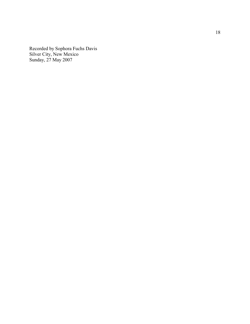Re corded b y Sophora Fuchs Davis Silver City, New Me xico Sunday, 27 May 2007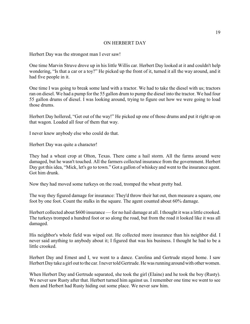#### ON HERBERT DAY

Herbert Day was the strongest man I ever saw!

One time Marvin Struve drove up in his little Willis car. Herbert Day looked at it and couldn't help wondering, "Is that a car or a toy?" He picked up the front of it, turned it all the way around, and it had five people in it.

One time I was going to break some land with a tractor. We had to take the diesel with us; tractors ran on diesel. We had a pump for the 55 gallon drum to pump the diesel into the tractor. We had four 55 gallon drums of diesel. I was looking around, trying to figure out how we were going to load those drums.

Herbert Day hollered, "Get out of the way!" He picked up one of those drums and put it right up on that wagon. Loaded all four of them that way.

I never knew anybody else who could do that.

Herbert Day was quite a character!

They had a wheat crop at Olton, Texas. There came a hail storm. All the farms around were damaged, but he wasn't touched. All the farmers collected insurance from the government. Herbert Day got this idea, "Mick, let's go to town." Got a gallon of whiskey and went to the insurance agent. Got him drunk.

Now they had moved some turkeys on the road, tromped the wheat pretty bad.

The way they figured damage for insurance: They'd throw their hat out, then measure a square, one foot by one foot. Count the stalks in the square. The agent counted about 60% damage.

Herbert collected about \$600 insurance — for no hail damage at all. I thought it was a little crooked. The turkeys tromped a hundred foot or so along the road, but from the road it looked like it was all damaged.

His neighbor's whole field was wiped out. He collected more insurance than his neighbor did. I never said anything to anybody about it; I figured that was his business. I thought he had to be a little crooked.

Herbert Day and Ernest and I, we went to a dance. Carolina and Gertrude stayed home. I saw Herbert Day take a girl out to the car. I never told Gertrude. He was running around with other women.

When Herbert Day and Gertrude separated, she took the girl (Elaine) and he took the boy (Rusty). We never saw Rusty after that. Herbert turned him against us. I remember one time we went to see them and Herbert had Rusty hiding out some place. We never saw him.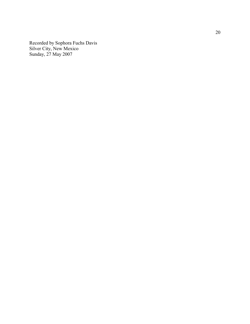Re corded b y Sophora Fuchs Davis Silver City, New Me xico Sunday, 27 May 2007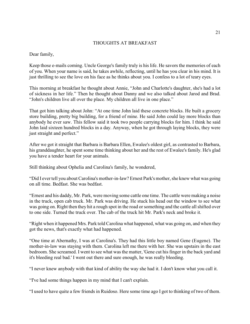#### THOUGHTS AT BREAKFAST

Dear family,

Keep those e-mails coming. Uncle George's family truly is his life. He savors the memories of each of you. When your name is said, he takes awhile, reflecting, until he has you clear in his mind. It is just thrilling to see the love on his face as he thinks about you. I confess to a lot of teary eyes.

This morning at breakfast he thought about Annie, "John and Charlotte's daughter, she's had a lot of sickness in her life." Then he thought about Danny and we also talked about Jarod and Brad. "John's children live all over the place. My children all live in one place."

That got him talking about John: "At one time John laid these concrete blocks. He built a grocery store building, pretty big building, for a friend of mine. He said John could lay more blocks than anybody he ever saw. This fellow said it took two people carrying blocks for him. I think he said John laid sixteen hundred blocks in a day. Anyway, when he got through laying blocks, they were just straight and perfect."

After we got it straight that Barbara is Barbara Ellen, Ewalee's oldest girl, as contrasted to Barbara, his granddaughter, he spent some time thinking about her and the rest of Ewalee's family. He's glad you have a tender heart for your animals.

Still thinking about Ophelia and Carolina's family, he wondered,

"Did I ever tell you about Carolina's mother-in-law? Ernest Park's mother, she knew what was going on all time. Bedfast. She was bedfast.

"Ernest and his daddy, Mr. Park, were moving some cattle one time. The cattle were making a noise in the truck, open cab truck. Mr. Park was driving. He stuck his head out the window to see what was going on. Right then they hit a rough spot in the road or something and the cattle all shifted over to one side. Turned the truck over. The cab of the truck hit Mr. Park's neck and broke it.

"Right when it happened Mrs. Park told Carolina what happened, what was going on, and when they got the news, that's exactly what had happened.

"One time at Abernathy, I was at Carolina's. They had this little boy named Gene (Eugene). The mother-in-law was staying with them. Carolina left me there with her. She was upstairs in the east bedroom. She screamed. I went to see what was the matter, 'Gene cut his finger in the back yard and it's bleeding real bad.' I went out there and sure enough, he was really bleeding.

"I never knew anybody with that kind of ability the way she had it. I don't know what you call it.

"I've had some things happen in my mind that I can't explain.

"I used to have quite a few friends in Ruidoso. Here some time ago I got to thinking of two of them.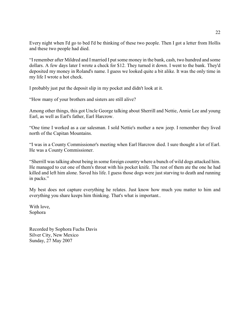Every night when I'd go to bed I'd be thinking of these two people. Then I got a letter from Hollis and these two people had died.

"I remember after Mildred and I married I put some money in the bank, cash, two hundred and some dollars. A few days later I wrote a check for \$12. They turned it down. I went to the bank. They'd deposited my money in Roland's name. I guess we looked quite a bit alike. It was the only time in my life I wrote a hot check.

I probably just put the deposit slip in my pocket and didn't look at it.

"How many of your brothers and sisters are still alive?

Among other things, this got Uncle George talking about Sherrill and Nettie, Annie Lee and young Earl, as well as Earl's father, Earl Harcrow.

"One time I worked as a car salesman. I sold Nettie's mother a new jeep. I remember they lived north of the Capitan Mountains.

"I was in a County Commissioner's meeting when Earl Harcrow died. I sure thought a lot of Earl. He was a County Commissioner.

"Sherrill was talking about being in some foreign country where a bunch of wild dogs attacked him. He managed to cut one of them's throat with his pocket knife. The rest of them ate the one he had killed and left him alone. Saved his life. I guess those dogs were just starving to death and running in packs."

My best does not capture everything he relates. Just know how much you matter to him and everything you share keeps him thinking. That's what is important..

With love, Sophora

Recorded by Sophora Fuchs Davis Silver City, New Mexico Sunday, 27 May 2007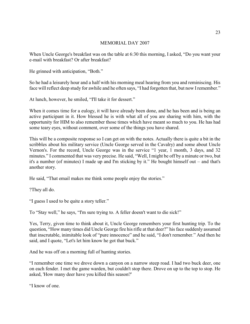#### MEMORIAL DAY 2007

When Uncle George's breakfast was on the table at 6:30 this morning, I asked, "Do you want your e-mail with breakfast? Or after breakfast?

He grinned with anticipation, "Both."

So he had a leisurely hour and a half with his morning meal hearing from you and reminiscing. His face will reflect deep study for awhile and he often says, "I had forgotten that, but now I remember."

At lunch, however, he smiled, "I'll take it for dessert."

When it comes time for a eulogy, it will have already been done, and he has been and is being an active participant in it. How blessed he is with what all of you are sharing with him, with the opportunity for HIM to also remember those times which have meant so much to you. He has had some teary eyes, without comment, over some of the things you have shared.

This will be a composite response so I can get on with the notes. Actually there is quite a bit in the scribbles about his military service (Uncle George served in the Cavalry) and some about Uncle Vernon's. For the record, Uncle George was in the service "1 year, 1 month, 3 days, and 32 minutes." I commented that was very precise. He said, "Well, I might be off by a minute or two, but it's a number (of minutes) I made up and I'm sticking by it." He bought himself out – and that's another story.

He said, "That email makes me think some people enjoy the stories."

?They all do.

"I guess I used to be quite a story teller."

To "Stay well," he says, "I'm sure trying to. A feller doesn't want to die sick!"

Yes, Terry, given time to think about it, Uncle George remembers your first hunting trip. To the question, "How many times did Uncle George fire his rifle at that deer?" his face suddenly assumed that inscrutable, inimitable look of "pure innocence" and he said, "I don't remember." And then he said, and I quote, "Let's let him know he got that buck."

And he was off on a morning full of hunting stories.

"I remember one time we drove down a canyon on a narrow steep road. I had two buck deer, one on each fender. I met the game warden, but couldn't stop there. Drove on up to the top to stop. He asked, 'How many deer have you killed this season?'

"I know of one.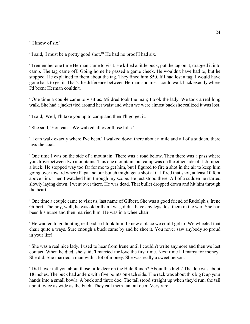"'I know of six.'

"I said, 'I must be a pretty good shot."' He had no proof I had six.

"I remember one time Herman came to visit. He killed a little buck, put the tag on it, dragged it into camp. The tag came off. Going home he passed a game check. He wouldn't have had to, but he stopped. He explained to them about the tag. They fined him \$50. If I had lost a tag, I would have gone back to get it. That's the difference between Herman and me: I could walk back exactly where I'd been; Herman couldn't.

"One time a couple came to visit us. Mildred took the man; I took the lady. We took a real long walk. She had a jacket tied around her waist and when we were almost back she realized it was lost.

"I said, 'Well, I'll take you up to camp and then I'll go get it.

"She said, 'You can't. We walked all over those hills.'

"'I can walk exactly where I've been.' I walked down there about a mile and all of a sudden, there lays the coat.

"One time I was on the side of a mountain. There was a road below. Then there was a pass where you drove between two mountains. This one mountain, our camp was on the other side of it. Jumped a buck. He stopped way too far for me to get him, but I figured to fire a shot in the air to keep him going over toward where Papa and our bunch might get a shot at it. I fired that shot, at least 10 foot above him. Then I watched him through my scope. He just stood there. All of a sudden he started slowly laying down. I went over there. He was dead. That bullet dropped down and hit him through the heart.

"One time a couple came to visit us, last name of Gilbert. She was a good friend of Rudolph's, Irene Gilbert. The boy, well, he was older than I was, didn't have any legs, lost them in the war. She had been his nurse and then married him. He was in a wheelchair.

"He wanted to go hunting real bad so I took him. I knew a place we could get to. We wheeled that chair quite a ways. Sure enough a buck came by and he shot it. You never saw anybody so proud in your life!

"She was a real nice lady. I used to hear from Irene until I couldn't write anymore and then we lost contact. When he died, she said, 'I married for love the first time. Next time I'll marry for money.' She did. She married a man with a lot of money. She was really a sweet person.

"Did I ever tell you about those little deer on the Hale Ranch? About this high? The doe was about 18 inches. The buck had antlers with five points on each side. The rack was about this big (cup your hands into a small bowl). A buck and three doe. The tail stood straight up when they'd run; the tail about twice as wide as the buck. They call them fan tail deer. Very rare.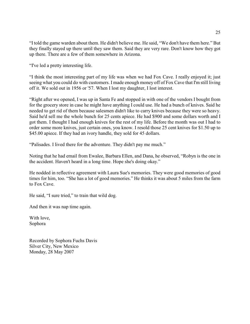"I told the game warden about them. He didn't believe me. He said, "We don't have them here." But they finally stayed up there until they saw them. Said they are very rare. Don't know how they got up there. There are a few of them somewhere in Arizona.

"I've led a pretty interesting life.

"I think the most interesting part of my life was when we had Fox Cave. I really enjoyed it; just seeing what you could do with customers. I made enough money off of Fox Cave that I'm still living off it. We sold out in 1956 or '57. When I lost my daughter, I lost interest.

"Right after we opened, I was up in Santa Fe and stopped in with one of the vendors I bought from for the grocery store in case he might have anything I could use. He had a bunch of knives. Said he needed to get rid of them because salesmen didn't like to carry knives because they were so heavy. Said he'd sell me the whole bunch for 25 cents apiece. He had \$900 and some dollars worth and I got them. I thought I had enough knives for the rest of my life. Before the month was out I had to order some more knives, just certain ones, you know. I resold those 25 cent knives for \$1.50 up to \$45.00 apiece. If they had an ivory handle, they sold for 45 dollars.

"Palisades. I lived there for the adventure. They didn't pay me much."

Noting that he had email from Ewalee, Barbara Ellen, and Dana, he observed, "Robyn is the one in the accident. Haven't heard in a long time. Hope she's doing okay."

He nodded in reflective agreement with Laura Sue's memories. They were good memories of good times for him, too. "She has a lot of good memories." He thinks it was about 5 miles from the farm to Fox Cave.

He said, "I sure tried," to train that wild dog.

And then it was nap time again.

With love, Sophora

Recorded by Sophora Fuchs Davis Silver City, New Mexico Monday, 28 May 2007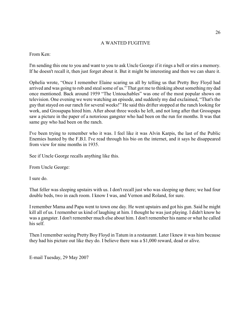#### A WANTED FUGITIVE

#### From Ken:

I'm sending this one to you and want to you to ask Uncle George if it rings a bell or stirs a memory. If he doesn't recall it, then just forget about it. But it might be interesting and then we can share it.

Ophelia wrote, "Once I remember Elaine scaring us all by telling us that Pretty Boy Floyd had arrived and was going to rob and steal some of us." That got me to thinking about something my dad once mentioned. Back around 1959 "The Untouchables" was one of the most popular shows on television. One evening we were watching an episode, and suddenly my dad exclaimed, "That's the guy that stayed on our ranch for several weeks!" He said this drifter stopped at the ranch looking for work, and Grosspapa hired him. After about three weeks he left, and not long after that Grosspapa saw a picture in the paper of a notorious gangster who had been on the run for months. It was that same guy who had been on the ranch.

I've been trying to remember who it was. I feel like it was Alvin Karpis, the last of the Public Enemies hunted by the F.B.I. I've read through his bio on the internet, and it says he disappeared from view for nine months in 1935.

See if Uncle George recalls anything like this.

From Uncle George:

I sure do.

That feller was sleeping upstairs with us. I don't recall just who was sleeping up there; we had four double beds, two in each room. I know I was, and Vernon and Roland, for sure.

I remember Mama and Papa went to town one day. He went upstairs and got his gun. Said he might kill all of us. I remember us kind of laughing at him. I thought he was just playing. I didn't know he was a gangster. I don't remember much else about him. I don't remember his name or what he called his self.

Then I remember seeing Pretty Boy Floyd in Tatum in a restaurant. Later I knew it was him because they had his picture out like they do. I believe there was a \$1,000 reward, dead or alive.

E-mail Tuesday, 29 May 2007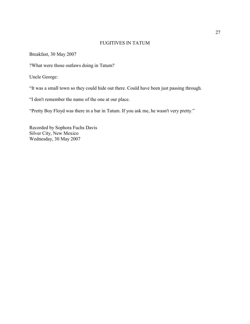#### FUGITIVES IN TATUM

Breakfast, 30 May 2007

?What were those outlaws doing in Tatum?

Uncle George:

"It was a small town so they could hide out there. Could have been just passing through.

"I don't remember the name of the one at our place.

"Pretty Boy Floyd was there in a bar in Tatum. If you ask me, he wasn't very pretty."

Recorded by Sophora Fuchs Davis Silver City, New Mexico Wednesday, 30 May 2007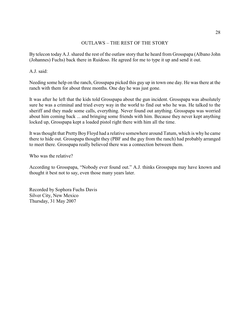#### OUTLAWS – THE REST OF THE STORY

By telecon today A.J. shared the rest of the outlaw story that he heard from Grosspapa (Albano John (Johannes) Fuchs) back there in Ruidoso. He agreed for me to type it up and send it out.

A.J. said:

Needing some help on the ranch, Grosspapa picked this guy up in town one day. He was there at the ranch with them for about three months. One day he was just gone.

It was after he left that the kids told Grosspapa about the gun incident. Grosspapa was absolutely sure he was a criminal and tried every way in the world to find out who he was. He talked to the sheriff and they made some calls, everything. Never found out anything. Grosspapa was worried about him coming back ... and bringing some friends with him. Because they never kept anything locked up, Grosspapa kept a loaded pistol right there with him all the time.

It was thought that Pretty Boy Floyd had a relative somewhere around Tatum, which is why he came there to hide out. Grosspapa thought they (PBF and the guy from the ranch) had probably arranged to meet there. Grosspapa really believed there was a connection between them.

Who was the relative?

According to Grosspapa, "Nobody ever found out." A.J. thinks Grosspapa may have known and thought it best not to say, even those many years later.

Recorded by Sophora Fuchs Davis Silver City, New Mexico Thursday, 31 May 2007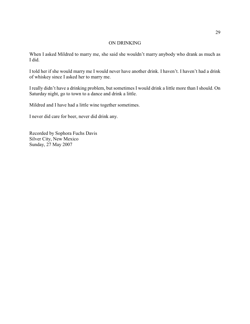#### ON DRINKING

When I asked Mildred to marry me, she said she wouldn't marry anybody who drank as much as I did.

I told her if she would marry me I would never have another drink. I haven't. I haven't had a drink of whiskey since I asked her to marry me.

I really didn't have a drinking problem, but sometimes I would drink a little more than I should. On Saturday night, go to town to a dance and drink a little.

Mildred and I have had a little wine together sometimes.

I never did care for beer, never did drink any.

Recorded by Sophora Fuchs Davis Silver City, New Mexico Sunday, 27 May 2007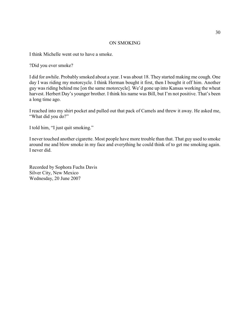#### ON SMOKING

I think Michelle went out to have a smoke.

?Did you ever smoke?

I did for awhile. Probably smoked about a year. I was about 18. They started making me cough. One day I was riding my motorcycle. I think Herman bought it first, then I bought it off him. Another guy was riding behind me [on the same motorcycle]. We'd gone up into Kansas working the wheat harvest. Herbert Day's younger brother. I think his name was Bill, but I'm not positive. That's been a long time ago.

I reached into my shirt pocket and pulled out that pack of Camels and threw it away. He asked me, "What did you do?"

I told him, "I just quit smoking."

I never touched another cigarette. Most people have more trouble than that. That guy used to smoke around me and blow smoke in my face and everything he could think of to get me smoking again. I never did.

Recorded by Sophora Fuchs Davis Silver City, New Mexico Wednesday, 20 June 2007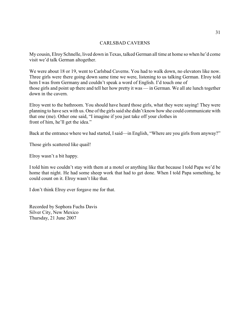#### CARLSBAD CAVERNS

My cousin, Elroy Schnelle, lived down in Texas, talked German all time at home so when he'd come visit we'd talk German altogether.

We were about 18 or 19, went to Carlsbad Caverns. You had to walk down, no elevators like now. Three girls were there going down same time we were, listening to us talking German. Elroy told hem I was from Germany and couldn't speak a word of English. I'd touch one of those girls and point up there and tell her how pretty it was — in German. We all ate lunch together down in the cavern.

Elroy went to the bathroom. You should have heard those girls, what they were saying! They were planning to have sex with us. One ofthe girls said she didn't know how she could communicate with that one (me). Other one said, "I imagine if you just take off your clothes in front of him, he'll get the idea."

Back at the entrance where we had started, I said—in English, "Where are you girls from anyway?"

Those girls scattered like quail!

Elroy wasn't a bit happy.

I told him we couldn't stay with them at a motel or anything like that because I told Papa we'd be home that night. He had some sheep work that had to get done. When I told Papa something, he could count on it. Elroy wasn't like that.

I don't think Elroy ever forgave me for that.

Recorded by Sophora Fuchs Davis Silver City, New Mexico Thursday, 21 June 2007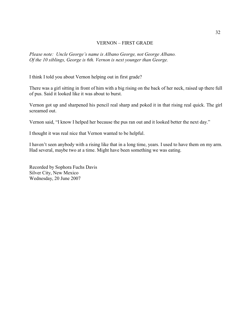#### VERNON – FIRST GRADE

*Please note: Uncle George's name is Albano George, not George Albano. Of the 10 siblings, George is 6th. Vernon is next younger than George.*

I think I told you about Vernon helping out in first grade?

There was a girl sitting in front of him with a big rising on the back of her neck, raised up there full of pus. Said it looked like it was about to burst.

Vernon got up and sharpened his pencil real sharp and poked it in that rising real quick. The girl screamed out.

Vernon said, "I know I helped her because the pus ran out and it looked better the next day."

I thought it was real nice that Vernon wanted to be helpful.

I haven't seen anybody with a rising like that in a long time, years. I used to have them on my arm. Had several, maybe two at a time. Might have been something we was eating.

Recorded by Sophora Fuchs Davis Silver City, New Mexico Wednesday, 20 June 2007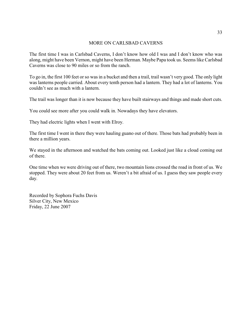#### MORE ON CARLSBAD CAVERNS

The first time I was in Carlsbad Caverns, I don't know how old I was and I don't know who was along, might have been Vernon, might have been Herman. Maybe Papa took us. Seems like Carlsbad Caverns was close to 90 miles or so from the ranch.

To go in, the first 100 feet or so was in a bucket and then a trail, trail wasn't very good. The only light was lanterns people carried. About every tenth person had a lantern. They had a lot of lanterns. You couldn't see as much with a lantern.

The trail was longer than it is now because they have built stairways and things and made short cuts.

You could see more after you could walk in. Nowadays they have elevators.

They had electric lights when I went with Elroy.

The first time I went in there they were hauling guano out of there. Those bats had probably been in there a million years.

We stayed in the afternoon and watched the bats coming out. Looked just like a cloud coming out of there.

One time when we were driving out of there, two mountain lions crossed the road in front of us. We stopped. They were about 20 feet from us. Weren't a bit afraid of us. I guess they saw people every day.

Recorded by Sophora Fuchs Davis Silver City, New Mexico Friday, 22 June 2007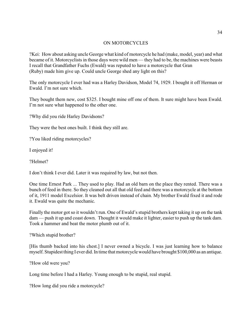#### ON MOTORCYCLES

?Kei: How about asking uncle George what kind of motorcycle he had (make, model, year) and what became of it. Motorcyclists in those days were wild men — they had to be, the machines were beasts I recall that Grandfather Fuchs (Ewald) was reputed to have a motorcycle that Gran (Ruby) made him give up. Could uncle George shed any light on this?

The only motorcycle I ever had was a Harley Davidson, Model 74, 1929. I bought it off Herman or Ewald. I'm not sure which.

They bought them new, cost \$325. I bought mine off one of them. It sure might have been Ewald. I'm not sure what happened to the other one.

?Why did you ride Harley Davidsons?

They were the best ones built. I think they still are.

?You liked riding motorcycles?

I enjoyed it!

?Helmet?

I don't think I ever did. Later it was required by law, but not then.

One time Ernest Park ... They used to play. Had an old barn on the place they rented. There was a bunch of feed in there. So they cleaned out all that old feed and there was a motorcycle at the bottom of it, 1911 model Excelsior. It was belt driven instead of chain. My brother Ewald fixed it and rode it. Ewald was quite the mechanic.

Finally the motor got so it wouldn't run. One of Ewald's stupid brothers kept taking it up on the tank dam — push it up and coast down. Thought it would make it lighter, easier to push up the tank dam. Took a hammer and beat the motor plumb out of it.

?Which stupid brother?

[His thumb backed into his chest.] I never owned a bicycle. I was just learning how to balance myself. Stupidest thing I ever did. In time that motorcycle would have brought \$100,000 as an antique.

?How old were you?

Long time before I had a Harley. Young enough to be stupid, real stupid.

?How long did you ride a motorcycle?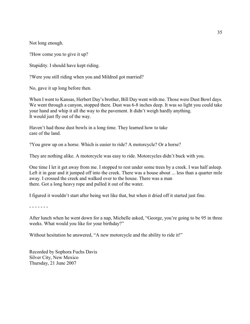Not long enough.

?How come you to give it up?

Stupidity. I should have kept riding.

?Were you still riding when you and Mildred got married?

No, gave it up long before then.

When I went to Kansas, Herbert Day's brother, Bill Day went with me. Those were Dust Bowl days. We went through a canyon, stopped there. Dust was 6-8 inches deep. It was so light you could take your hand and whip it all the way to the pavement. It didn't weigh hardly anything. It would just fly out of the way.

Haven't had those dust bowls in a long time. They learned how to take care of the land.

?You grew up on a horse. Which is easier to ride? A motorcycle? Or a horse?

They are nothing alike. A motorcycle was easy to ride. Motorcycles didn't buck with you.

One time I let it get away from me. I stopped to rest under some trees by a creek. I was half asleep. Left it in gear and it jumped off into the creek. There was a house about ... less than a quarter mile away. I crossed the creek and walked over to the house. There was a man there. Got a long heavy rope and pulled it out of the water.

I figured it wouldn't start after being wet like that, but when it dried off it started just fine.

- - - - - - -

After lunch when he went down for a nap, Michelle asked, "George, you're going to be 95 in three weeks. What would you like for your birthday?"

Without hesitation he answered, "A new motorcycle and the ability to ride it!"

Recorded by Sophora Fuchs Davis Silver City, New Mexico Thursday, 21 June 2007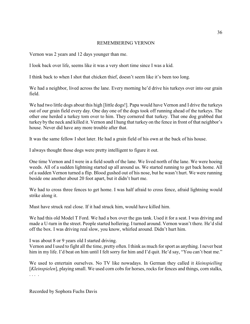#### REMEMBERING VERNON

Vernon was 2 years and 12 days younger than me.

I look back over life, seems like it was a very short time since I was a kid.

I think back to when I shot that chicken thief, doesn't seem like it's been too long.

We had a neighbor, lived across the lane. Every morning he'd drive his turkeys over into our grain field.

We had two little dogs about this high [little dogs!]. Papa would have Vernon and I drive the turkeys out of our grain field every day. One day one of the dogs took off running ahead of the turkeys. The other one herded a turkey tom over to him. They cornered that turkey. That one dog grabbed that turkey by the neck and killed it. Vernon and I hung that turkey on the fence in front of that neighbor's house. Never did have any more trouble after that.

It was the same fellow I shot later. He had a grain field of his own at the back of his house.

I always thought those dogs were pretty intelligent to figure it out.

One time Vernon and I were in a field south of the lane. We lived north of the lane. We were hoeing weeds. All of a sudden lightning started up all around us. We started running to get back home. All of a sudden Vernon turned a flip. Blood gushed out of his nose, but he wasn't hurt. We were running beside one another about 20 foot apart, but it didn't hurt me.

We had to cross three fences to get home. I was half afraid to cross fence, afraid lightning would strike along it.

Must have struck real close. If it had struck him, would have killed him.

We had this old Model T Ford. We had a box over the gas tank. Used it for a seat. I was driving and made a U-turn in the street. People started hollering. I turned around. Vernon wasn't there. He'd slid off the box. I was driving real slow, you know, whirled around. Didn't hurt him.

I was about 8 or 9 years old I started driving.

Vernon and I used to fight all the time, pretty often. I think as much for sport as anything. I never beat him in my life. I'd beat on him until I felt sorry for him and I'd quit. He'd say, "You can't beat me."

We used to entertain ourselves. No TV like nowadays. In German they called it *kleinspielling* [*Kleinspielen*], playing small. We used corn cobs for horses, rocks for fences and things, corn stalks, . . . .

Recorded by Sophora Fuchs Davis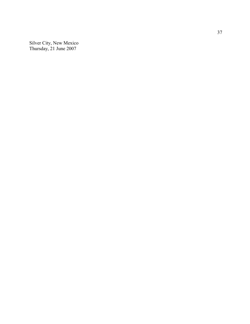Silver City, New Me xico Thursday, 21 June 2007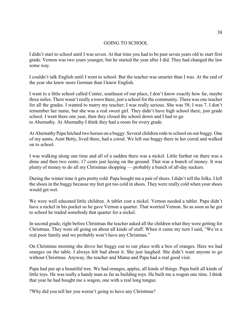# GOING TO SCHOOL

I didn't start to school until I was seven. At that time you had to be past seven years old to start first grade. Vernon was two years younger, but he started the year after I did. They had changed the law some way.

I couldn't talk English until I went to school. But the teacher was smarter than I was. At the end of the year she knew more German than I knew English.

I went to a little school called Center, southeast of our place, I don't know exactly how far, maybe three miles. There wasn't really a town there, just a school for the community. There was one teacher for all the grades. I wanted to marry my teacher; I was really serious. She was 58; I was 7. I don't remember her name, but she was a real sweet girl. They didn't have high school there, just grade school. I went there one year, then they closed the school down and I had to go to Abernathy. At Abernathy I think they had a room for every grade.

At Abernathy Papa hitched two horses on a buggy. Several children rode to school on our buggy. One of my aunts, Aunt Betty, lived there, had a corral. We left our buggy there in her corral and walked on to school.

I was walking along one time and all of a sudden there was a nickel. Little further on there was a dime and then two cents; 17 cents just laying on the ground. That was a bunch of money. It was plenty of money to do all my Christmas shopping — probably a bunch of all-day suckers.

During the winter time it gets pretty cold. Papa bought me a pair of shoes. I didn't tell the folks. I left the shoes in the buggy because my feet got too cold in shoes. They were really cold when your shoes would get wet.

We were well educated little children. A tablet cost a nickel. Vernon needed a tablet. Papa didn't have a nickel in his pocket so he gave Vernon a quarter. That worried Vernon. So as soon as he got to school he traded somebody that quarter for a nickel.

In second grade, right before Christmas the teacher asked all the children what they were getting for Christmas. They were all going on about all kinds of stuff. When it came my turn I said, "We're a real poor family and we probably won't have any Christmas."

On Christmas morning she drove her buggy out to our place with a box of oranges. Here we had oranges on the table. I always felt bad about it. She just laughed. She didn't want anyone to go without Christmas. Anyway, the teacher and Mama and Papa had a real good visit.

Papa had put up a beautiful tree. We had oranges, apples, all kinds of things. Papa built all kinds of little toys. He was really a handy man as far as building toys. He built me a wagon one time. I think that year he had bought me a wagon, one with a real long tongue.

?Why did you tell her you weren't going to have any Christmas?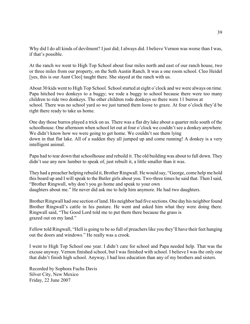Why did I do all kinds of devilment? I just did; I always did. I believe Vernon was worse than I was, if that's possible.

At the ranch we went to High Top School about four miles north and east of our ranch house, two or three miles from our property, on the Seth Austin Ranch. It was a one room school. Cleo Heidel [yes, this is our Aunt Cleo] taught there. She stayed at the ranch with us.

About 30 kids went to High Top School. School started at eight o'clock and we were always on time. Papa hitched two donkeys to a buggy; we rode a buggy to school because there were too many children to ride two donkeys. The other children rode donkeys so there were 11 burros at school. There was no school yard so we just turned them loose to graze. At four o'clock they'd be right there ready to take us home.

One day those burros played a trick on us. There was a flat dry lake about a quarter mile south of the schoolhouse. One afternoon when school let out at four o'clock we couldn't see a donkey anywhere. We didn't know how we were going to get home. We couldn't see them lying down in that flat lake. All of a sudden they all jumped up and come running! A donkey is a very intelligent animal.

Papa had to tear down that schoolhouse and rebuild it. The old building was about to fall down. They didn't use any new lumber to speak of, just rebuilt it, a little smaller than it was.

They had a preacher helping rebuild it, Brother Ringwall. He would say, "George, come help me hold this board up and I will speak to the Butler girls about you. Two-three times he said that. Then I said, "Brother Ringwall, why don't you go home and speak to your own daughters about me." He never did ask me to help him anymore. He had two daughters.

Brother Ringwall had one section of land. His neighbor had five sections. One day his neighbor found Brother Ringwall's cattle in his pasture. He went and asked him what they were doing there. Ringwall said, "The Good Lord told me to put them there because the grass is grazed out on my land."

Fellow told Ringwall, "Hell is going to be so full of preachers like you they'll have their feet hanging out the doors and windows." He really was a crook.

I went to High Top School one year. I didn't care for school and Papa needed help. That was the excuse anyway. Vernon finished school, but I was finished with school. I believe I was the only one that didn't finish high school. Anyway, I had less education than any of my brothers and sisters.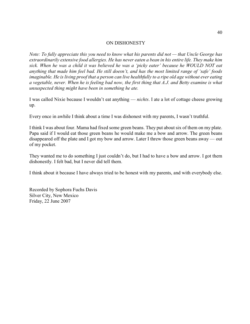#### ON DISHONESTY

*Note: To fully appreciate this you need to know what his parents did not — that Uncle George has extraordinarily extensive food allergies. He has never eaten a bean in his entire life. They make him sick. When he was a child it was believed he was a 'picky eater' because he WOULD NOT eat anything that made him feel bad. He still doesn't, and has the most limited range of 'safe' foods imaginable. He is living proof that a person can live healthfully to a ripe old age without ever eating a vegetable, never. When he is feeling bad now, the first thing that A.J. and Betty examine is what unsuspected thing might have been in something he ate.*

I was called Nixie because I wouldn't eat anything — *nichts*. I ate a lot of cottage cheese growing up.

Every once in awhile I think about a time I was dishonest with my parents, I wasn't truthful.

I think I was about four. Mama had fixed some green beans. They put about six of them on my plate. Papa said if I would eat those green beans he would make me a bow and arrow. The green beans disappeared off the plate and I got my bow and arrow. Later I threw those green beans away — out of my pocket.

They wanted me to do something I just couldn't do, but I had to have a bow and arrow. I got them dishonestly. I felt bad, but I never did tell them.

I think about it because I have always tried to be honest with my parents, and with everybody else.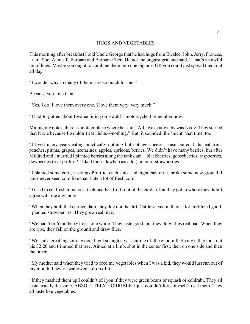# HUGS AND VEGETABLES

This morning after breakfast I told Uncle George that he had hugs from Ewalee, John, Jerry, Frances, Laura Sue, Annie T, Barbara and Barbara Ellen. He got the biggest grin and said, "That's an awful lot of hugs. Maybe you ought to combine them into one big one. OR you could just spread them out all day."

"I wonder why so many of them care so much for me."

Because you love them.

"Yes, I do. I love them every one. I love them very, very much."

"I had forgotten about Ewalee riding on Ewald's motorcycle. I remember now."

Mining my notes, there is another place where he said, "All I was known by was Nixie. They started that Nixie because I wouldn't eat nichts—nothing." But, it sounded like 'nicht' that time, too.

"I lived many years eating practically nothing but cottage cheese—kase butter. I did eat fruit: peaches, plums, grapes, nectarines, apples, apricots, berries. We didn't have many berries, but after Mildred and I married I planted berries along the tank dam—blackberries, gooseberries, raspberries, dewberries (real prolific! I liked those dewberries a lot), a lot of strawberries.

"I planted some corn, Hastings Prolific, each stalk had eight ears on it, broke some new ground. I have never seen corn like that. I ate a lot of fresh corn.

"I used to eat fresh tomatoes [technically a fruit] out of the garden, but they got to where they didn't agree with me any more.

"When they built that earthen dam, they dug out the dirt. Cattle stayed in there a lot, fertilized good. I planted strawberries. They grew real nice.

"We had 5 or 6 mulberry trees, one white. They taste good, but they draw flies real bad. When they are ripe, they fall on the ground and draw flies.

"We had a great big cottonwood. It got so high it was cutting off the windmill. So my father took out his 32:20 and trimmed that tree. Aimed at a limb, shot in the center first, then on one side and then the other.

"My mother said when they tried to feed me vegetables when I was a kid, they would just run out of my mouth. I never swallowed a drop of it.

"If they mashed them up I couldn't tell you if they were green beans or squash or kohlrabi. They all taste exactly the same, ABSOLUTELY HORRIBLE. I just couldn't force myself to eat them. They all taste like vegetables.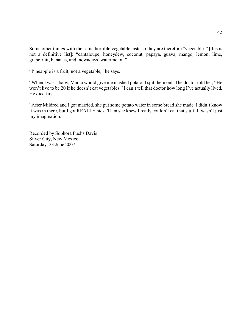Some other things with the same horrible vegetable taste so they are therefore "vegetables" [this is not a definitive list]: "cantaloupe, honeydew, coconut, papaya, guava, mango, lemon, lime, grapefruit, bananas, and, nowadays, watermelon."

"Pineapple is a fruit, not a vegetable," he says.

"When I was a baby, Mama would give me mashed potato. I spit them out. The doctor told her, "He won't live to be 20 if he doesn't eat vegetables." I can't tell that doctor how long I've actually lived. He died first.

"After Mildred and I got married, she put some potato water in some bread she made. I didn't know it was in there, but I got REALLY sick. Then she knew I really couldn't eat that stuff. It wasn't just my imagination."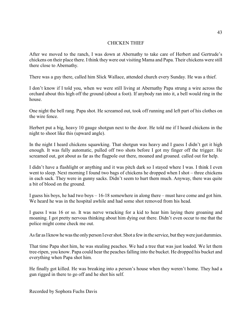# CHICKEN THIEF

After we moved to the ranch, I was down at Abernathy to take care of Herbert and Gertrude's chickens on their place there. I think they were out visiting Mama and Papa. Their chickens were still there close to Abernathy.

There was a guy there, called him Slick Wallace, attended church every Sunday. He was a thief.

I don't know if I told you, when we were still living at Abernathy Papa strung a wire across the orchard about this high off the ground (about a foot). If anybody ran into it, a bell would ring in the house.

One night the bell rang. Papa shot. He screamed out, took off running and left part of his clothes on the wire fence.

Herbert put a big, heavy 10 gauge shotgun next to the door. He told me if I heard chickens in the night to shoot like this (upward angle).

In the night I heard chickens squawking. That shotgun was heavy and I guess I didn't get it high enough. It was fully automatic, pulled off two shots before I got my finger off the trigger. He screamed out, got about as far as the flagpole out there, moaned and groaned. called out for help.

I didn't have a flashlight or anything and it was pitch dark so I stayed where I was. I think I even went to sleep. Next morning I found two bags of chickens he dropped when I shot – three chickens in each sack. They were in gunny sacks. Didn't seem to hurt them much. Anyway, there was quite a bit of blood on the ground.

I guess his boys, he had two boys – 16-18 somewhere in along there – must have come and got him. We heard he was in the hospital awhile and had some shot removed from his head.

I guess I was 16 or so. It was nerve wracking for a kid to hear him laying there groaning and moaning. I got pretty nervous thinking about him dying out there. Didn't even occur to me that the police might come check me out.

As far as I know he was the only person I ever shot. Shot a few in the service, but they were just dummies.

That time Papa shot him, he was stealing peaches. We had a tree that was just loaded. We let them tree-ripen, you know. Papa could hear the peaches falling into the bucket. He dropped his bucket and everything when Papa shot him.

He finally got killed. He was breaking into a person's house when they weren't home. They had a gun rigged in there to go off and he shot his self.

Recorded by Sophora Fuchs Davis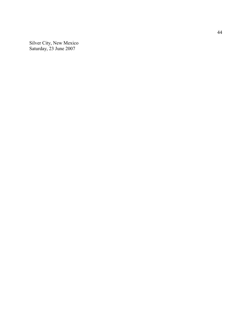Silver City, New Me xico Saturday, 23 June 2007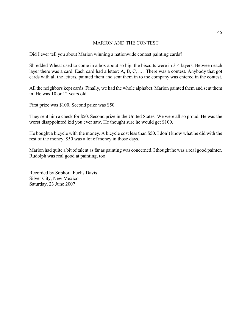# MARION AND THE CONTEST

Did I ever tell you about Marion winning a nationwide contest painting cards?

Shredded Wheat used to come in a box about so big, the biscuits were in 3-4 layers. Between each layer there was a card. Each card had a letter: A, B, C, ... . There was a contest. Anybody that got cards with all the letters, painted them and sent them in to the company was entered in the contest.

All the neighbors kept cards. Finally, we had the whole alphabet. Marion painted them and sent them in. He was 10 or 12 years old.

First prize was \$100. Second prize was \$50.

They sent him a check for \$50. Second prize in the United States. We were all so proud. He was the worst disappointed kid you ever saw. He thought sure he would get \$100.

He bought a bicycle with the money. A bicycle cost less than \$50. I don't know what he did with the rest of the money. \$50 was a lot of money in those days.

Marion had quite a bit of talent as far as painting was concerned. Ithought he was a real good painter. Rudolph was real good at painting, too.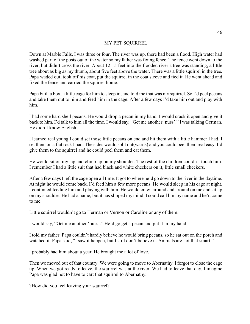#### MY PET SQUIRREL

Down at Marble Falls, I was three or four. The river was up, there had been a flood. High water had washed part of the posts out of the water so my father was fixing fence. The fence went down to the river, but didn't cross the river. About 12-15 feet into the flooded river a tree was standing, a little tree about as big as my thumb, about five feet above the water. There was a little squirrel in the tree. Papa waded out, took off his coat, put the squirrel in the coat sleeve and tied it. He went ahead and fixed the fence and carried the squirrel home.

Papa built a box, a little cage for him to sleep in, and told me that was my squirrel. So I'd peel pecans and take them out to him and feed him in the cage. After a few days I'd take him out and play with him.

I had some hard shell pecans. He would drop a pecan in my hand. I would crack it open and give it back to him. I'd talk to him all the time. I would say, "Get me another 'nuss'." I was talking German. He didn't know English.

I learned real young I could set those little pecans on end and hit them with a little hammer I had. I set them on a flat rock I had. The sides would split out(wards) and you could peel them real easy. I'd give them to the squirrel and he could peel them and eat them.

He would sit on my lap and climb up on my shoulder. The rest of the children couldn't touch him. I remember I had a little suit that had black and white checkers on it, little small checkers.

After a few days I left the cage open all time. It got to where he'd go down to the river in the daytime. At night he would come back. I'd feed him a few more pecans. He would sleep in his cage at night. I continued feeding him and playing with him. He would crawl around and around on me and sit up on my shoulder. He had a name, but it has slipped my mind. I could call him by name and he'd come to me.

Little squirrel wouldn't go to Herman or Vernon or Caroline or any of them.

I would say, "Get me another 'nuss'." He'd go get a pecan and put it in my hand.

I told my father. Papa couldn't hardly believe he would bring pecans, so he sat out on the porch and watched it. Papa said, "I saw it happen, but I still don't believe it. Animals are not that smart."

I probably had him about a year. He brought me a lot of love.

Then we moved out of that country. We were going to move to Abernathy. I forgot to close the cage up. When we got ready to leave, the squirrel was at the river. We had to leave that day. I imagine Papa was glad not to have to cart that squirrel to Abernathy.

?How did you feel leaving your squirrel?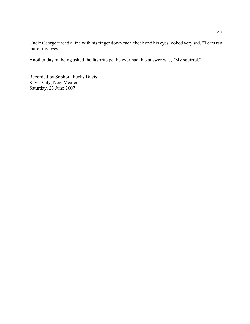Uncle George traced a line with his finger down each cheek and his eyes looked very sad, "Tears ran out of my eyes."

Another day on being asked the favorite pet he ever had, his answer was, "My squirrel."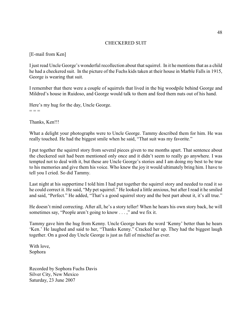## CHECKERED SUIT

[E-mail from Ken]

I just read Uncle George's wonderful recollection about that squirrel. In it he mentions that as a child he had a checkered suit. In the picture of the Fuchs kids taken at their house in Marble Falls in 1915, George is wearing that suit.

I remember that there were a couple of squirrels that lived in the big woodpile behind George and Mildred's house in Ruidoso, and George would talk to them and feed them nuts out of his hand.

Here's my hug for the day, Uncle George.  $=$   $=$ 

Thanks, Ken!!!

What a delight your photographs were to Uncle George. Tammy described them for him. He was really touched. He had the biggest smile when he said, "That suit was my favorite."

I put together the squirrel story from several pieces given to me months apart. That sentence about the checkered suit had been mentioned only once and it didn't seem to really go anywhere. I was tempted not to deal with it, but these are Uncle George's stories and I am doing my best to be true to his memories and give them his voice. Who knew the joy it would ultimately bring him. I have to tell you I cried. So did Tammy.

Last night at his suppertime I told him I had put together the squirrel story and needed to read it so he could correct it. He said, "My pet squirrel." He looked a little anxious, but after I read it he smiled and said, "Perfect." He added, "That's a good squirrel story and the best part about it, it's all true."

He doesn't mind correcting. After all, he's a story teller! When he hears his own story back, he will sometimes say, "People aren't going to know . . . ," and we fix it.

Tammy gave him the hug from Kenny. Uncle George hears the word 'Kenny' better than he hears 'Ken.' He laughed and said to her, "Thanks Kenny." Cracked her up. They had the biggest laugh together. On a good day Uncle George is just as full of mischief as ever.

With love, Sophora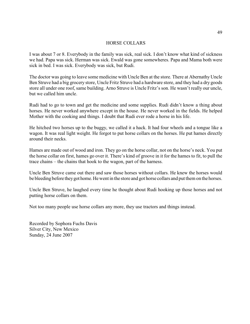#### HORSE COLLARS

I was about 7 or 8. Everybody in the family was sick, real sick. I don't know what kind of sickness we had. Papa was sick. Herman was sick. Ewald was gone somewheres. Papa and Mama both were sick in bed. I was sick. Everybody was sick, but Rudi.

The doctor was going to leave some medicine with Uncle Ben at the store. There at Abernathy Uncle Ben Struve had a big grocery store, Uncle Fritz Struve had a hardware store, and they had a dry goods store all under one roof, same building. Arno Struve is Uncle Fritz's son. He wasn't really our uncle, but we called him uncle.

Rudi had to go to town and get the medicine and some supplies. Rudi didn't know a thing about horses. He never worked anywhere except in the house. He never worked in the fields. He helped Mother with the cooking and things. I doubt that Rudi ever rode a horse in his life.

He hitched two horses up to the buggy, we called it a hack. It had four wheels and a tongue like a wagon. It was real light weight. He forgot to put horse collars on the horses. He put hames directly around their necks.

Hames are made out of wood and iron. They go on the horse collar, not on the horse's neck. You put the horse collar on first, hames go over it. There's kind of groove in it for the hames to fit, to pull the trace chains – the chains that hook to the wagon, part of the harness.

Uncle Ben Struve came out there and saw those horses without collars. He knew the horses would be bleeding before they got home. He went in the store and got horse collars and put them on the horses.

Uncle Ben Struve, he laughed every time he thought about Rudi hooking up those horses and not putting horse collars on them.

Not too many people use horse collars any more, they use tractors and things instead.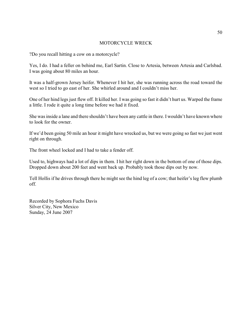# MOTORCYCLE WRECK

?Do you recall hitting a cow on a motorcycle?

Yes, I do. I had a feller on behind me, Earl Sartin. Close to Artesia, between Artesia and Carlsbad. I was going about 80 miles an hour.

It was a half-grown Jersey heifer. Whenever I hit her, she was running across the road toward the west so I tried to go east of her. She whirled around and I couldn't miss her.

One of her hind legs just flew off. It killed her. I was going so fast it didn't hurt us. Warped the frame a little. I rode it quite a long time before we had it fixed.

She was inside a lane and there shouldn't have been any cattle in there. I wouldn't have known where to look for the owner.

If we'd been going 50 mile an hour it might have wrecked us, but we were going so fast we just went right on through.

The front wheel locked and I had to take a fender off.

Used to, highways had a lot of dips in them. I hit her right down in the bottom of one of those dips. Dropped down about 200 feet and went back up. Probably took those dips out by now.

Tell Hollis if he drives through there he might see the hind leg of a cow; that heifer's leg flew plumb off.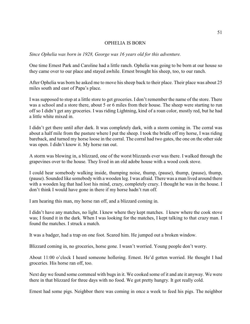#### OPHELIA IS BORN

*Since Ophelia was born in 1928, George was 16 years old for this adventure.*

One time Ernest Park and Caroline had a little ranch. Ophelia was going to be born at our house so they came over to our place and stayed awhile. Ernest brought his sheep, too, to our ranch.

After Ophelia was born he asked me to move his sheep back to their place. Their place was about 25 miles south and east of Papa's place.

I was supposed to stop at a little store to get groceries. I don't remember the name of the store. There was a school and a store there, about 5 or 6 miles from their house. The sheep were starting to run off so I didn't get any groceries. I was riding Lightning, kind of a roan color, mostly red, but he had a little white mixed in.

I didn't get there until after dark. It was completely dark, with a storm coming in. The corral was about a half mile from the pasture where I put the sheep. I took the bridle off my horse, I was riding bareback, and turned my horse loose in the corral. The corral had two gates, the one on the other side was open. I didn't know it. My horse ran out.

A storm was blowing in, a blizzard, one of the worst blizzards ever was there. I walked through the grapevines over to the house. They lived in an old adobe house with a wood cook stove.

I could hear somebody walking inside, thumping noise, thump, (pause), thump, (pause), thump, (pause). Sounded like somebody with a wooden leg. I was afraid. There was a man lived around there with a wooden leg that had lost his mind, crazy, completely crazy. I thought he was in the house. I don't think I would have gone in there if my horse hadn't run off.

I am hearing this man, my horse ran off, and a blizzard coming in.

I didn't have any matches, no light. I knew where they kept matches. I knew where the cook stove was; I found it in the dark. When I was looking for the matches, I kept talking to that crazy man. I found the matches. I struck a match.

It was a badger, had a trap on one foot. Scared him. He jumped out a broken window.

Blizzard coming in, no groceries, horse gone. I wasn't worried. Young people don't worry.

About 11:00 o'clock I heard someone hollering. Ernest. He'd gotten worried. He thought I had groceries. His horse ran off, too.

Next day we found some cornmeal with bugs in it. We cooked some of it and ate it anyway. We were there in that blizzard for three days with no food. We got pretty hungry. It got really cold.

Ernest had some pigs. Neighbor there was coming in once a week to feed his pigs. The neighbor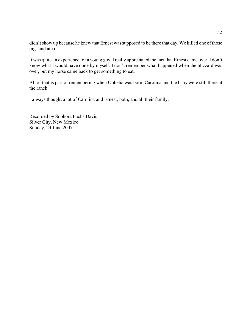didn't show up because he knew that Ernest was supposed to be there that day. We killed one of those pigs and ate it.

It was quite an experience for a young guy. I really appreciated the fact that Ernest came over. I don't know what I would have done by myself. I don't remember what happened when the blizzard was over, but my horse came back to get something to eat.

All of that is part of remembering when Ophelia was born. Carolina and the baby were still there at the ranch.

I always thought a lot of Carolina and Ernest, both, and all their family.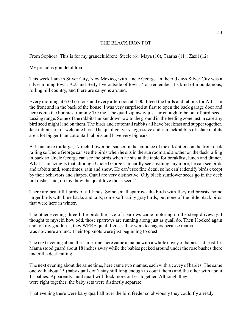# THE BLACK IRON POT

From Sophora. This is for my grandchildren: Steele (6), Maya (10), Taarna (11), Zazil (12).

My precious grandchildren,

This week I am in Silver City, New Mexico, with Uncle George. In the old days Silver City was a silver mining town. A.J. and Betty live outside of town. You remember it's kind of mountainous, rolling hill country, and there are canyons around.

Every morning at 6:00 o'clock and every afternoon at 4:00, I feed the birds and rabbits for A.J. – in the front and in the back of the house. I was very surprised at first to open the back garage door and here come the bunnies, running TO me. The quail zip away just far enough to be out of bird-seedtossing range. Some of the rabbits hunker down low to the ground in the feeding zone just in case any bird seed might land on them. The birds and cottontail rabbits all have breakfast and supper together. Jackrabbits aren't welcome here. The quail get very aggressive and run jackrabbits off. Jackrabbits are a lot bigger than cottontail rabbits and have very big ears.

A.J. put an extra-large, 17 inch, flower pot saucer in the embrace of the elk antlers on the front deck railing so Uncle George can see the birds when he sits in the sun room and another on the deck railing in back so Uncle George can see the birds when he sits at the table for breakfast, lunch and dinner. What is amazing is that although Uncle George can hardly see anything any more, he can see birds and rabbits and, sometimes, rain and snow. He can't see fine detail so he can't identify birds except by their behaviors and shapes. Quail are very distinctive. Oily black sunflower seeds go in the deck rail dishes and, oh my, how the quail love those seeds!

There are beautiful birds of all kinds. Some small sparrow-like birds with fiery red breasts, some larger birds with blue backs and tails, some soft satiny gray birds, but none of the little black birds that were here in winter.

The other evening three little birds the size of sparrows came motoring up the steep driveway. I thought to myself, how odd, those sparrows are running along just as quail do. Then I looked again and, oh my goodness, they WERE quail. I guess they were teenagers because mama was nowhere around. Their top knots were just beginning to crest.

The next evening about the same time, here came a mama with a whole covey of babies – at least 15. Mama stood guard about 18 inches away while the babies pecked around under the rose bushes there under the deck railing.

The next evening about the same time, here came two mamas, each with a covey of babies. The same one with about 15 (baby quail don't stay still long enough to count them) and the other with about 11 babies. Apparently, aunt quail will flock more or less together. Although they were right together, the baby sets were distinctly separate.

That evening there were baby quail all over the bird feeder so obviously they could fly already.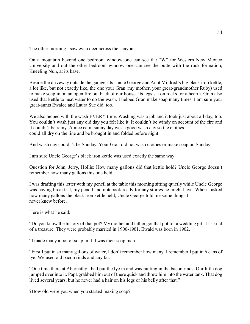The other morning I saw even deer across the canyon.

On a mountain beyond one bedroom window one can see the "W" for Western New Mexico University and out the other bedroom window one can see the butte with the rock formation, Kneeling Nun, at its base.

Beside the driveway outside the garage sits Uncle George and Aunt Mildred's big black iron kettle, a lot like, but not exactly like, the one your Gran (my mother, your great-grandmother Ruby) used to make soap in on an open fire out back of our house. Its legs sat on rocks for a hearth. Gran also used that kettle to heat water to do the wash. I helped Gran make soap many times. I am sure your great-aunts Ewalee and Laura Sue did, too.

We also helped with the wash EVERY time. Washing was a job and it took just about all day, too. You couldn't wash just any old day you felt like it. It couldn't be windy on account of the fire and it couldn't be rainy. A nice calm sunny day was a good wash day so the clothes could all dry on the line and be brought in and folded before night.

And wash day couldn't be Sunday. Your Gran did not wash clothes or make soap on Sunday.

I am sure Uncle George's black iron kettle was used exactly the same way.

Question for John, Jerry, Hollis: How many gallons did that kettle hold? Uncle George doesn't remember how many gallons this one held.

I was drafting this letter with my pencil at the table this morning sitting quietly while Uncle George was having breakfast, my pencil and notebook ready for any stories he might have. When I asked how many gallons the black iron kettle held, Uncle George told me some things I never knew before.

Here is what he said:

"Do you know the history of that pot? My mother and father got that pot for a wedding gift. It's kind of a treasure. They were probably married in 1900-1901. Ewald was born in 1902.

"I made many a pot of soap in it. I was their soap man.

"First I put in so many gallons of water, I don't remember how many. I remember I put in 6 cans of lye. We used old bacon rinds and any fat.

"One time there at Abernathy I had put the lye in and was putting in the bacon rinds. Our little dog jumped over into it. Papa grabbed him out of there quick and threw him into the water tank. That dog lived several years, but he never had a hair on his legs or his belly after that."

?How old were you when you started making soap?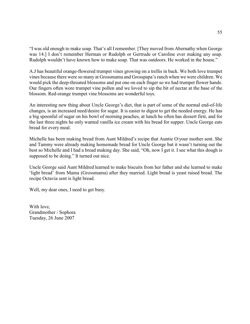"I was old enough to make soap. That's all I remember. [They moved from Abernathy when George was 14.] I don't remember Herman or Rudolph or Gertrude or Caroline ever making any soap. Rudolph wouldn't have known how to make soap. That was outdoors. He worked in the house."

A.J has beautiful orange-flowered trumpet vines growing on a trellis in back. We both love trumpet vines because there were so many at Grossmama and Grosspapa's ranch when we were children. We would pick the deep-throated blossoms and put one on each finger so we had trumpet flower hands. Our fingers often wore trumpet vine pollen and we loved to sip the bit of nectar at the base of the blossom. Red-orange trumpet vine blossoms are wonderful toys.

An interesting new thing about Uncle George's diet, that is part of some of the normal end-of-life changes, is an increased need/desire for sugar. It is easier to digest to get the needed energy. He has a big spoonful of sugar on his bowl of morning peaches, at lunch he often has dessert first, and for the last three nights he only wanted vanilla ice cream with his bread for supper. Uncle George eats bread for every meal.

Michelle has been making bread from Aunt Mildred's recipe that Auntie O/your mother sent. She and Tammy were already making homemade bread for Uncle George but it wasn't turning out the best so Michelle and I had a bread making day. She said, "Oh, now I get it. I see what this dough is supposed to be doing." It turned out nice.

Uncle George said Aunt Mildred learned to make biscuits from her father and she learned to make 'light bread' from Mama (Grossmama) after they married. Light bread is yeast raised bread. The recipe Octavia sent is light bread.

Well, my dear ones, I need to get busy.

With love, Grandmother / Sophora Tuesday, 26 June 2007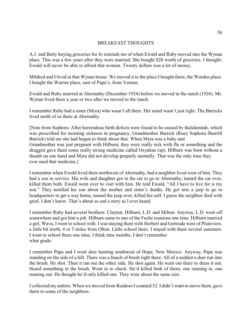# BREAKFAST THOUGHTS

A.J. and Betty buying groceries for Jo reminds me of when Ewald and Ruby moved into the Wynan place. This was a few years after they were married. She bought \$20 worth of groceries. I thought: Ewald will never be able to afford that woman. Twenty dollars was a lot of money.

Mildred and I lived in that Wynan house. We moved it to the place I bought there, the Worden place. I bought the Warren place, east of Papa's, from Vernon.

Ewald and Ruby married at Abernathy (December 1924) before we moved to the ranch (1926). Mr. Wynan lived there a year or two after we moved to the ranch.

I remember Ruby had a sister (Myra) who wasn't all there. Her mind wasn't just right. The Barricks lived north of us there at Abernathy.

[Note from Sophora: After horrendous birth defects were found to be caused by thalidomide, which was prescribed for morning sickness in pregnancy, Grandmother Barrick (Ruey Sophora Sherrill Barrick) told me she had begun to think about that. When Myra was a baby and Grandmother was just pregnant with Hilburn, they were really sick with flu or something and the druggist gave them some really strong medicine called Oxydene (sp). Hilburn was born without a thumb on one hand and Myra did not develop properly mentally. That was the only time they ever used that medicine.]

I remember when Ewald lived there northwest of Abernathy, had a neighbor lived west of him. They had a son in service. His wife and daughter got in the car to go to Abernathy, turned the car over, killed them both. Ewald went over to visit with him. He told Ewald, "All I have to live for is my son." They notified his son about the mother and sister's deaths. He got into a jeep to go to headquarters to get a way home, turned the jeep over, killed his-self. I guess the neighbor died with grief, I don't know. That's about as sad a story as I ever heard.

I remember Ruby had several brothers: Clayton, Hilburn, L.D. and Milton. Anyway, L.D. went off somewhere and got him a job. Hilburn came to one of the Fuchs reunions one time. Hilburn married a girl, Wava, I went to school with. I was staying there with Herbert and Gertrude west of Plainview, a little bit north, 4 or 5 miles from Olton. Little school there. I stayed with them several summers. I went to school there one time, I think nine months. I don't remember what grade.

I remember Papa and I went deer hunting southwest of Hope, New Mexico. Anyway, Papa was standing on the side of a hill. There was a bunch of brush right there. All of a sudden a deer run into the brush. He shot. Then it ran out the other side. He shot again. He went out there to dress it out. Heard something in the brush. Went in to check. He'd killed both of them, one running in, one running out. He thought he'd only killed one. They were about the same size.

I collected my antlers. When we moved from Ruidoso I counted 52. I didn't want to move them, gave them to some of the neighbors.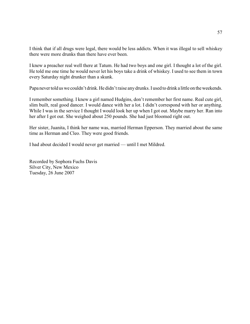I think that if all drugs were legal, there would be less addicts. When it was illegal to sell whiskey there were more drunks than there have ever been.

I knew a preacher real well there at Tatum. He had two boys and one girl. I thought a lot of the girl. He told me one time he would never let his boys take a drink of whiskey. I used to see them in town every Saturday night drunker than a skunk.

Papa never told us we couldn't drink. He didn't raise any drunks. I used to drink a little on the weekends.

I remember something. I knew a girl named Hudgins, don't remember her first name. Real cute girl, slim built, real good dancer. I would dance with her a lot. I didn't correspond with her or anything. While I was in the service I thought I would look her up when I got out. Maybe marry her. Ran into her after I got out. She weighed about 250 pounds. She had just bloomed right out.

Her sister, Juanita, I think her name was, married Herman Epperson. They married about the same time as Herman and Cleo. They were good friends.

I had about decided I would never get married — until I met Mildred.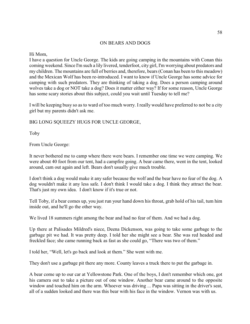# ON BEARS AND DOGS

Hi Mom,

I have a question for Uncle George. The kids are going camping in the mountains with Conan this coming weekend. Since I'm such a lily livered, tenderfoot, city girl, I'm worrying about predators and my children. The mountains are full of berries and, therefore, bears (Conan has been to this meadow) and the Mexican Wolf has been re-introduced. I want to know if Uncle George has some advice for camping with such predators. They are thinking of taking a dog. Does a person camping around wolves take a dog or NOT take a dog? Does it matter either way? If for some reason, Uncle George has some scary stories about this subject, could you wait until Tuesday to tell me?

I will be keeping busy so as to ward of too much worry. I really would have preferred to not be a city girl but my parents didn't ask me.

BIG LONG SQUEEZY HUGS FOR UNCLE GEORGE,

Toby

From Uncle George:

It never bothered me to camp where there were bears. I remember one time we were camping. We were about 40 foot from our tent, had a campfire going. A bear came there, went in the tent, looked around, cam out again and left. Bears don't usually give much trouble.

I don't think a dog would make it any safer because the wolf and the bear have no fear of the dog. A dog wouldn't make it any less safe. I don't think I would take a dog. I think they attract the bear. That's just my own idea. I don't know if it's true or not.

Tell Toby, if a bear comes up, you just run your hand down his throat, grab hold of his tail, tum him inside out, and he'll go the other way.

We lived 18 summers right among the bear and had no fear of them. And we had a dog.

Up there at Palisades Mildred's niece, Deena Dickenson, was going to take some garbage to the garbage pit we had. It was pretty deep. I told her she might see a bear. She was red headed and freckled face; she came running back as fast as she could go, "There was two of them."

I told her, "Well, let's go back and look at them." She went with me.

They don't use a garbage pit there any more. County leaves a truck there to put the garbage in.

A bear come up to our car at Yellowstone Park. One of the boys, I don't remember which one, got his camera out to take a picture out of one window. Another bear came around to the opposite window and touched him on the arm. Whoever was driving ... Papa was sitting in the driver's seat, all of a sudden looked and there was this bear with his face in the window. Vernon was with us.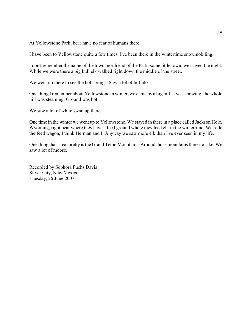At Yellowstone Park, bear have no fear of humans there.

I have been to Yellowstone quite a few times. I've been there in the wintertime snowmobiling.

I don't remember the name of the town, north end of the Park, some little town, we stayed the night. While we were there a big bull elk walked right down the middle of the street.

We went up there to see the hot springs. Saw a lot of buffalo.

One thing I remember about Yellowstone in winter, we came by a big hill, it was snowing, the whole hill was steaming. Ground was hot.

We saw a lot of white swan up there.

One time in the winter we went up to Yellowstone. We stayed in there in a place called Jackson Hole, Wyoming, right near where they have a feed ground where they feed elk in the wintertime. We rode the feed wagon, I think Herman and I. Anyway we saw more elk than I've ever seen in my life.

One thing that's real pretty is the Grand Teton Mountains. Around those mountains there's a lake. We saw a lot of moose.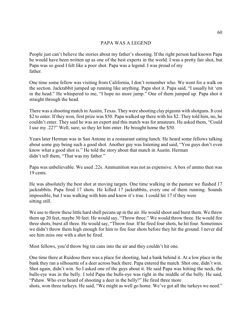# PAPA WAS A LEGEND

People just can't believe the stories about my father's shooting. If the right person had known Papa he would have been written up as one of the best experts in the world. I was a pretty fair shot, but Papa was so good I felt like a poor shot. Papa was a legend. I was proud of my father.

One time some fellow was visiting from California, I don't remember who. We went for a walk on the section. Jackrabbit jumped up running like anything. Papa shot it. Papa said, "I usually hit 'em in the head." He whispered to me, "I hope no more jump." One of them jumped up. Papa shot it straight through the head.

There was a shooting match in Austin, Texas. They were shooting clay pigeons with shotguns. It cost \$2 to enter. If they won, first prize was \$50. Papa walked up there with his \$2. They told him, no, he couldn't enter. They said he was an expert and this match was for amateurs. He asked them, "Could I use my .22?" Well, sure; so they let him enter. He brought home the \$50.

Years later Herman was in San Antone in a restaurant eating lunch. He heard some fellows talking about some guy being such a good shot. Another guy was listening and said, "You guys don't even know what a good shot is." He told the story about that match in Austin. Herman didn't tell them, "That was my father."

Papa was unbelievable. We used .22s. Ammunition was not as expensive. A box of ammo then was 19 cents.

He was absolutely the best shot at moving targets. One time walking in the pasture we flushed 17 jackrabbits. Papa fired 17 shots. He killed 17 jackrabbits, every one of them running. Sounds impossible, but I was walking with him and know it's true. I could hit 17 if they were sitting still.

We use to throw these little hard shell pecans up in the air. He would shoot and burst them. We threw them up 20 feet, maybe 30 feet. He would say, "Throw three." We would throw three. He would fire three shots, burst all three. He would say, "Throw four. If he fired four shots, he hit four. Sometimes we didn't throw them high enough for him to fire four shots before they hit the ground. I never did see him miss one with a shot he fired.

Most fellows, you'd throw big tin cans into the air and they couldn't hit one.

One time there at Ruidoso there was a place for shooting, had a bank behind it. At a low place in the bank they ran a silhouette of a deer across back there. Papa entered the match. Shot one, didn't win. Shot again, didn't win. So I asked one of the guys about it. He said Papa was hitting the neck, the bulls-eye was in the belly. I told Papa the bulls-eye was right in the middle of the belly. He said, "Pshaw. Who ever heard of shooting a deer in the belly?" He fired three more

shots, won three turkeys. He said, "We might as well go home. We've got all the turkeys we need."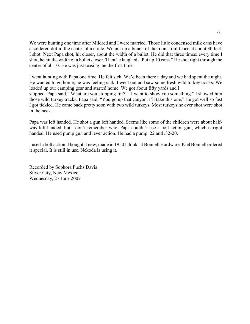We were hunting one time after Mildred and I were married. Those little condensed milk cans have a soldered dot in the center of a circle. We put up a bunch of them on a rail fence at about 30 feet. I shot. Next Papa shot, hit closer, about the width of a bullet. He did that three times: every time I shot, he hit the width of a bullet closer. Then he laughed, "Put up 10 cans." He shot right through the center of all 10. He was just teasing me the first time.

I went hunting with Papa one time. He felt sick. We'd been there a day and we had spent the night. He wanted to go home; he was feeling sick. I went out and saw some fresh wild turkey tracks. We loaded up our camping gear and started home. We got about fifty yards and I stopped. Papa said, "What are you stopping for?" "I want to show you something." I showed him those wild turkey tracks. Papa said, "You go up that canyon, I'll take this one." He got well so fast I got tickled. He came back pretty soon with two wild turkeys. Most turkeys he ever shot were shot in the neck.

Papa was left handed. He shot a gun left handed. Seems like some of the children were about halfway left handed, but I don't remember who. Papa couldn't use a bolt action gun, which is right handed. He used pump gun and lever action. He had a pump .22 and .32-20.

I used a bolt action. I bought it new, made in 1950 I think, at Bonnell Hardware. Kiel Bonnell ordered it special. It is still in use. Nekoda is using it.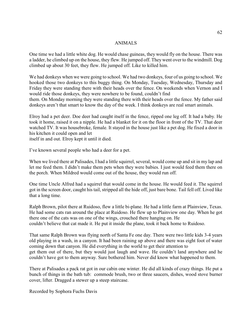#### ANIMALS

One time we had a little white dog. He would chase guineas, they would fly on the house. There was a ladder, he climbed up on the house, they flew. He jumped off. They went over to the windmill. Dog climbed up about 30 feet, they flew. He jumped off. Like to killed him.

We had donkeys when we were going to school. We had two donkeys, four of us going to school. We hooked those two donkeys to this buggy thing. On Monday, Tuesday, Wednesday, Thursday and Friday they were standing there with their heads over the fence. On weekends when Vernon and I would ride those donkeys, they were nowhere to be found, couldn't find

them. On Monday morning they were standing there with their heads over the fence. My father said donkeys aren't that smart to know the day of the week. I think donkeys are real smart animals.

Elroy had a pet deer. Doe deer had caught itself in the fence, ripped one leg off. It had a baby. He took it home, raised it on a nipple. He had a blanket for it on the floor in front of the TV. That deer watched TV. It was housebroke, female. It stayed in the house just like a pet dog. He fixed a door in his kitchen it could open and let

itself in and out. Elroy kept it until it died.

I've known several people who had a deer for a pet.

When we lived there at Palisades, I had a little squirrel, several, would come up and sit in my lap and let me feed them. I didn't make them pets when they were babies. I just would feed them there on the porch. When Mildred would come out of the house, they would run off.

One time Uncle Alfred had a squirrel that would come in the house. He would feed it. The squirrel got in the screen door, caught his tail, stripped all the hide off, just bare bone. Tail fell off. Lived like that a long time.

Ralph Brown, pilot there at Ruidoso, flew a little bi-plane. He had a little farm at Plainview, Texas. He had some cats ran around the place at Ruidoso. He flew up to Plainview one day. When he got there one of the cats was on one of the wings, crouched there hanging on. He couldn't believe that cat made it. He put it inside the plane, took it back home to Ruidoso.

That same Ralph Brown was flying north of Santa Fe one day. There were two little kids 3-4 years old playing in a wash, in a canyon. It had been raining up above and there was eight foot of water coming down that canyon. He did everything in the world to get their attention to get them out of there, but they would just laugh and wave. He couldn't land anywhere and he couldn't have got to them anyway. Sure bothered him. Never did know what happened to them.

There at Palisades a pack rat got in our cabin one winter. He did all kinds of crazy things. He put a bunch of things in the bath tub: commode brush, two or three saucers, dishes, wood stove burner cover, lifter. Dragged a stewer up a steep staircase.

Recorded by Sophora Fuchs Davis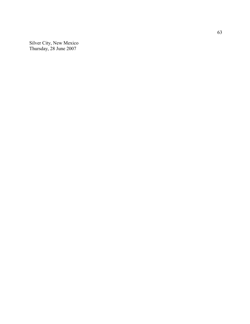Silver City, New Me xico Thursday, 28 June 2007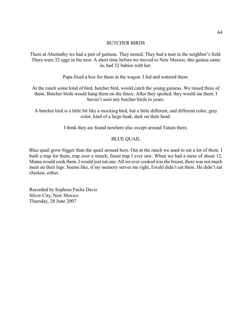# BUTCHER BIRDS

There at Abernathy we had a pair of guineas. They nested. They had a nest in the neighbor's field. There were 32 eggs in the nest. A short time before we moved to New Mexico, this guinea came in, had 32 babies with her.

Papa fixed a box for them in the wagon. I fed and watered them.

At the ranch some kind of bird, butcher bird, would catch the young guineas. We raised three of them. Butcher birds would hang them on the fence. After they spoiled, they would eat them. I haven't seen any butcher birds in years.

A butcher bird is a little bit like a mocking bird, but a little different, and different color, gray color, kind of a large beak, dark on their head.

I think they are found nowhere else except around Tatum there.

# BLUE QUAIL

Blue quail grow bigger than the quail around here. Out at the ranch we used to eat a lot of them. I built a trap for them, trap over a trench, finest trap I ever saw. When we had a mess of about 12, Mama would cook them. I would just eat one. All we ever cooked was the breast, there was not much meat on their legs. Seems like, if my memory serves me right, Ewald didn't eat them. He didn't eat chicken, either.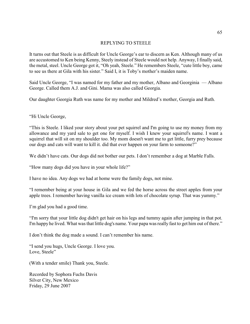#### REPLYING TO STEELE

It turns out that Steele is as difficult for Uncle George's ear to discern as Ken. Although many of us are accustomed to Ken being Kenny, Steely instead of Steele would not help. Anyway, I finally said, the metal, steel. Uncle George got it, "Oh yeah, Steele." He remembers Steele, "cute little boy, came to see us there at Gila with his sister." Said I, it is Toby's mother's maiden name.

Said Uncle George, "I was named for my father and my mother, Albano and Georginia — Albano George. Called them A.J. and Gini. Mama was also called Georgia.

Our daughter Georgia Ruth was name for my mother and Mildred's mother, Georgia and Ruth.

"Hi Uncle George,

"This is Steele. I liked your story about your pet squirrel and I'm going to use my money from my allowance and my yard sale to get one for myself. I wish I knew your squirrel's name. I want a squirrel that will sit on my shoulder too. My mom doesn't want me to get little, furry prey because our dogs and cats will want to kill it. did that ever happen on your farm to someone?"

We didn't have cats. Our dogs did not bother our pets. I don't remember a dog at Marble Falls.

"How many dogs did you have in your whole life?"

I have no idea. Any dogs we had at home were the family dogs, not mine.

"I remember being at your house in Gila and we fed the horse across the street apples from your apple trees. I remember having vanilla ice cream with lots of chocolate syrup. That was yummy."

I'm glad you had a good time.

"I'm sorry that your little dog didn't get hair on his legs and tummy again after jumping in that pot. I'm happy he lived. What was that little dog's name. Your papa was really fast to get him out of there."

I don't think the dog made a sound. I can't remember his name.

"I send you hugs, Uncle George. I love you. Love, Steele"

(With a tender smile) Thank you, Steele.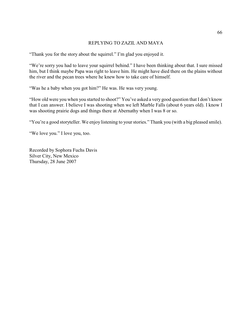## REPLYING TO ZAZIL AND MAYA

"Thank you for the story about the squirrel." I'm glad you enjoyed it.

"We're sorry you had to leave your squirrel behind." I have been thinking about that. I sure missed him, but I think maybe Papa was right to leave him. He might have died there on the plains without the river and the pecan trees where he knew how to take care of himself.

"Was he a baby when you got him?" He was. He was very young.

"How old were you when you started to shoot?" You've asked a very good question that I don't know that I can answer. I believe I was shooting when we left Marble Falls (about 6 years old). I know I was shooting prairie dogs and things there at Abernathy when I was 8 or so.

"You're a good storyteller. We enjoy listening to your stories." Thank you (with a big pleased smile).

"We love you." I love you, too.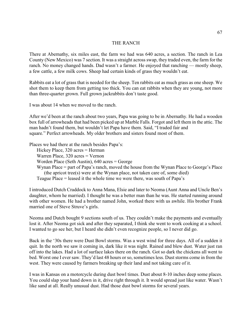## THE RANCH

There at Abernathy, six miles east, the farm we had was 640 acres, a section. The ranch in Lea County (New Mexico) was 7 section. It was a straight across swap, they traded even, the farm for the ranch. No money changed hands. Dad wasn't a farmer. He enjoyed that ranching — mostly sheep, a few cattle, a few milk cows. Sheep had certain kinds of grass they wouldn't eat.

Rabbits eat a lot of grass that is needed for the sheep. Ten rabbits eat as much grass as one sheep. We shot them to keep them from getting too thick. You can eat rabbits when they are young, not more than three-quarter grown. Full grown jackrabbits don't taste good.

I was about 14 when we moved to the ranch.

After we'd been at the ranch about two years, Papa was going to be in Abernathy. He had a wooden box full of arrowheads that had been picked up at Marble Falls. Forgot and left them in the attic. The man hadn't found them, but wouldn't let Papa have them. Said, "I traded fair and square." Perfect arrowheads. My older brothers and sisters found most of them.

Places we had there at the ranch besides Papa's:

Hickey Place, 320 acres = Herman

Warren Place, 320 acres = Vernon

Worden Place (Seth Austin), 640 acres = George

Wynan Place = part of Papa's ranch, moved the house from the Wynan Place to George's Place (the apricot tree(s) were at the Wynan place, not taken care of, some died)

Teague Place = leased it the whole time we were there, was south of Papa's

I introduced Dutch Craddock to Anna Mana, Elsie and later to Neoma (Aunt Anna and Uncle Ben's daughter, whom he married). I thought he was a better man than he was. He started running around with other women. He had a brother named John, worked there with us awhile. His brother Frank married one of Steve Struve's girls.

Neoma and Dutch bought 9 sections south of us. They couldn't make the payments and eventually lost it. After Neoma got sick and after they separated, I think she went to work cooking at a school. I wanted to go see her, but I heard she didn't even recognize people, so I never did go.

Back in the '30s there were Dust Bowl storms. Was a west wind for three days. All of a sudden it quit. In the north we saw it coming in, dark like it was night. Rained and blew dust. Water just ran off into the lakes. Had a lot of surface lakes there on the ranch. Got so dark the chickens all went to bed. Worst one I ever saw. They'd last 48 hours or so, sometimes less. Dust storms come in from the west. They were caused by farmers breaking up their land and not taking care of it.

I was in Kansas on a motorcycle during dust bowl times. Dust about 8-10 inches deep some places. You could slap your hand down in it, drive right through it. It would spread just like water. Wasn't like sand at all. Really unusual dust. Had those dust bowl storms for several years.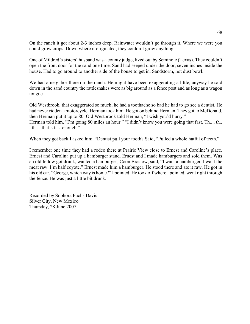On the ranch it got about 2-3 inches deep. Rainwater wouldn't go through it. Where we were you could grow crops. Down where it originated, they couldn't grow anything.

One of Mildred's sisters' husband was a county judge, lived out by Seminole (Texas). They couldn't open the front door for the sand one time. Sand had seeped under the door, seven inches inside the house. Had to go around to another side of the house to get in. Sandstorm, not dust bowl.

We had a neighbor there on the ranch. He might have been exaggerating a little, anyway he said down in the sand country the rattlesnakes were as big around as a fence post and as long as a wagon tongue.

Old Westbrook, that exaggerated so much, he had a toothache so bad he had to go see a dentist. He had never ridden a motorcycle. Herman took him. He got on behind Herman. They got to McDonald, then Herman put it up to 80. Old Westbrook told Herman, "I wish you'd hurry." Herman told him, "I'm going 80 miles an hour." "I didn't know you were going that fast. Th., th.. , th.. , that's fast enough."

When they got back I asked him, "Dentist pull your tooth? Said, "Pulled a whole hatful of teeth."

I remember one time they had a rodeo there at Prairie View close to Ernest and Caroline's place. Ernest and Carolina put up a hamburger stand. Ernest and I made hamburgers and sold them. Was an old fellow got drunk, wanted a hamburger, Coon Braslow, said, "I want a hamburger. I want the meat raw. I'm half coyote." Ernest made him a hamburger. He stood there and ate it raw. He got in his old car, "George, which way is home?" I pointed. He took off where I pointed, went right through the fence. He was just a little bit drunk.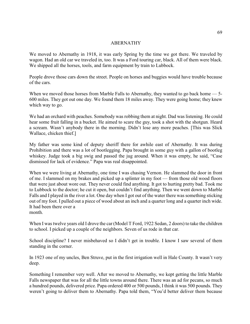### ABERNATHY

We moved to Abernathy in 1918, it was early Spring by the time we got there. We traveled by wagon. Had an old car we traveled in, too. It was a Ford touring car, black. All of them were black. We shipped all the horses, tools, and farm equipment by train to Lubbock.

People drove those cars down the street. People on horses and buggies would have trouble because of the cars.

When we moved those horses from Marble Falls to Abernathy, they wanted to go back home — 5-600 miles. They got out one day. We found them 18 miles away. They were going home; they knew which way to go.

We had an orchard with peaches. Somebody was robbing them at night. Dad was listening. He could hear some fruit falling in a bucket. He aimed to scare the guy, took a shot with the shotgun. Heard a scream. Wasn't anybody there in the morning. Didn't lose any more peaches. [This was Slick Wallace, chicken thief.]

My father was some kind of deputy sheriff there for awhile east of Abernathy. It was during Prohibition and there was a lot of bootlegging. Papa brought in some guy with a gallon of bootleg whiskey. Judge took a big swig and passed the jug around. When it was empty, he said, "Case dismissed for lack of evidence." Papa was real disappointed.

When we were living at Abernathy, one time I was chasing Vernon. He slammed the door in front of me. I slammed on my brakes and picked up a splinter in my foot — from those old wood floors that were just about wore out. They never could find anything. It got to hurting pretty bad. Took me to Lubbock to the doctor; he cut it open, but couldn't find anything. Then we went down to Marble Falls and I played in the river a lot. One day when I got out of the water there was something sticking out of my foot. I pulled out a piece of wood about an inch and a quarter long and a quarter inch wide. It had been there over a month.

When I was twelve years old I drove the car (Model T Ford, 1922 Sedan, 2 doors) to take the children to school. I picked up a couple of the neighbors. Seven of us rode in that car.

School discipline? I never misbehaved so I didn't get in trouble. I know I saw several of them standing in the corner.

In 1923 one of my uncles, Ben Struve, put in the first irrigation well in Hale County. It wasn't very deep.

Something I remember very well. After we moved to Abernathy, we kept getting the little Marble Falls newspaper that was for all the little towns around there. There was an ad for pecans, so much a hundred pounds, delivered price. Papa ordered 400 or 500 pounds, I think it was 500 pounds. They weren't going to deliver them to Abernathy. Papa told them, "You'd better deliver them because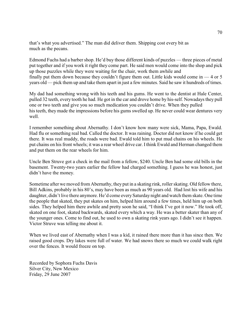that's what you advertised." The man did deliver them. Shipping cost every bit as much as the pecans.

Edmond Fuchs had a barber shop. He'd buy those different kinds of puzzles — three pieces of metal put together and if you work it right they come part. He said men would come into the shop and pick up those puzzles while they were waiting for the chair, work them awhile and finally put them down because they couldn't figure them out. Little kids would come in  $-4$  or 5 years old — pick them up and take them apart in just a few minutes. Said he saw it hundreds of times.

My dad had something wrong with his teeth and his gums. He went to the dentist at Hale Center, pulled 32 teeth, every tooth he had. He got in the car and drove home by his-self. Nowadays they pull one or two teeth and give you so much medication you couldn't drive. When they pulled his teeth, they made the impressions before his gums swelled up. He never could wear dentures very well.

I remember something about Abernathy. I don't know how many were sick, Mama, Papa, Ewald. Had flu or something real bad. Called the doctor. It was raining. Doctor did not know if he could get there. It was real muddy, the roads were bad. Ewald told him to put mud chains on his wheels. He put chains on his front wheels; it was a rear wheel drive car. I think Ewald and Herman changed them and put them on the rear wheels for him.

Uncle Ben Struve got a check in the mail from a fellow, \$240. Uncle Ben had some old bills in the basement. Twenty-two years earlier the fellow had charged something. I guess he was honest, just didn't have the money.

Sometime after we moved from Abernathy, they put in a skating rink, roller skating. Old fellow there, Bill Adkins, probably in his 80's, may have been as much as 90 years old. Had lost his wife and his daughter, didn't live there anymore. He'd come every Saturday night and watch them skate. One time the people that skated, they put skates on him, helped him around a few times, held him up on both sides. They helped him there awhile and pretty soon he said, "I think I've got it now." He took off, skated on one foot, skated backwards, skated every which a way. He was a better skater than any of the younger ones. Come to find out, he used to own a skating rink years ago. I didn't see it happen. Victor Struve was telling me about it.

When we lived east of Abernathy when I was a kid, it rained there more than it has since then. We raised good crops. Dry lakes were full of water. We had snows there so much we could walk right over the fences. It would freeze on top.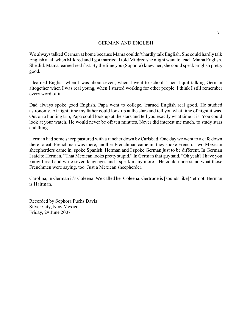## GERMAN AND ENGLISH

We always talked German at home because Mama couldn't hardly talk English. She could hardly talk English at all when Mildred and I got married. I told Mildred she might want to teach Mama English. She did. Mama learned real fast. By the time you (Sophora) knew her, she could speak English pretty good.

I learned English when I was about seven, when I went to school. Then I quit talking German altogether when I was real young, when I started working for other people. I think I still remember every word of it.

Dad always spoke good English. Papa went to college, learned English real good. He studied astronomy. At night time my father could look up at the stars and tell you what time of night it was. Out on a hunting trip, Papa could look up at the stars and tell you exactly what time it is. You could look at your watch. He would never be off ten minutes. Never did interest me much, to study stars and things.

Herman had some sheep pastured with a rancher down byCarlsbad. One day we went to a cafe down there to eat. Frenchman was there, another Frenchman came in, they spoke French. Two Mexican sheepherders came in, spoke Spanish. Herman and I spoke German just to be different. In German I said to Herman, "That Mexican looks pretty stupid." In German that guy said, "Oh yeah? I have you know I read and write seven languages and I speak many more." He could understand what those Frenchmen were saying, too. Just a Mexican sheepherder.

Carolina, in German it's Coleena. We called her Coleena. Gertrude is [sounds like]Yetroot. Herman is Hairman.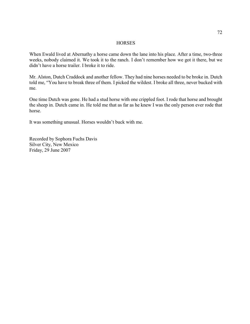#### **HORSES**

When Ewald lived at Abernathy a horse came down the lane into his place. After a time, two-three weeks, nobody claimed it. We took it to the ranch. I don't remember how we got it there, but we didn't have a horse trailer. I broke it to ride.

Mr. Alston, Dutch Craddock and another fellow. They had nine horses needed to be broke in. Dutch told me, "You have to break three of them. I picked the wildest. I broke all three, never bucked with me.

One time Dutch was gone. He had a stud horse with one crippled foot. I rode that horse and brought the sheep in. Dutch came in. He told me that as far as he knew I was the only person ever rode that horse.

It was something unusual. Horses wouldn't buck with me.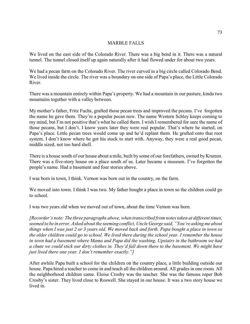# MARBLE FALLS

We lived on the east side of the Colorado River. There was a big bend in it. There was a natural tunnel. The tunnel closed itself up again naturally after it had flowed under for about two years.

We had a pecan farm on the Colorado River. The river curved in a big circle called Colorado Bend. We lived inside the circle. The river was a boundary on one side of Papa's place, the Little Colorado River.

There was a mountain entirely within Papa's property. We had a mountain in our pasture, kinda two mountains together with a valley between.

My mother's father, Fritz Fuchs, grafted those pecan trees and improved the pecans. I've forgotten the name he gave them. They're a popular pecan now. The name Western Schley keeps coming to my mind, but I'm not positive that's what he called them. I wish I remembered for sure the name of those pecans, but I don't. I know years later they were real popular. That's where he started, on Papa's place. Little pecan trees would come up and he'd replant them. He grafted onto that root system. I don't know where he got his stock to start with. Anyway, they were a real good pecan, middle sized, not too hard shell.

There is a house south of our house about a mile, built by some of our forefathers, owned by Krumm. There was a five-story house on a place south of us. Later became a museum. I've forgotten the people's name. Had a basement and four stories above.

I was born in town, I think. Vernon was born out in the country, on the farm.

We moved into town. I think I was two. My father bought a place in town so the children could go to school.

I was two years old when we moved out of town, about the time Vernon was born.

*[Recorder's note: The three paragraphs above, when transcribed from notes taken at different times, seemed to be in error. Asked about the seeming conflict, Uncle George said, "You're asking me about things when I was just 2 or 3 years old. We moved back and forth. Papa bought a place in town so the older children could go to school. We lived there during the school year. I remember the house in town had a basement where Mama and Papa did the washing. Upstairs in the bathroom we had a chute we could stick our dirty clothes in. They'd fall down there to the basement. We might have just lived there one year. I don't remember exactly."]*

After awhile Papa built a school for the children on the country place, a little building outside our house. Papa hired a teacher to come in and teach all the children around. All grades in one room. All the neighborhood children came. Eloise Crosby was the teacher. She was the famous roper Bob Crosby's sister. They lived close to Roswell. She stayed in our house. It was a two story house we lived in.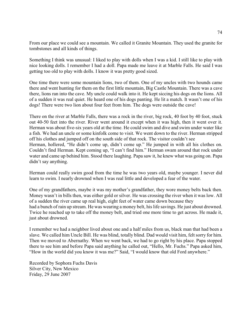From our place we could see a mountain. We called it Granite Mountain. They used the granite for tombstones and all kinds of things.

Something I think was unusual: I liked to play with dolls when I was a kid. I still like to play with nice looking dolls. I remember I had a doll. Papa made me leave it at Marble Falls. He said I was getting too old to play with dolls. I know it was pretty good sized.

One time there were some mountain lions, two of them. One of my uncles with two hounds came there and went hunting for them on the first little mountain, Big Castle Mountain. There was a cave there, lions ran into the cave. My uncle could walk into it. He kept siccing his dogs on the lions. All of a sudden it was real quiet. He heard one of his dogs panting. He lit a match. It wasn't one of his dogs! There were two lion about four feet from him. The dogs were outside the cave!

There on the river at Marble Falls, there was a rock in the river, big rock, 40 foot by 40 foot, stuck out 40-50 feet into the river. River went around it except when it was high, then it went over it. Herman was about five-six years old at the time. He could swim and dive and swim under water like a fish. We had an uncle or some kinfolk come to visit. We went down to the river. Herman stripped off his clothes and jumped off on the south side of that rock. The visitor couldn't see Herman, hollered, "He didn't come up, didn't come up." He jumped in with all his clothes on. Couldn't find Herman. Kept coming up, "I can't find him." Herman swam around that rock under water and came up behind him. Stood there laughing. Papa saw it, he knew what was going on. Papa didn't say anything.

Herman could really swim good from the time he was two years old, maybe younger. I never did learn to swim. I nearly drowned when I was real little and developed a fear of the water.

One of my grandfathers, maybe it was my mother's grandfather, they wore money belts back then. Money wasn't in bills then, was either gold or silver. He was crossing the river when it was low. All of a sudden the river came up real high, eight feet of water came down because they had a bunch of rain up stream. He was wearing a money belt, his life savings. He just about drowned. Twice he reached up to take off the money belt, and tried one more time to get across. He made it, just about drowned.

I remember we had a neighbor lived about one and a half miles from us, black man that had been a slave. We called him Uncle Bill. He was blind, totally blind. Dad would visit him, felt sorry for him. Then we moved to Abernathy. When we went back, we had to go right by his place. Papa stopped there to see him and before Papa said anything he called out, "Hello, Mr. Fuchs." Papa asked him, "How in the world did you know it was me?" Said, "I would know that old Ford anywhere."

Recorded by Sophora Fuchs Davis Silver City, New Mexico Friday, 29 June 2007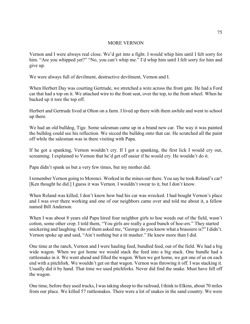# MORE VERNON

Vernon and I were always real close. We'd get into a fight. I would whip him until I felt sorry for him. "Are you whipped yet?" "No, you can't whip me." I'd whip him until I felt sorry for him and give up.

We were always full of devilment, destructive devilment, Vernon and I.

When Herbert Day was courting Gertrude, we stretched a wire across the front gate. He had a Ford car that had a top on it. We attached wire to the front seat, over the top, to the front wheel. When he backed up it tore the top off.

Herbert and Gertrude lived at Olton on a farm. I lived up there with them awhile and went to school up there.

We had an old bulldog, Tige. Some salesman came up in a brand new car. The way it was painted the bulldog could see his reflection. We sicced the bulldog onto that car. He scratched all the paint off while the salesman was in there visiting with Papa.

If he got a spanking, Vernon wouldn't cry. If I got a spanking, the first lick I would cry out, screaming. I explained to Vernon that he'd get off easier if he would cry. He wouldn't do it.

Papa didn't spank us but a very few times, but my mother did.

Iremember Vernon going to Morenci. Worked in the mines out there. You say he took Roland's car? [Ken thought he did.] I guess it was Vernon. I wouldn't swear to it, but I don't know.

When Roland was killed, I don't know how bad his car was wrecked. I had bought Vernon's place and I was over there working and one of our neighbors came over and told me about it, a fellow named Bill Anderson.

When I was about 8 years old Papa hired four neighbor girls to hoe weeds out of the field, wasn't cotton, some other crop. I told them, "You girls are really a good bunch of hoe-ers." They started snickering and laughing. One of them asked me, "George do you know what a brassiere is?" I didn't. Vernon spoke up and said, "Ain't nothing but a tit masher." He knew more than I did.

One time at the ranch, Vernon and I were hauling feed, bundled feed, out of the field. We had a big wide wagon. When we got home we would stack the feed into a big stack. One bundle had a rattlesnake in it. We went ahead and filled the wagon. When we got home, we got one of us on each end with a pitchfork. We wouldn't get on that wagon. Vernon was throwing it off. I was stacking it. Usually did it by hand. That time we used pitchforks. Never did find the snake. Must have fell off the wagon.

One time, before they used trucks, I was taking sheep to the railroad, I think to Elkins, about 70 miles from our place. We killed 57 rattlesnakes. There were a lot of snakes in the sand country. We were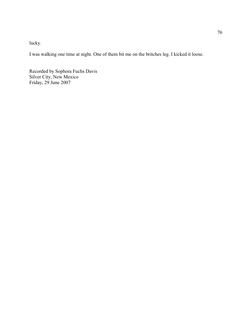lucky.

I was walking one time at night. One of them bit me on the britches leg. I kicked it loose.

Recorded by Sophora Fuchs Davis Silver City, New Mexico Friday, 29 June 2007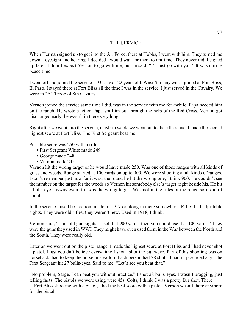# THE SERVICE

When Herman signed up to get into the Air Force, there at Hobbs, I went with him. They turned me down—eyesight and hearing. I decided I would wait for them to draft me. They never did. I signed up later. I didn't expect Vernon to go with me, but he said, "I'll just go with you." It was during peace time.

I went off and joined the service. 1935. I was 22 years old. Wasn't in any war. I joined at Fort Bliss, El Paso. I stayed there at Fort Bliss all the time I was in the service. I just served in the Cavalry. We were in "A" Troop of 8th Cavalry.

Vernon joined the service same time I did, was in the service with me for awhile. Papa needed him on the ranch. He wrote a letter. Papa got him out through the help of the Red Cross. Vernon got discharged early; he wasn't in there very long.

Right after we went into the service, maybe a week, we went out to the rifle range. I made the second highest score at Fort Bliss. The First Sergeant beat me.

Possible score was 250 with a rifle.

- First Sergeant White made 249
- George made 248
- Vernon made 245.

Vernon hit the wrong target or he would have made 250. Was one of those ranges with all kinds of grass and weeds. Range started at 100 yards on up to 900. We were shooting at all kinds of ranges. I don't remember just how far it was, the round he hit the wrong one, I think 900. He couldn't see the number on the target for the weeds so Vernon hit somebody else's target, right beside his. He hit a bulls-eye anyway even if it was the wrong target. Was not in the rules of the range so it didn't count.

In the service I used bolt action, made in 1917 or along in there somewhere. Rifles had adjustable sights. They were old rifles, they weren't new. Used in 1918, I think.

Vernon said, "This old gun sights — set it at 900 yards, then you could use it at 100 yards." They were the guns they used in WWI. They might have even used them in the War between the North and the South. They were really old.

Later on we went out on the pistol range. I made the highest score at Fort Bliss and I had never shot a pistol. I just couldn't believe every time I shot I shot the bulls-eye. Part of this shooting was on horseback, had to keep the horse in a gallop. Each person had 28 shots. I hadn't practiced any. The First Sergeant hit 27 bulls-eyes. Said to me, "Let's see you beat that."

"No problem, Sarge. I can beat you without practice." I shot 28 bulls-eyes. I wasn't bragging, just telling facts. The pistols we were using were 45s, Colts, I think. I was a pretty fair shot. There at Fort Bliss shooting with a pistol, I had the best score with a pistol. Vernon wasn't there anymore for the pistol.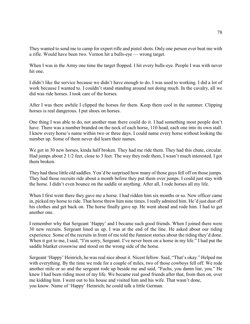They wanted to send me to camp for expert rifle and pistol shots. Only one person ever beat me with a rifle. Would have been two. Vernon hit a bulls-eye — wrong target.

When I was in the Army one time the target flopped. I hit every bulls-eye. People I was with never hit one.

I didn't like the service because we didn't have enough to do. I was used to working. I did a lot of work because I wanted to. I couldn't stand standing around not doing much. In the cavalry, all we did was ride horses. I took care of the horses.

After I was there awhile I clipped the horses for them. Keep them cool in the summer. Clipping horses is real dangerous. I put shoes on horses.

One thing I was able to do, not another man there could do it. I had something most people don't have. There was a number branded on the neck of each horse, 110 head, each one into its own stall. I knew every horse's name within two or three days. I could name every horse without looking the number up. Some of them never did learn their names.

We got in 30 new horses, kinda half broken. They had me ride them. They had this chute, circular. Had jumps about 2 1/2 feet, close to 3 feet. The way they rode them, I wasn't much interested. I got them broken.

They had these little old saddles. You'd be surprised how many of those guys fell off on those jumps. They had those recruits ride about a month before they put them over jumps. I could just stay with the horse. I didn't even bounce on the saddle or anything. After all, I rode horses all my life.

When I first went there they gave me a horse. I had ridden him six months or so. New officer came in, picked my horse to ride. That horse threw him nine times. I really admired him. He'd just dust off his clothes and get back on. The horse finally gave up. He went ahead and rode him. I had to get another one.

I remember why that Sergeant 'Happy' and I became such good friends. When I joined there were 30 new recruits. Sergeant lined us up. I was at the end of the line. He asked about our riding experience. Some of the recruits in front of me told the funniest stories about the riding they'd done. When it got to me, I said, "I'm sorry, Sergeant. I've never been on a horse in my life." I had put the saddle blanket crosswise and stood on the wrong side of the horse.

Sergeant 'Happy' Heinrich, he was real nice about it. Nicest fellow. Said, "That's okay." Helped me with everything. By the time we rode for a couple of miles, two of those cowboys fell off. We rode another mile or so and the sergeant rode up beside me and said, "Fuchs, you damn liar, you." He knew I had been riding most of my life. We became real good friends after that, from then on, over me kidding him. I went out to his house and visited him and his wife. That wasn't done, you know. Name of 'Happy' Heinrich; he could talk a little German.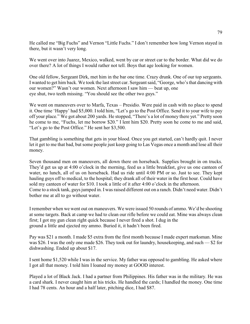He called me "Big Fuchs" and Vernon "Little Fuchs." I don't remember how long Vernon stayed in there, but it wasn't very long.

We went over into Juarez, Mexico, walked, went by car or street car to the border. What did we do over there? A lot of things I would rather not tell. Boys that age looking for women.

One old fellow, Sergeant Dirk, met him in the bar one time. Crazy drunk. One of our top sergeants. I wanted to get him back. We took the last street car. Sergeant said, "George, who's that dancing with our women?" Wasn't our women. Next afternoon I saw him — beat up, one eye shut, two teeth missing. "You should see the other two guys."

We went on maneuvers over to Marfa, Texas – Presidio. Were paid in cash with no place to spend it. One time 'Happy' had \$5,000. I told him, "Let's go to the Post Office. Send it to your wife to pay off your place." We got about 200 yards. He stopped, "There's a lot of money there yet." Pretty soon he come to me, "Fuchs, let me borrow \$20." I lent him \$20. Pretty soon he come to me and said, "Let's go to the Post Office." He sent her \$3,500.

That gambling is something that gets in your blood. Once you get started, can't hardly quit. I never let it get to me that bad, but some people just keep going to Las Vegas once a month and lose all their money.

Seven thousand men on maneuvers, all down there on horseback. Supplies brought in on trucks. They'd get us up at 4:00 o'clock in the morning, feed us a little breakfast, give us one canteen of water, no lunch, all of us on horseback. Had us ride until 4:00 PM or so. Just to see. They kept hauling guys off to medical, to the hospital; they drank all of their water in the first hour. Could have sold my canteen of water for \$10. I took a little of it after 4:00 o'clock in the afternoon. Come to a stock tank, guys jumped in. I was raised different out on a ranch. Didn't need water. Didn't bother me at all to go without water.

I remember when we went out on maneuvers. We were issued 50 rounds of ammo. We'd be shooting at some targets. Back at camp we had to clean our rifle before we could eat. Mine was always clean first; I got my gun clean right quick because I never fired a shot. I dug in the ground a little and ejected my ammo. Buried it, it hadn't been fired.

Pay was \$21 a month. I made \$5 extra from the first month because I made expert marksman. Mine was \$26. I was the only one made \$26. They took out for laundry, housekeeping, and such — \$2 for dishwashing. Ended up about \$17.

I sent home \$1,520 while I was in the service. My father was opposed to gambling. He asked where I got all that money. I told him I loaned my money at GOOD interest.

Played a lot of Black Jack. I had a partner from Philippines. His father was in the military. He was a card shark. I never caught him at his tricks. He handled the cards; I handled the money. One time I had 78 cents. An hour and a half later, pitching dice, I had \$87.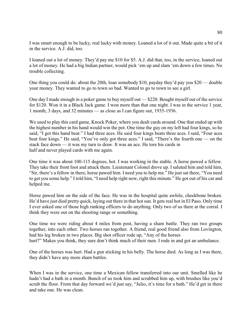I was smart enough to be lucky, real lucky with money. Loaned a lot of it out. Made quite a bit of it in the service. A.J. did, too.

I loaned out a lot of money. They'd pay me \$10 for \$5. A.J. did that, too, in the service, loaned out a lot of money. He had a big Indian partner, would pick 'em up and slam 'em down a few times. No trouble collecting.

One thing you could do: about the 20th, loan somebody \$10, payday they'd pay you \$20 — double your money. They wanted to go to town so bad. Wanted to go to town to see a girl.

One day I made enough in a poker game to buy myself out — \$220. Bought myself out of the service for \$120. Won it in a Black Jack game. I won more than that one night. I was in the service 1 year, 1 month, 3 days, and 32 minutes — as close as I can figure out, 1935-1936.

We used to play this card game, Knock Poker, where you dealt cards around. One that ended up with the highest number in his hand would win the pot. One time the guy on my left had four kings, so he said, "I got this hand beat." I had three aces. He said four kings beats three aces. I said, "Four aces beat four kings." He said, "You've only got three aces." I said, "There's the fourth one — on the stack face down — it was my turn to draw. It was an ace. He tore his cards in half and never played cards with me again.

One time it was about 100-115 degrees, hot. I was working in the stable. A horse pawed a fellow. They take their front foot and attack them. Lieutenant Colonel drove up. I saluted him and told him, "Sir, there's a fellow in there, horse pawed him. I need you to help me." He just sat there, "You need to get you some help." I told him, "I need help right now, right this minute." He got out of his car and helped me.

Horse pawed him on the side of the face. He was in the hospital quite awhile, cheekbone broken. He'd have just died pretty quick, laying out there in that hot sun. It gets real hot in El Paso. Only time I ever asked one of those high ranking officers to do anything. Only two of us there at the corral. I think they were out on the shooting range or something.

One time we were riding about 4 miles from post, having a sham battle. They ran two groups together, into each other. Two horses ran together. A friend, real good friend also from Lovington, had his leg broken in two places. Big shot officer rode up, "Any of the horses hurt?" Makes you think, they sure don't think much of their men. I rode in and got an ambulance.

One of the horses was hurt. Had a gun sticking in his belly. The horse died. As long as I was there, they didn't have any more sham battles.

When I was in the service, one time a Mexican fellow transferred into our unit. Smelled like he hadn't had a bath in a month. Bunch of us took him and scrubbed him up, with brushes like you'd scrub the floor. From that day forward we'd just say, "Julio, it's time for a bath." He'd get in there and take one. He was clean.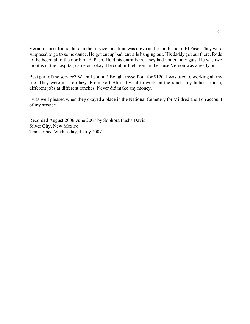Vernon's best friend there in the service, one time was down at the south end of El Paso. They were supposed to go to some dance. He got cut up bad, entrails hanging out. His daddy got out there. Rode to the hospital in the north of El Paso. Held his entrails in. They had not cut any guts. He was two months in the hospital, came out okay. He couldn't tell Vernon because Vernon was already out.

Best part of the service? When I got out! Bought myself out for \$120. I was used to working all my life. They were just too lazy. From Fort Bliss, I went to work on the ranch, my father's ranch, different jobs at different ranches. Never did make any money.

I was well pleased when they okayed a place in the National Cemetery for Mildred and I on account of my service.

Recorded August 2006-June 2007 by Sophora Fuchs Davis Silver City, New Mexico Transcribed Wednesday, 4 July 2007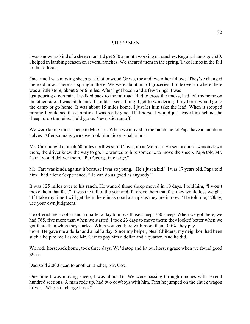#### SHEEP MAN

I was known as kind of a sheep man. I'd get \$50 a month working on ranches. Regular hands got \$30. I helped in lambing season on several ranches. We sheared them in the spring. Take lambs in the fall to the railroad.

One time I was moving sheep past Cottonwood Grove, me and two other fellows. They've changed the road now. There's a spring in there. We were about out of groceries. I rode over to where there was a little store, about 5 or 6 miles. After I got bacon and a few things it was just pouring down rain. I walked back to the railroad. Had to cross the tracks, had left my horse on the other side. It was pitch dark; I couldn't see a thing. I got to wondering if my horse would go to the camp or go home. It was about 15 miles home. I just let him take the lead. When it stopped raining I could see the campfire. I was really glad. That horse, I would just leave him behind the sheep, drop the reins. He'd graze. Never did run off.

We were taking those sheep to Mr. Carr. When we moved to the ranch, he let Papa have a bunch on halves. After so many years we took him his original bunch.

Mr. Carr bought a ranch 60 miles northwest of Clovis, up at Melrose. He sent a chuck wagon down there, the driver knew the way to go. He wanted to hire someone to move the sheep. Papa told Mr. Carr I would deliver them, "Put George in charge."

Mr. Carr was kinda against it because I was so young. "He's just a kid." I was 17 years old. Papa told him I had a lot of experience, "He can do as good as anybody."

It was 125 miles over to his ranch. He wanted those sheep moved in 10 days. I told him, "I won't move them that fast." It was the fall of the year and if I drove them that fast they would lose weight. "If I take my time I will get them there in as good a shape as they are in now." He told me, "Okay, use your own judgment."

He offered me a dollar and a quarter a day to move those sheep, 760 sheep. When we got there, we had 765, five more than when we started. I took 23 days to move them; they looked better when we got there than when they started. When you get there with more than 100%, they pay more. He gave me a dollar and a half a day. Since my helper, Neal Childers, my neighbor, had been such a help to me I asked Mr. Carr to pay him a dollar and a quarter. And he did.

We rode horseback home, took three days. We'd stop and let our horses graze when we found good grass.

Dad sold 2,000 head to another rancher, Mr. Cox.

One time I was moving sheep; I was about 16. We were passing through ranches with several hundred sections. A man rode up, had two cowboys with him. First he jumped on the chuck wagon driver. "Who's in charge here?"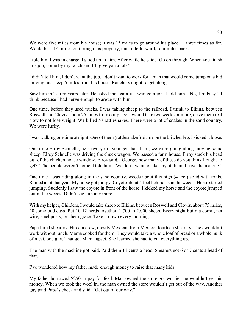We were five miles from his house; it was 15 miles to go around his place — three times as far. Would be 1 1/2 miles on through his property; one mile forward, four miles back.

I told him I was in charge. I stood up to him. After while he said, "Go on through. When you finish this job, come by my ranch and I'll give you a job."

I didn't tell him, I don't want the job. I don't want to work for a man that would come jump on a kid moving his sheep 5 miles from his house. Ranchers ought to get along.

Saw him in Tatum years later. He asked me again if I wanted a job. I told him, "No, I'm busy." I think because I had nerve enough to argue with him.

One time, before they used trucks, I was taking sheep to the railroad, I think to Elkins, between Roswell and Clovis, about 75 miles from our place. I would take two weeks or more, drive them real slow to not lose weight. We killed 57 rattlesnakes. There were a lot of snakes in the sand country. We were lucky.

I was walking one time at night. One of them (rattlesnakes) bit me on the britches leg. I kicked it loose.

One time Elroy Schnelle, he's two years younger than I am, we were going along moving some sheep. Elroy Schnelle was driving the chuck wagon. We passed a farm house. Elroy stuck his head out of the chicken house window. Elroy said, "George, how many of these do you think I ought to get?" The people weren't home. I told him, "We don't want to take any of them. Leave them alone."

One time I was riding along in the sand country, weeds about this high (4 feet) solid with trails. Rained a lot that year. My horse got jumpy. Coyote about 4 feet behind us in the weeds. Horse started jumping. Suddenly I saw the coyote in front of the horse. I kicked my horse and the coyote jumped out in the weeds. Didn't see him any more.

With my helper, Childers, I would take sheep to Elkins, between Roswell and Clovis, about 75 miles, 20 some-odd days. Put 10-12 herds together, 1,700 to 2,000 sheep. Every night build a corral, net wire, steel posts, let them graze. Take it down every morning.

Papa hired shearers. Hired a crew, mostly Mexican from Mexico, fourteen shearers. They wouldn't work without lunch. Mama cooked for them. They would take a whole loaf of bread or a whole hunk of meat, one guy. That got Mama upset. She learned she had to cut everything up.

The man with the machine got paid. Paid them 11 cents a head. Shearers got 6 or 7 cents a head of that.

I've wondered how my father made enough money to raise that many kids.

My father borrowed \$250 to pay for feed. Man owned the store got worried he wouldn't get his money. When we took the wool in, the man owned the store wouldn't get out of the way. Another guy paid Papa's check and said, "Get out of our way."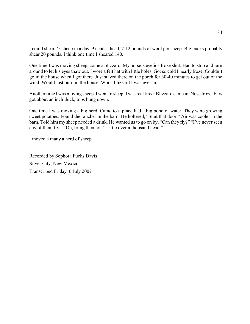I could shear 75 sheep in a day, 9 cents a head, 7-12 pounds of wool per sheep. Big bucks probably shear 20 pounds. I think one time I sheared 140.

One time I was moving sheep, come a blizzard. My horse's eyelids froze shut. Had to stop and turn around to let his eyes thaw out. I wore a felt hat with little holes. Got so cold I nearly froze. Couldn't go in the house when I got there. Just stayed there on the porch for 30-40 minutes to get out of the wind. Would just burn in the house. Worst blizzard I was ever in.

Another time I was moving sheep. I went to sleep; I was real tired. Blizzard came in. Nose froze. Ears got about an inch thick, tops hung down.

One time I was moving a big herd. Came to a place had a big pond of water. They were growing sweet potatoes. Found the rancher in the barn. He hollered, "Shut that door." Air was cooler in the barn. Told him my sheep needed a drink. He wanted us to go on by, "Can they fly?" "I've never seen any of them fly." "Oh, bring them on." Little over a thousand head."

I moved a many a herd of sheep.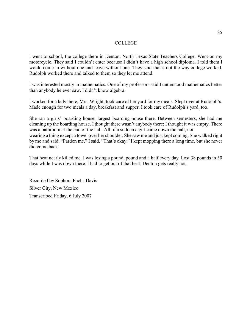#### **COLLEGE**

I went to school, the college there in Denton, North Texas State Teachers College. Went on my motorcycle. They said I couldn't enter because I didn't have a high school diploma. I told them I would come in without one and leave without one. They said that's not the way college worked. Rudolph worked there and talked to them so they let me attend.

I was interested mostly in mathematics. One of my professors said I understood mathematics better than anybody he ever saw. I didn't know algebra.

I worked for a lady there, Mrs. Wright, took care of her yard for my meals. Slept over at Rudolph's. Made enough for two meals a day, breakfast and supper. I took care of Rudolph's yard, too.

She ran a girls' boarding house, largest boarding house there. Between semesters, she had me cleaning up the boarding house. I thought there wasn't anybody there; I thought it was empty. There was a bathroom at the end of the hall. All of a sudden a girl came down the hall, not wearing a thing except a towel over her shoulder. She saw me and just kept coming. She walked right by me and said, "Pardon me." I said, "That's okay." I kept mopping there a long time, but she never did come back.

That heat nearly killed me. I was losing a pound, pound and a half every day. Lost 38 pounds in 30 days while I was down there. I had to get out of that heat. Denton gets really hot.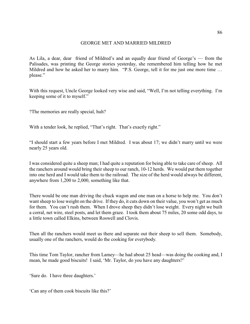# GEORGE MET AND MARRIED MILDRED

As Lila, a dear, dear friend of Mildred's and an equally dear friend of George's — from the Palisades, was printing the George stories yesterday, she remembered him telling how he met Mildred and how he asked her to marry him. "P.S. George, tell it for me just one more time … please."

With this request, Uncle George looked very wise and said, "Well, I'm not telling everything. I'm keeping some of it to myself."

?The memories are really special, huh?

With a tender look, he replied, "That's right. That's exactly right."

"I should start a few years before I met Mildred. I was about 17; we didn't marry until we were nearly 25 years old.

I was considered quite a sheep man; I had quite a reputation for being able to take care of sheep. All the ranchers around would bring their sheep to our ranch, 10-12 herds. We would put them together into one herd and I would take them to the railroad. The size of the herd would always be different, anywhere from 1,200 to 2,000, something like that.

There would be one man driving the chuck wagon and one man on a horse to help me. You don't want sheep to lose weight on the drive. If they do, it cuts down on their value, you won't get as much for them. You can't rush them. When I drove sheep they didn't lose weight. Every night we built a corral, net wire, steel posts, and let them graze. I took them about 75 miles, 20 some odd days, to a little town called Elkins, between Roswell and Clovis.

Then all the ranchers would meet us there and separate out their sheep to sell them. Somebody, usually one of the ranchers, would do the cooking for everybody.

This time Tom Taylor, rancher from Lamey—he had about 25 head—was doing the cooking and, I mean, he made good biscuits! I said, 'Mr. Taylor, do you have any daughters?'

'Sure do. I have three daughters.'

'Can any of them cook biscuits like this?'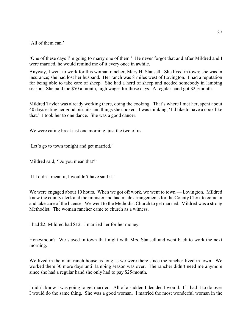'All of them can.'

'One of these days I'm going to marry one of them.' He never forgot that and after Mildred and I were married, he would remind me of it every once in awhile.

Anyway, I went to work for this woman rancher, Mary H. Stansell. She lived in town; she was in insurance; she had lost her husband. Her ranch was 8 miles west of Lovington. I had a reputation for being able to take care of sheep. She had a herd of sheep and needed somebody in lambing season. She paid me \$50 a month, high wages for those days. A regular hand got \$25/month.

Mildred Taylor was already working there, doing the cooking. That's where I met her, spent about 40 days eating her good biscuits and things she cooked. I was thinking, 'I'd like to have a cook like that.' I took her to one dance. She was a good dancer.

We were eating breakfast one morning, just the two of us.

'Let's go to town tonight and get married.'

Mildred said, 'Do you mean that?'

'If I didn't mean it, I wouldn't have said it.'

We were engaged about 10 hours. When we got off work, we went to town — Lovington. Mildred knew the county clerk and the minister and had made arrangements for the County Clerk to come in and take care of the license. We went to the Methodist Church to get married. Mildred was a strong Methodist. The woman rancher came to church as a witness.

I had \$2; Mildred had \$12. I married her for her money.

Honeymoon? We stayed in town that night with Mrs. Stansell and went back to work the next morning.

We lived in the main ranch house as long as we were there since the rancher lived in town. We worked there 30 more days until lambing season was over. The rancher didn't need me anymore since she had a regular hand she only had to pay \$25/month.

I didn't know I was going to get married. All of a sudden I decided I would. If I had it to do over I would do the same thing. She was a good woman. I married the most wonderful woman in the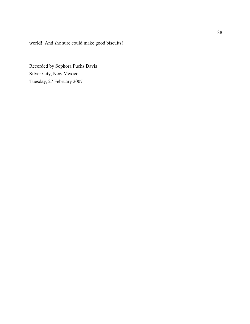world! And she sure could make good biscuits!

Recorded by Sophora Fuchs Davis Silver City, New Mexico Tuesday, 27 February 2007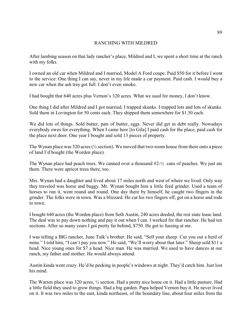# RANCHING WITH MILDRED

After lambing season on that lady rancher's place, Mildred and I, we spent a short time at the ranch with my folks.

I owned an old car when Mildred and I married, Model A Ford coupe. Paid \$50 for it before I went to the service. One thing I can say, never in my life made a car payment. Paid cash. I would buy a new car when the ash tray got full. I don't even smoke.

I had bought that 640 acres plus Vernon's 320 acres. What we used for money, I don't know.

One thing I did after Mildred and I got married, I trapped skunks. I trapped lots and lots of skunks. Sold them in Lovington for 50 cents each. They shipped them somewhere for \$1.50 each.

We did lots of things. Sold butter, pats of butter, eggs. Never did get in debt really. Nowadays everybody owes for everything. When I came here [to Gila] I paid cash for the place, paid cash for the place next door. One year I bought and sold 13 pieces of property.

The Wynan place was 320 acres ( $\frac{1}{2}$  section). We moved that two-room house from there onto a piece of land I'd bought (the Worden place).

The Wynan place had peach trees. We canned over a thousand  $#2-\frac{1}{2}$  cans of peaches. We just ate them. There were apricot trees there, too.

Mrs. Wynan had a daughter and lived about 17 miles north and west of where we lived. Only way they traveled was horse and buggy. Mr. Wynan bought him a little feed grinder. Used a team of horses to run it, went round and round. One day there by himself, he caught two fingers in the grinder. The folks were in town. Was a blizzard. He cut his two fingers off, got on a horse and rode to town.

I bought 640 acres (the Worden place) from Seth Austin, 240 acres deeded, the rest state lease land. The deal was to pay down nothing and pay it out when I can. I worked for that rancher. He had ten sections. After so many years I got pretty far behind, \$750. He got to fussing at me.

I was telling a BIG rancher, June Tulk's brother. He said, "Sell your sheep. Cut you out a herd of mine." I told him, "I can't pay you now." He said, "We'll worry about that later." Sheep sold \$11 a head. Nice young ones for \$7 a head. Nice man. He was married. We used to have dances at our ranch, my father and mother. He would always attend.

Austin kinda went crazy. He'd be peeking in people's windows at night. They'd catch him. Just lost his mind.

The Warren place was 320 acres, ½ section. Had a pretty nice home on it. Had a little pasture. Had a little field they used to grow things. Had a big garden. Papa helped Vernon buy it. He never lived on it. It was two miles to the east, kinda northeast, of the boundary line, about four miles from the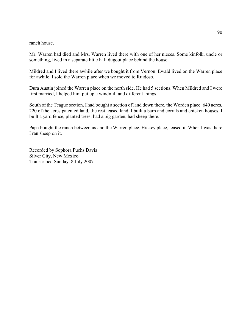ranch house.

Mr. Warren had died and Mrs. Warren lived there with one of her nieces. Some kinfolk, uncle or something, lived in a separate little half dugout place behind the house.

Mildred and I lived there awhile after we bought it from Vernon. Ewald lived on the Warren place for awhile. I sold the Warren place when we moved to Ruidoso.

Dura Austin joined the Warren place on the north side. He had 5 sections. When Mildred and I were first married, I helped him put up a windmill and different things.

South of the Teague section, I had bought a section of land down there, the Worden place: 640 acres, 220 of the acres patented land, the rest leased land. I built a barn and corrals and chicken houses. I built a yard fence, planted trees, had a big garden, had sheep there.

Papa bought the ranch between us and the Warren place, Hickey place, leased it. When I was there I ran sheep on it.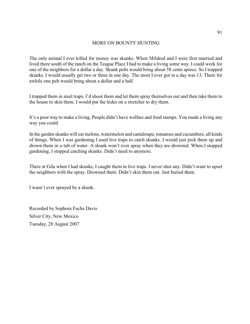# MORE ON BOUNTY HUNTING

The only animal I ever killed for money was skunks. When Mildred and I were first married and lived there south of the ranch on the Teague Place I had to make a living some way. I could work for one of the neighbors for a dollar a day. Skunk pelts would bring about 58 cents apiece. So I trapped skunks. I would usually get two or three in one day. The most I ever got in a day was 13. There for awhile one pelt would bring about a dollar and a half.

I trapped them in steel traps. I'd shoot them and let them spray theirselves out and then take them to the house to skin them. I would put the hides on a stretcher to dry them.

It's a poor way to make a living. People didn't have welfare and food stamps. You made a living any way you could.

In the garden skunks will eat melons, watermelon and cantaloupe, tomatoes and cucumbers, all kinds of things. When I was gardening I used live traps to catch skunks. I would just pick them up and drown them in a tub of water. A skunk won't ever spray when they are drowned. When I stopped gardening, I stopped catching skunks. Didn't need to anymore.

There at Gila when I had skunks, I caught them in live traps. I never shot any. Didn't want to upset the neighbors with the spray. Drowned them. Didn't skin them out. Just buried them.

I wasn't ever sprayed by a skunk.

Recorded by Sophora Fuchs Davis Silver City, New Mexico Tuesday, 28 August 2007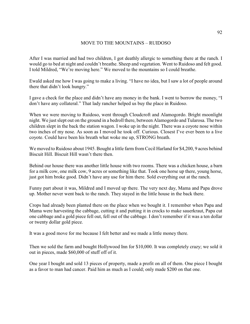# MOVE TO THE MOUNTAINS – RUIDOSO

After I was married and had two children, I got deathly allergic to something there at the ranch. I would go to bed at night and couldn't breathe. Sheep and vegetation. Went to Ruidoso and felt good. I told Mildred, "We're moving here." We moved to the mountains so I could breathe.

Ewald asked me how I was going to make a living. "I have no idea, but I saw a lot of people around there that didn't look hungry."

I gave a check for the place and didn't have any money in the bank. I went to borrow the money, "I don't have any collateral." That lady rancher helped us buy the place in Ruidoso.

When we were moving to Ruidoso, went through Cloudcroft and Alamogordo. Bright moonlight night. We just slept out on the ground in a bedroll there, between Alamogordo and Tularosa. The two children slept in the back the station wagon. I woke up in the night. There was a coyote nose within two inches of my nose. As soon as I moved he took off. Curious. Closest I've ever been to a live coyote. Could have been his breath what woke me up, STRONG breath.

We moved to Ruidoso about 1945. Bought a little farm from Cecil Harland for \$4,200, 9 acres behind Biscuit Hill. Biscuit Hill wasn't there then.

Behind our house there was another little house with two rooms. There was a chicken house, a barn for a milk cow, one milk cow, 9 acres or something like that. Took one horse up there, young horse, just got him broke good. Didn't have any use for him there. Sold everything out at the ranch.

Funny part about it was, Mildred and I moved up there. The very next day, Mama and Papa drove up. Mother never went back to the ranch. They stayed in the little house in the back there.

Crops had already been planted there on the place when we bought it. I remember when Papa and Mama were harvesting the cabbage, cutting it and putting it in crocks to make sauerkraut, Papa cut one cabbage and a gold piece fell out, fell out of the cabbage. I don't remember if it was a ten dollar or twenty dollar gold piece.

It was a good move for me because I felt better and we made a little money there.

Then we sold the farm and bought Hollywood Inn for \$10,000. It was completely crazy; we sold it out in pieces, made \$60,000 of stuff off of it.

One year I bought and sold 13 pieces of property, made a profit on all of them. One piece I bought as a favor to man had cancer. Paid him as much as I could; only made \$200 on that one.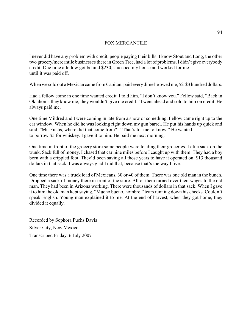# FOX MERCANTILE

I never did have any problem with credit, people paying their bills. I know Stout and Long, the other two grocery/mercantile businesses there in Green Tree, had a lot of problems. I didn't give everybody credit. One time a fellow got behind \$230, stuccoed my house and worked for me until it was paid off.

When we sold out a Mexican came from Capitan, paid every dime he owed me, \$2-\$3 hundred dollars.

Had a fellow come in one time wanted credit. I told him, "I don't know you." Fellow said, "Back in Oklahoma they know me; they wouldn't give me credit." I went ahead and sold to him on credit. He always paid me.

One time Mildred and I were coming in late from a show or something. Fellow came right up to the car window. When he did he was looking right down my gun barrel. He put his hands up quick and said, "Mr. Fuchs, where did that come from?" "That's for me to know." He wanted to borrow \$5 for whiskey. I gave it to him. He paid me next morning.

One time in front of the grocery store some people were loading their groceries. Left a sack on the trunk. Sack full of money. I chased that car nine miles before I caught up with them. They had a boy born with a crippled foot. They'd been saving all those years to have it operated on. \$13 thousand dollars in that sack. I was always glad I did that, because that's the way I live.

One time there was a truck load of Mexicans, 30 or 40 of them. There was one old man in the bunch. Dropped a sack of money there in front of the store. All of them turned over their wages to the old man. They had been in Arizona working. There were thousands of dollars in that sack. When I gave it to him the old man kept saying, "Mucho bueno, hombre," tears running down his cheeks. Couldn't speak English. Young man explained it to me. At the end of harvest, when they got home, they divided it equally.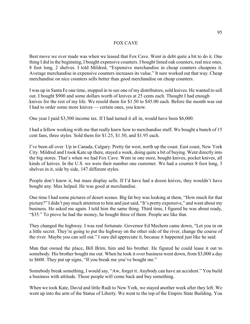# FOX CAVE

Best move we ever made was when we leased that Fox Cave. Went in debt quite a bit to do it. One thing I did in the beginning, I bought expensive counters. I bought limed oak counters, real nice ones, 8 foot long, 2 shelves. I told Mildred, "Expensive merchandise in cheap counters cheapens it. Average merchandise in expensive counters increases its value." It sure worked out that way. Cheap merchandise on nice counters sells better than good merchandise on cheap counters.

I was up in Santa Fe one time, stopped in to see one of my distributors, sold knives. He wanted to sell out. I bought \$900 and some dollars worth of knives at 25 cents each. Thought I had enough knives for the rest of my life. We resold them for \$1.50 to \$45.00 each. Before the month was out I had to order some more knives — certain ones, you know.

One year I paid \$3,500 income tax. If I had turned it all in, would have been \$6,000.

I had a fellow working with me that really knew how to merchandise stuff. We bought a bunch of 15 cent fans, three styles. Sold them for \$1.25, \$1.50, and \$1.95 each.

I've been all over. Up in Canada, Calgary. Pretty far west, north up the coast. East coast, New York City. Mildred and I took Kate up there, stayed a week, doing quite a bit of buying. Went directly into the big stores. That's when we had Fox Cave. Went in one store, bought knives, pocket knives, all kinds of knives. In the U.S. we were their number one customer. We had a counter 8 foot long, 3 shelves in it, side by side, 147 different styles.

People don't know it, but mass display sells. If I'd have had a dozen knives, they wouldn't have bought any. Max helped. He was good at merchandise.

One time I had some pictures of desert scenes. Big fat boy was looking at them, "How much for that picture?" I didn't pay much attention to him and just said, "It's pretty expensive," and went about my business. He asked me again. I told him the same thing. Third time, I figured he was about ready, "\$35." To prove he had the money, he bought three of them. People are like that.

They changed the highway. I was real fortunate. Governor Ed Mechem came down, "Let you in on a little secret. They're going to put the highway on the other side of the river, change the course of the river. Maybe you can sell out." I sure did appreciate it, because it happened just like he said.

Man that owned the place, Bill Brim, him and his brother. He figured he could lease it out to somebody. His brother bought me out. When he took it over business went down, from \$3,000 a day to \$600. They put up signs, "If you break me you've bought me."

Somebody break something, I would say, "Aw, forget it. Anybody can have an accident." You build a business with attitude. Those people will come back and buy something.

When we took Kate, David and little Rudi to New York, we stayed another week after they left. We went up into the arm of the Statue of Liberty. We went to the top of the Empire State Building. You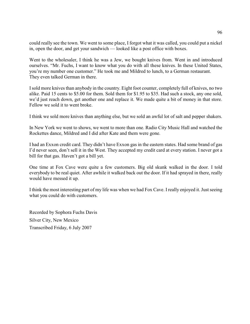could really see the town. We went to some place, I forgot what it was called, you could put a nickel in, open the door, and get your sandwich — looked like a post office with boxes.

Went to the wholesaler, I think he was a Jew, we bought knives from. Went in and introduced ourselves. "Mr. Fuchs, I want to know what you do with all these knives. In these United States, you're my number one customer." He took me and Mildred to lunch, to a German restaurant. They even talked German in there.

I sold more knives than anybody in the country. Eight foot counter, completely full of knives, no two alike. Paid 15 cents to \$5.00 for them. Sold them for \$1.95 to \$35. Had such a stock, any one sold, we'd just reach down, get another one and replace it. We made quite a bit of money in that store. Fellow we sold it to went broke.

I think we sold more knives than anything else, but we sold an awful lot of salt and pepper shakers.

In New York we went to shows, we went to more than one. Radio City Music Hall and watched the Rockettes dance, Mildred and I did after Kate and them were gone.

I had an Exxon credit card. They didn't have Exxon gas in the eastern states. Had some brand of gas I'd never seen, don't sell it in the West. They accepted my credit card at every station. I never got a bill for that gas. Haven't got a bill yet.

One time at Fox Cave were quite a few customers. Big old skunk walked in the door. I told everybody to be real quiet. After awhile it walked back out the door. If it had sprayed in there, really would have messed it up.

I think the most interesting part of my life was when we had Fox Cave. I really enjoyed it. Just seeing what you could do with customers.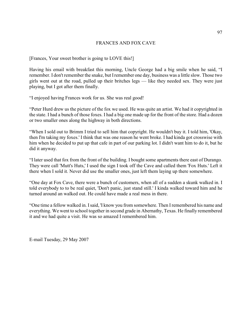# FRANCES AND FOX CAVE

[Frances, Your sweet brother is going to LOVE this!]

Having his email with breakfast this morning, Uncle George had a big smile when he said, "I remember. I don't remember the snake, but Iremember one day, business was a little slow. Those two girls went out at the road, pulled up their britches legs — like they needed sex. They were just playing, but I got after them finally.

"I enjoyed having Frances work for us. She was real good!

"Peter Hurd drew us the picture of the fox we used. He was quite an artist. We had it copyrighted in the state. I had a bunch of those foxes. I had a big one made up for the front of the store. Had a dozen or two smaller ones along the highway in both directions.

"When I sold out to Brimm I tried to sell him that copyright. He wouldn't buy it. I told him, 'Okay, then I'm taking my foxes.' I think that was one reason he went broke. I had kinda got crosswise with him when he decided to put up that cafe in part of our parking lot. I didn't want him to do it, but he did it anyway.

"I later used that fox from the front of the building. I bought some apartments there east of Durango. They were call 'Mutt's Huts,' I used the sign I took off the Cave and called them 'Fox Huts.' Left it there when I sold it. Never did use the smaller ones, just left them laying up there somewhere.

"One day at Fox Cave, there were a bunch of customers, when all of a sudden a skunk walked in. I told everybody to to be real quiet, 'Don't panic, just stand still.' I kinda walked toward him and he turned around an walked out. He could have made a real mess in there.

"One time a fellow walked in. I said, 'I know you from somewhere. Then I remembered his name and everything. We went to school together in second grade in Abernathy, Texas. He finally remembered it and we had quite a visit. He was so amazed I remembered him.

E-mail Tuesday, 29 May 2007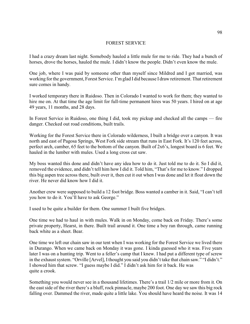#### FOREST SERVICE

I had a crazy dream last night. Somebody hauled a little mule for me to ride. They had a bunch of horses, drove the horses, hauled the mule. I didn't know the people. Didn't even know the mule.

One job, where I was paid by someone other than myself since Mildred and I got married, was working for the government, Forest Service. I'm glad I did because I draw retirement. That retirement sure comes in handy.

I worked temporary there in Ruidoso. Then in Colorado I wanted to work for them; they wanted to hire me on. At that time the age limit for full-time permanent hires was 50 years. I hired on at age 49 years, 11 months, and 28 days.

In Forest Service in Ruidoso, one thing I did, took my pickup and checked all the camps — fire danger. Checked out road conditions, built trails.

Working for the Forest Service there in Colorado wilderness, I built a bridge over a canyon. It was north and east of Pagosa Springs, West Fork side stream that runs in East Fork. It's 120 feet across, perfect arch, camber, 65 feet to the bottom of the canyon. Built of 2x6's, longest board is 6 feet. We hauled in the lumber with mules. Used a long cross cut saw.

My boss wanted this done and didn't have any idea how to do it. Just told me to do it. So I did it, removed the evidence, and didn't tell him how I did it. Told him, "That's for me to know." I dropped this big aspen tree across there, built over it, then cut it out when I was done and let it float down the river. He never did know how I did it.

Another crew were supposed to build a 12 foot bridge. Boss wanted a camber in it. Said, "I can't tell you how to do it. You'll have to ask George."

I used to be quite a builder for them. One summer I built five bridges.

One time we had to haul in with mules. Walk in on Monday, come back on Friday. There's some private property, Hearst, in there. Built trail around it. One time a boy ran through, came running back white as a sheet. Bear.

One time we left our chain saw in our tent when I was working for the Forest Service we lived there in Durango. When we came back on Monday it was gone. I kinda guessed who it was. Five years later I was on a hunting trip. Went to a feller's camp that I knew. I had put a different type of screw in the exhaust system. "Orville [Arvel], I thought you said you didn't take that chain saw." "I didn't." I showed him that screw. "I guess maybe I did." I didn't ask him for it back. He was quite a crook.

Something you would never see in a thousand lifetimes. There's a trail 1/2 mile or more from it. On the east side of the river there's a bluff, rock pinnacle, maybe 200 foot. One day we saw this big rock falling over. Dammed the river, made quite a little lake. You should have heard the noise. It was 14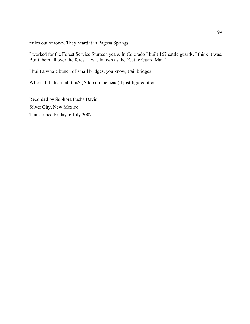miles out of town. They heard it in Pagosa Springs.

I worked for the Forest Service fourteen years. In Colorado I built 167 cattle guards, I think it was. Built them all over the forest. I was known as the 'Cattle Guard Man.'

I built a whole bunch of small bridges, you know, trail bridges.

Where did I learn all this? (A tap on the head) I just figured it out.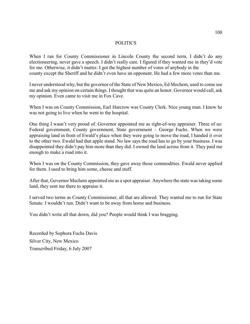#### POLITICS

When I ran for County Commissioner in Lincoln County the second term, I didn't do any electioneering, never gave a speech. I didn't really care. I figured if they wanted me in they'd vote for me. Otherwise, it didn't matter. I got the highest number of votes of anybody in the county except the Sheriff and he didn't even have an opponent. He had a few more votes than me.

I never understood why, but the governor of the State of New Mexico, Ed Mechem, used to come see me and ask my opinion on certain things. I thought that was quite an honor. Governor would call, ask my opinion. Even came to visit me in Fox Cave.

When I was on County Commission, Earl Harcrow was County Clerk. Nice young man. I knew he was not going to live when he went to the hospital.

One thing I wasn't very proud of. Governor appointed me as right-of-way appraiser. Three of us: Federal government, County government, State government – George Fuchs. When we were appraising land in front of Ewald's place when they were going to move the road, I handed it over to the other two. Ewald had that apple stand. No law says the road has to go by your business. I was disappointed they didn't pay him more than they did. I owned the land across from it. They paid me enough to make a road into it.

When I was on the County Commission, they gave away those commodities. Ewald never applied for them. I used to bring him some, cheese and stuff.

After that, Governor Mechem appointed me as a spot appraiser. Anywhere the state was taking some land, they sent me there to appraise it.

I served two terms as County Commissioner, all that are allowed. They wanted me to run for State Senate. I wouldn't run. Didn't want to be away from home and business.

You didn't write all that down, did you? People would think I was bragging.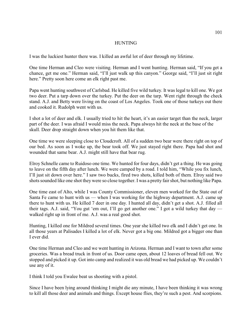#### **HUNTING**

I was the luckiest hunter there was. I killed an awful lot of deer through my lifetime.

One time Herman and Cleo were visiting. Herman and I went hunting. Herman said, "If you get a chance, get me one." Herman said, "I'll just walk up this canyon." George said, "I'll just sit right here." Pretty soon here come an elk right past me.

Papa went hunting southwest of Carlsbad. He killed five wild turkey. It was legal to kill one. We got two deer. Put a tarp down over the turkey. Put the deer on the tarp. Went right through the check stand. A.J. and Betty were living on the coast of Los Angeles. Took one of those turkeys out there and cooked it. Rudolph went with us.

I shot a lot of deer and elk. I usually tried to hit the heart, it's an easier target than the neck, larger part of the deer. I was afraid I would miss the neck. Papa always hit the neck at the base of the skull. Deer drop straight down when you hit them like that.

One time we were sleeping close to Cloudcroft. All of a sudden two bear were there right on top of our bed. As soon as I woke up, the bear took off. We just stayed right there. Papa had shot and wounded that same bear. A.J. might still have that bear rug.

Elroy Schnelle came to Ruidoso one time. We hunted for four days, didn't get a thing. He was going to leave on the fifth day after lunch. We were camped by a road. I told him, "While you fix lunch, I'll just sit down over here." I saw two bucks, fired two shots, killed both of them. Elroy said two shots sounded like one shot they were so close together. I was a pretty fair shot, but nothing like Papa.

One time east of Alto, while I was County Commissioner, eleven men worked for the State out of Santa Fe came to hunt with us — when I was working for the highway department. A.J. came up there to hunt with us. He killed 7 deer in one day. I hunted all day, didn't get a shot. A.J. filled all their tags. A.J. said, "You gut 'em out, I'll go get another one." I got a wild turkey that day walked right up in front of me. A.J. was a real good shot.

Hunting, I killed one for Mildred several times. One year she killed two elk and I didn't get one. In all those years at Palisades I killed a lot of elk. Never got a big one. Mildred got a bigger one than I ever did.

One time Herman and Cleo and we went hunting in Arizona. Herman and I want to town after some groceries. Was a bread truck in front of us. Door came open, about 12 loaves of bread fell out. We stopped and picked it up. Got into camp and realized it was old bread we had picked up. We couldn't use any of it.

I think I told you Ewalee beat us shooting with a pistol.

Since I have been lying around thinking I might die any minute, I have been thinking it was wrong to kill all those deer and animals and things. Except house flies, they're such a pest. And scorpions.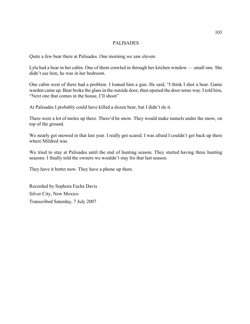# PALISADES

Quite a few bear there at Palisades. One morning we saw eleven.

Lyla had a bear in her cabin. One of them crawled in through her kitchen window — small one. She didn't see him, he was in her bedroom.

One cabin west of there had a problem. I loaned him a gun. He said, "I think I shot a bear. Game warden came up. Bear broke the glass in the outside door, then opened the doorsome way. I told him, "Next one that comes in the house, I'll shoot"

At Palisades I probably could have killed a dozen bear, but I didn't do it.

There were a lot of moles up there. There'd be snow. They would make tunnels under the snow, on top of the ground.

We nearly got snowed in that last year. I really got scared. I was afraid I couldn't get back up there where Mildred was.

We tried to stay at Palisades until the end of hunting season. They started having three hunting seasons. I finally told the owners we wouldn't stay for that last season.

They have it better now. They have a phone up there.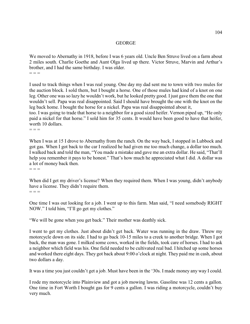#### GEORGE

We moved to Abernathy in 1918, before I was 6 years old. Uncle Ben Struve lived on a farm about 2 miles south. Charlie Goethe and Aunt Olga lived up there. Victor Struve, Marvin and Arthur's brother, and I had the same birthday. I was older.  $=$   $=$   $=$ 

I used to track things when I was real young. One day my dad sent me to town with two mules for the auction block. I sold them, but I bought a horse. One of those mules had kind of a knot on one leg. Other one was so lazy he wouldn't work, but he looked pretty good. I just gave them the one that wouldn't sell. Papa was real disappointed. Said I should have brought the one with the knot on the leg back home. I bought the horse for a nickel. Papa was real disappointed about it,

too. I was going to trade that horse to a neighbor for a good sized heifer. Vernon piped up, "He only paid a nickel for that horse." I sold him for 35 cents. It would have been good to have that heifer, worth 10 dollars.

 $=$   $=$ 

When I was at 15 I drove to Abernathy from the ranch. On the way back, I stopped in Lubbock and got gas. When I got back to the car I realized he had given me too much change, a dollar too much. I walked back and told the man, "You made a mistake and gave me an extra dollar. He said, "That'll help you remember it pays to be honest." That's how much he appreciated what I did. A dollar was a lot of money back then.  $=$   $=$   $=$ 

When did I get my driver's license? When they required them. When I was young, didn't anybody have a license. They didn't require them.  $=$   $=$ 

One time I was out looking for a job. I went up to this farm. Man said, "I need somebody RIGHT NOW." I told him, "I'll go get my clothes."

"We will be gone when you get back." Their mother was deathly sick.

I went to get my clothes. Just about didn't get back. Water was running in the draw. Threw my motorcycle down on its side. I had to go back 10-15 miles to a creek to another bridge. When I got back, the man was gone. I milked some cows, worked in the fields, took care of horses. I had to ask a neighbor which field was his. One field needed to be cultivated real bad. I hitched up some horses and worked there eight days. They got back about 9:00 o'clock at night. They paid me in cash, about two dollars a day.

It was a time you just couldn't get a job. Must have been in the '30s. I made money any way I could.

I rode my motorcycle into Plainview and got a job mowing lawns. Gasoline was 12 cents a gallon. One time in Fort Worth I bought gas for 9 cents a gallon. I was riding a motorcycle, couldn't buy very much.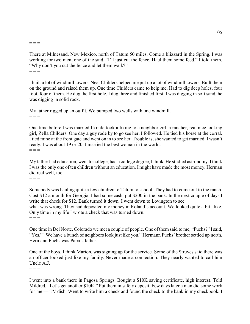#### $=$   $=$

There at Milnesand, New Mexico, north of Tatum 50 miles. Come a blizzard in the Spring. I was working for two men, one of the said, "I'll just cut the fence. Haul them some feed." I told them, "Why don't you cut the fence and let them walk?"  $=$   $=$   $=$ 

I built a lot of windmill towers. Neal Childers helped me put up a lot of windmill towers. Built them on the ground and raised them up. One time Childers came to help me. Had to dig deep holes, four foot, four of them. He dug the first hole. I dug three and finished first. I was digging in soft sand, he was digging in solid rock.

My father rigged up an outfit. We pumped two wells with one windmill.  $=$   $=$ 

One time before I was married I kinda took a liking to a neighbor girl, a rancher, real nice looking girl, Zella Childers. One day a guy rode by to go see her. I followed. He tied his horse at the corral. I tied mine at the front gate and went on in to see her. Trouble is, she wanted to get married. I wasn't ready. I was about 19 or 20. I married the best woman in the world.  $=$   $=$ 

My father had education, went to college, had a college degree, Ithink. He studied astronomy. I think I was the only one of ten children without an education. I might have made the most money. Herman did real well, too.

 $=$   $=$ 

Somebody was hauling quite a few children to Tatum to school. They had to come out to the ranch. Cost \$12 a month for Georgia. I had some cash, put \$200 in the bank. In the next couple of days I write that check for \$12. Bank turned it down. I went down to Lovington to see what was wrong. They had deposited my money in Roland's account. We looked quite a bit alike. Only time in my life I wrote a check that was turned down.  $=$   $=$ 

One time in Del Norte, Colorado we met a couple of people. One of them said to me, "Fuchs?" I said, "Yes." "We have a bunch of neighbors look just like you." Hermann Fuchs' brother settled up north. Hermann Fuchs was Papa's father.

One of the boys, I think Marion, was signing up for the service. Some of the Struves said there was an officer looked just like my family. Never made a connection. They nearly wanted to call him Uncle A.J.

 $- - -$ 

I went into a bank there in Pagosa Springs. Bought a \$10K saving certificate, high interest. Told Mildred, "Let's get another \$10K." Put them in safety deposit. Few days later a man did some work for me — TV dish. Went to write him a check and found the check to the bank in my checkbook. I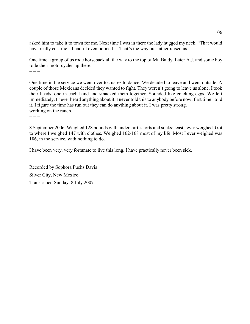asked him to take it to town for me. Next time I was in there the lady hugged my neck, "That would have really cost me." I hadn't even noticed it. That's the way our father raised us.

One time a group of us rode horseback all the way to the top of Mt. Baldy. Later A.J. and some boy rode their motorcycles up there.  $=$   $=$   $=$ 

One time in the service we went over to Juarez to dance. We decided to leave and went outside. A couple of those Mexicans decided they wanted to fight. They weren't going to leave us alone. I took their heads, one in each hand and smacked them together. Sounded like cracking eggs. We left immediately. I never heard anything about it. I never told this to anybody before now; first time I told it. I figure the time has run out they can do anything about it. I was pretty strong, working on the ranch.

 $=$   $=$ 

8 September 2006. Weighed 128 pounds with undershirt, shorts and socks; least I ever weighed. Got to where I weighed 147 with clothes. Weighed 162-168 most of my life. Most I ever weighed was 186, in the service, with nothing to do.

I have been very, very fortunate to live this long. I have practically never been sick.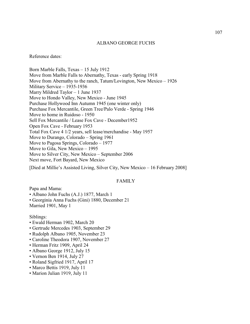#### ALBANO GEORGE FUCHS

Reference dates:

Born Marble Falls, Texas – 15 July 1912 Move from Marble Falls to Abernathy, Texas - early Spring 1918 Move from Abernathy to the ranch, Tatum/Lovington, New Mexico – 1926 Military Service – 1935-1936 Marry Mildred Taylor – 1 June 1937 Move to Hondo Valley, New Mexico - June 1945 Purchase Hollywood Inn Autumn 1945 (one winter only) Purchase Fox Mercantile, Green Tree/Palo Verde - Spring 1946 Move to home in Ruidoso - 1950 Sell Fox Mercantile / Lease Fox Cave - December1952 Open Fox Cave - February 1953 Total Fox Cave 4 1/2 years, sell lease/merchandise - May 1957 Move to Durango, Colorado – Spring 1961 Move to Pagosa Springs, Colorado – 1977 Move to Gila, New Mexico – 1995 Move to Silver City, New Mexico – September 2006 Next move, Fort Bayard, New Mexico

[Died at Millie's Assisted Living, Silver City, New Mexico – 16 February 2008]

#### FAMILY

Papa and Mama:

• Albano John Fuchs (A.J.) 1877, March 1

• Georginia Anna Fuchs (Gini) 1880, December 21 Married 1901, May 1

Siblings:

- Ewald Herman 1902, March 20
- Gertrude Mercedes 1903, September 29
- Rudolph Albano 1905, November 23
- Caroline Theodora 1907, November 27
- Herman Fritz 1909, April 24
- Albano George 1912, July 15
- Vernon Ben 1914, July 27
- Roland Sigfried 1917, April 17
- Marco Bettis 1919, July 11
- Marion Julian 1919, July 11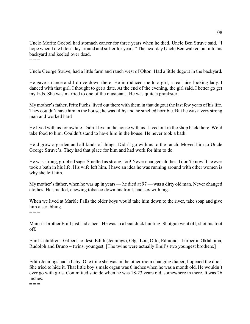Uncle Moritz Goebel had stomach cancer for three years when he died. Uncle Ben Struve said, "I hope when I die I don't lay around and suffer for years." The next day Uncle Ben walked out into his backyard and keeled over dead.  $=$   $=$ 

Uncle George Struve, had a little farm and ranch west of Olton. Had a little dugout in the backyard.

He gave a dance and I drove down there. He introduced me to a girl, a real nice looking lady. I danced with that girl. I thought to get a date. At the end of the evening, the girl said, I better go get my kids. She was married to one of the musicians. He was quite a prankster.

My mother's father, Fritz Fuchs, lived out there with them in that dugout the last few years of his life. They couldn't have him in the house; he was filthy and he smelled horrible. But he was a very strong man and worked hard

He lived with us for awhile. Didn't live in the house with us. Lived out in the shop back there. We'd take food to him. Couldn't stand to have him in the house. He never took a bath.

He'd grow a garden and all kinds of things. Didn't go with us to the ranch. Moved him to Uncle George Struve's. They had that place for him and had work for him to do.

He was strong, grubbed sage. Smelled as strong, too! Never changed clothes. I don't know if he ever took a bath in his life. His wife left him. I have an idea he was running around with other women is why she left him.

My mother's father, when he was up in years — he died at 97 — was a dirty old man. Never changed clothes. He smelled, chewing tobacco down his front, had sex with pigs.

When we lived at Marble Falls the older boys would take him down to the river, take soap and give him a scrubbing.

 $=$   $=$ 

Mama's brother Emil just had a heel. He was in a boat duck hunting. Shotgun went off, shot his foot off.

Emil's children: Gilbert - oldest, Edith (Jennings), Olga Lou, Otto, Edmond – barber in Oklahoma, Rudolph and Bruno – twins, youngest. [The twins were actually Emil's two youngest brothers.]

Edith Jennings had a baby. One time she was in the other room changing diaper, I opened the door. She tried to hide it. That little boy's male organ was 6 inches when he was a month old. He wouldn't ever go with girls. Committed suicide when he was 18-23 years old, somewhere in there. It was 26 inches.

 $=$   $=$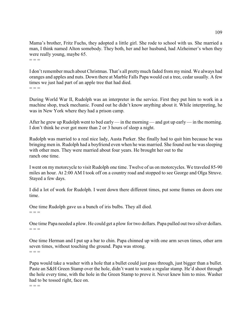Mama's brother, Fritz Fuchs, they adopted a little girl. She rode to school with us. She married a man, I think named Alton somebody. They both, her and her husband, had Alzheimer's when they were really young, maybe 65.  $=$   $=$ 

I don't remember much about Christmas. That's all pretty much faded from my mind. We always had oranges and apples and nuts. Down there at Marble Falls Papa would cut a tree, cedar usually. A few times we just had part of an apple tree that had died.  $=$   $=$ 

During World War II, Rudolph was an interpreter in the service. First they put him to work in a machine shop, truck mechanic. Found out he didn't know anything about it. While interpreting, he was in New York where they had a prison camp.

After he grew up Rudolph went to bed early — in the morning — and got up early— in the morning. I don't think he ever got more than 2 or 3 hours of sleep a night.

Rudolph was married to a real nice lady, Austa Parker. She finally had to quit him because he was bringing men in. Rudolph had a boyfriend even when he was married. She found out he was sleeping with other men. They were married about four years. He brought her out to the ranch one time.

I went on my motorcycle to visit Rudolph one time. Twelve of us on motorcycles. We traveled 85-90 miles an hour. At 2:00 AM I took off on a country road and stopped to see George and Olga Struve. Stayed a few days.

I did a lot of work for Rudolph. I went down there different times, put some frames on doors one time.

One time Rudolph gave us a bunch of iris bulbs. They all died.  $=$   $=$   $=$ 

One time Papa needed a plow. He could get a plow for two dollars. Papa pulled out two silver dollars.  $=$   $=$   $=$ 

One time Herman and I put up a bar to chin. Papa chinned up with one arm seven times, other arm seven times, without touching the ground. Papa was strong.  $=$   $=$ 

Papa would take a washer with a hole that a bullet could just pass through, just bigger than a bullet. Paste an S&H Green Stamp over the hole, didn't want to waste a regular stamp. He'd shoot through the hole every time, with the hole in the Green Stamp to prove it. Never knew him to miss. Washer had to be tossed right, face on.

 $=$   $=$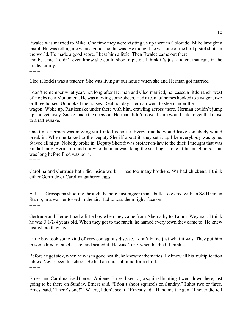Ewalee was married to Mike. One time they were visiting us up there in Colorado. Mike brought a pistol. He was telling me what a good shot he was. He thought he was one of the best pistol shots in the world. He made a good score. I beat him a little. Then Ewalee came out there and beat me. I didn't even know she could shoot a pistol. I think it's just a talent that runs in the Fuchs family.

 $=$   $=$   $=$ 

Cleo (Heidel) was a teacher. She was living at our house when she and Herman got married.

I don't remember what year, not long after Herman and Cleo married, he leased a little ranch west of Hobbs near Monument. He was moving some sheep. Had a team of horses hooked to a wagon, two or three horses. Unhooked the horses. Real hot day. Herman went to sleep under the wagon. Woke up. Rattlesnake under there with him, crawling across there. Herman couldn't jump up and get away. Snake made the decision. Herman didn't move. I sure would hate to get that close to a rattlesnake.

One time Herman was moving stuff into his house. Every time he would leave somebody would break in. When he talked to the Deputy Sheriff about it, they set it up like everybody was gone. Stayed all night. Nobody broke in. Deputy Sheriff was brother-in-law to the thief. I thought that was kinda funny. Herman found out who the man was doing the stealing — one of his neighbors. This was long before Fred was born.

 $=$   $=$   $=$ 

Carolina and Gertrude both did inside work — had too many brothers. We had chickens. I think either Gertrude or Carolina gathered eggs.  $=$   $=$ 

A.J. — Grosspapa shooting through the hole, just bigger than a bullet, covered with an S&H Green Stamp, in a washer tossed in the air. Had to toss them right, face on.  $=$   $=$ 

Gertrude and Herbert had a little boy when they came from Abernathy to Tatum. Weyman. I think he was 3 1/2-4 years old. When they got to the ranch, he named every town they came to. He knew just where they lay.

Little boy took some kind of very contagious disease. I don't know just what it was. They put him in some kind of steel casket and sealed it. He was 4 or 5 when he died, I think 4.

Before he got sick, when he was in good health, he knew mathematics. He knew all his multiplication tables. Never been to school. He had an unusual mind for a child.  $=$   $=$ 

Ernest and Carolina lived there at Abilene. Ernest liked to go squirrel hunting. I went down there, just going to be there on Sunday. Ernest said, "I don't shoot squirrels on Sunday." I shot two or three. Ernest said, "There's one!" "Where, I don't see it." Ernest said, "Hand me the gun." I never did tell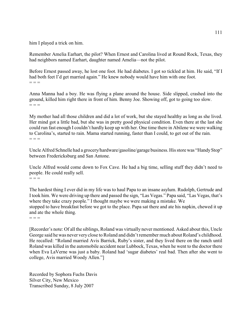him I played a trick on him.

Remember Amelia Earhart, the pilot? When Ernest and Carolina lived at Round Rock, Texas, they had neighbors named Earhart, daughter named Amelia—not the pilot.

Before Ernest passed away, he lost one foot. He had diabetes. I got so tickled at him. He said, "If I had both feet I'd get married again." He knew nobody would have him with one foot.  $=$   $=$ 

Anna Manna had a boy. He was flying a plane around the house. Side slipped, crashed into the ground, killed him right there in front of him. Benny Joe. Showing off, got to going too slow.  $=$   $=$ 

My mother had all those children and did a lot of work, but she stayed healthy as long as she lived. Her mind got a little bad, but she was in pretty good physical condition. Even there at the last she could run fast enough I couldn't hardly keep up with her. One time there in Abilene we were walking to Carolina's, started to rain. Mama started running, faster than I could, to get out of the rain.  $=$   $=$ 

Uncle Alfred Schnelle had a grocery/hardware/gasoline/garage business. His store was "Handy Stop" between Fredericksburg and San Antone.

Uncle Alfred would come down to Fox Cave. He had a big time, selling stuff they didn't need to people. He could really sell.  $=$   $=$ 

The hardest thing I ever did in my life was to haul Papa to an insane asylum. Rudolph, Gertrude and I took him. We were driving up there and passed the sign, "Las Vegas." Papa said, "Las Vegas, that's where they take crazy people." I thought maybe we were making a mistake. We stopped to have breakfast before we got to the place. Papa sat there and ate his napkin, chewed it up and ate the whole thing.

 $=$   $=$ 

[Recorder's note: Of all the siblings, Roland was virtually never mentioned. Asked about this, Uncle George said he was never very close to Roland and didn't remember much about Roland's childhood. He recalled: "Roland married Avis Barrick, Ruby's sister, and they lived there on the ranch until Roland was killed in the automobile accident near Lubbock, Texas, when he went to the doctor there when Eva LaVerne was just a baby. Roland had 'sugar diabetes' real bad. Then after she went to college, Avis married Woody Allen."]

Recorded by Sophora Fuchs Davis Silver City, New Mexico Transcribed Sunday, 8 July 2007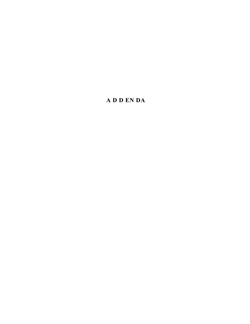# **A D D EN DA**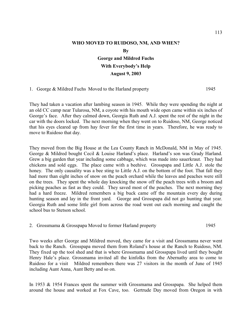## **WHO MOVED TO RUIDOSO, NM, AND WHEN? By George and Mildred Fuchs With Everybody's Help**

#### **August 9, 2003**

1. George & Mildred Fuchs Moved to the Harland property 1945

They had taken a vacation after lambing season in 1945. While they were spending the night at an old CC camp near Tularosa, NM, a coyote with his mouth wide open came within six inches of George's face. After they calmed down, Georgia Ruth and A.J. spent the rest of the night in the car with the doors locked. The next morning when they went on to Ruidoso, NM, George noticed that his eyes cleared up from hay fever for the first time in years. Therefore, he was ready to move to Ruidoso that day.

They moved from the Big House at the Lea County Ranch in McDonald, NM in May of 1945. George & Mildred bought Cecil & Louise Harland's place. Harland's son was Grady Harland. Grew a big garden that year including some cabbage, which was made into sauerkraut. They had chickens and sold eggs. The place came with a beehive. Grosspapa and Little A.J. stole the honey. The only causality was a bee sting to Little A.J. on the bottom of the foot. That fall they had more than eight inches of snow on the peach orchard while the leaves and peaches were still on the trees. They spent the whole day knocking the snow off the peach trees with a broom and picking peaches as fast as they could. They saved most of the peaches. The next morning they had a hard freeze. Mildred remembers a big buck came off the mountain every day during hunting season and lay in the front yard. George and Grosspapa did not go hunting that year. Georgia Ruth and some little girl from across the road went out each morning and caught the school bus to Stetson school.

|  |  | 2. Grossmama & Grosspapa Moved to former Harland property | 1945 |
|--|--|-----------------------------------------------------------|------|
|  |  |                                                           |      |

Two weeks after George and Mildred moved, they came for a visit and Grossmama never went back to the Ranch. Grosspapa moved them from Roland's house at the Ranch to Ruidoso, NM. They fixed up the tool shed and that is where Grossmama and Grosspapa lived until they bought Henry Hale's place. Grossmama invited all the kinfolks from the Abernathy area to come to Ruidoso for a visit Mildred remembers there was 27 visitors in the month of June of 1945 including Aunt Anna, Aunt Betty and so on.

In 1953 & 1954 Frances spent the summer with Grossmama and Grosspapa. She helped them around the house and worked at Fox Cave, too. Gertrude Day moved from Oregon in with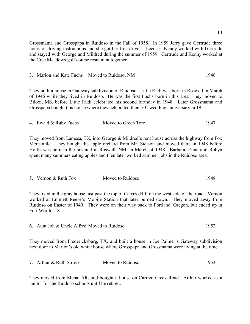Grossmama and Grosspapa in Ruidoso in the Fall of 1958. In 1959 Jerry gave Gertrude three hours of driving instructions and she got her first driver's license. Kenny worked with Gertrude and stayed with George and Mildred during the summer of 1959. Gertrude and Kenny worked at the Cree Meadows golf course restaurant together.

3. Marion and Kate Fuchs Moved to Ruidoso, NM 1946

They built a house in Gateway subdivision of Ruidoso. Little Rudi was born in Roswell in March of 1946 while they lived in Ruidoso. He was the first Fuchs born in this area. They moved to Biloxi, MS, before Little Rudi celebrated his second birthday in 1948. Later Grossmama and Grosspapa bought this house where they celebrated their  $50<sup>th</sup>$  wedding anniversary in 1951.

| 4. Ewald & Ruby Fuchs | Moved to Green Tree | 1947 |
|-----------------------|---------------------|------|
|                       |                     |      |

They moved from Lamesa, TX, into George & Mildred's rent house across the highway from Fox Mercantile. They bought the apple orchard from Mr. Stetson and moved there in 1948 before Hollis was born in the hospital in Roswell, NM, in March of 1948. Barbara, Dana and Robyn spent many summers eating apples and then later worked summer jobs in the Ruidoso area.

| 5. Vernon & Ruth Fox | Moved to Ruidoso | 1948 |
|----------------------|------------------|------|
|                      |                  |      |

They lived in the gray house just past the top of Carrizo Hill on the west side of the road. Vernon worked at Emmett Reese's Mobile Station that later burned down. They moved away from Ruidoso on Easter of 1949. They were on their way back to Portland, Oregon, but ended up in Fort Worth, TX.

|  | 6. Aunt Joh & Uncle Alfred Moved to Ruidoso |  |
|--|---------------------------------------------|--|
|--|---------------------------------------------|--|

They moved from Fredericksburg, TX, and built a house in Joe Palmer's Gateway subdivision next door to Marion's old white house where Grosspapa and Grossmama were living at the time.

| 7. Arthur & Ruth Struve | Moved to Ruidoso | 1953 |
|-------------------------|------------------|------|
|                         |                  |      |

They moved from Mena, AR, and bought a house on Carrizo Creek Road. Arthur worked as a janitor for the Ruidoso schools until he retired.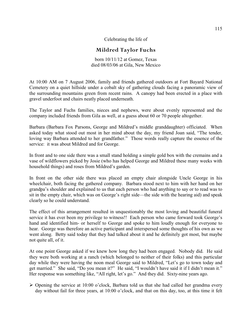Celebrating the life of

### **Mildred Taylor Fuchs**

born 10/11/12 at Gomez, Texas died 08/03/06 at Gila, New Mexico

At 10:00 AM on 7 August 2006, family and friends gathered outdoors at Fort Bayard National Cemetery on a quiet hillside under a cobalt sky of gathering clouds facing a panoramic view of the surrounding mountains green from recent rains. A canopy had been erected in a place with gravel underfoot and chairs neatly placed underneath.

The Taylor and Fuchs families, nieces and nephews, were about evenly represented and the company included friends from Gila as well, at a guess about 60 or 70 people altogether.

Barbara (Barbara Fox Parsons, George and Mildred's middle granddaughter) officiated. When asked today what stood out most in her mind about the day, my friend Joan said, "The tender, loving way Barbara attended to her grandfather." Those words really capture the essence of the service: it was about Mildred and for George.

In front and to one side there was a small stand holding a simple gold box with the cremains and a vase of wildflowers picked by Josie (who has helped George and Mildred these many weeks with household things) and roses from Mildred's garden.

In front on the other side there was placed an empty chair alongside Uncle George in his wheelchair, both facing the gathered company. Barbara stood next to him with her hand on her grandpa's shoulder and explained to us that each person who had anything to say or to read was to sit in the empty chair, which was on George's right side—the side with the hearing aid) and speak clearly so he could understand.

The effect of this arrangement resulted in unquestionably the most loving and beautiful funeral service it has ever been my privilege to witness!! Each person who came forward took George's hand and identified him- or herself to George and spoke to him loudly enough for everyone to hear. George was therefore an active participant and interspersed some thoughts of his own as we went along. Betty said today that they had talked about it and he definitely got most, but maybe not quite all, of it.

At one point George asked if we knew how long they had been engaged. Nobody did. He said they were both working at a ranch (which belonged to neither of their folks) and this particular day while they were having the noon meal George said to Mildred, "Let's go to town today and get married." She said, "Do you mean it?" He said, "I wouldn't have said it if I didn't mean it." Her response was something like, "All right, let's go." And they did. Sixty-nine years ago.

 $\triangleright$  Opening the service at 10:00 o'clock, Barbara told us that she had called her grandma every day without fail for three years, at 10:00 o'clock, and that on this day, too, at this time it felt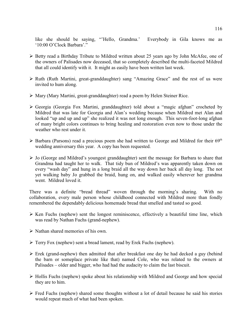like she should be saying, "'Hello, Grandma.' Everybody in Gila knows me as '10:00 O'Clock Barbara'."

- Ø Betty read a Birthday Tribute to Mildred written about 25 years ago by John McAfee, one of the owners of Palisades now deceased, that so completely described the multi-faceted Mildred that all could identify with it. It might as easily have been written last week.
- Ø Ruth (Ruth Martini, great-granddaughter) sang "Amazing Grace" and the rest of us were invited to hum along.
- Ø Mary (Mary Martini, great-granddaughter) read a poem by Helen Steiner Rice.
- Ø Georgia (Georgia Fox Martini, granddaughter) told about a "magic afghan" crocheted by Mildred that was late for Georgia and Alan's wedding because when Mildred met Alan and looked "up and up and up" she realized it was not long enough. This seven-foot-long afghan of many bright colors continues to bring healing and restoration even now to those under the weather who rest under it.
- $\triangleright$  Barbara (Parsons) read a precious poem she had written to George and Mildred for their 69<sup>th</sup> wedding anniversary this year. A copy has been requested.
- $\triangleright$  Jo (George and Mildred's youngest granddaughter) sent the message for Barbara to share that Grandma had taught her to walk. That tidy bun of Mildred's was apparently taken down on every "wash day" and hung in a long braid all the way down her back all day long. The not yet walking baby Jo grabbed the braid, hung on, and walked easily wherever her grandma went. Mildred loved it.

There was a definite "bread thread" woven through the morning's sharing. With no collaboration, every male person whose childhood connected with Mildred more than fondly remembered the dependably delicious homemade bread that smelled and tasted so good.

- $\triangleright$  Ken Fuchs (nephew) sent the longest reminiscence, effectively a beautiful time line, which was read by Nathan Fuchs (grand-nephew).
- $\triangleright$  Nathan shared memories of his own.
- $\triangleright$  Terry Fox (nephew) sent a bread lament, read by Erek Fuchs (nephew).
- $\triangleright$  Erek (grand-nephew) then admitted that after breakfast one day he had decked a guy (behind the barn or someplace private like that) named Cole, who was related to the owners at Palisades – older and bigger, who had had the audacity to claim the last biscuit.
- $\triangleright$  Hollis Fuchs (nephew) spoke about his relationship with Mildred and George and how special they are to him.
- $\triangleright$  Fred Fuchs (nephew) shared some thoughts without a lot of detail because he said his stories would repeat much of what had been spoken.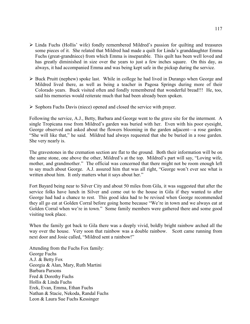- Ø Linda Fuchs (Hollis' wife) fondly remembered Mildred's passion for quilting and treasures some pieces of it. She related that Mildred had made a quilt for Linda's granddaughter Emma Fuchs (great-grandniece) from which Emma is inseparable. This quilt has been well loved and has greatly diminished in size over the years to just a few inches square. On this day, as always, it had accompanied Emma and was being kept safe in the pickup during the service.
- $\triangleright$  Buck Pruitt (nephew) spoke last. While in college he had lived in Durango when George and Mildred lived there, as well as being a teacher in Pagosa Springs during more of their Colorado years. Buck visited often and fondly remembered that wonderful bread!!! He, too, said his memories would reiterate much that had been already been spoken.
- $\triangleright$  Sophora Fuchs Davis (niece) opened and closed the service with prayer.

Following the service, A.J., Betty, Barbara and George went to the grave site for the interment. A single Tropicana rose from Mildred's garden was buried with her. Even with his poor eyesight, George observed and asked about the flowers blooming in the garden adjacent—a rose garden. "She will like that," he said. Mildred had always requested that she be buried in a rose garden. She very nearly is.

The gravestones in the cremation section are flat to the ground. Both their information will be on the same stone, one above the other, Mildred's at the top. Mildred's part will say, "Loving wife, mother, and grandmother." The official was concerned that there might not be room enough left to say much about George. A.J. assured him that was all right, "George won't ever see what is written about him. It only matters what it says about her."

Fort Bayard being near to Silver City and about 50 miles from Gila, it was suggested that after the service folks have lunch in Silver and come out to the house in Gila if they wanted to after George had had a chance to rest. This good idea had to be revised when George recommended they all go eat at Golden Corral before going home because "We're in town and we always eat at Golden Corral when we're in town." Some family members were gathered there and some good visiting took place.

When the family got back to Gila there was a deeply vivid, boldly bright rainbow arched all the way over the house. Very soon that rainbow was a double rainbow. Scott came running from next door and Josie called, "Mildred sent a rainbow!"

Attending from the Fuchs Fox family: George Fuchs A.J. & Betty Fox Georgia & Alan, Mary, Ruth Martini Barbara Parsons Fred & Dorothy Fuchs Hollis & Linda Fuchs Erek, Evan, Emma, Ethan Fuchs Nathan & Stacie, Nekoda, Randal Fuchs Leon & Laura Sue Fuchs Kessinger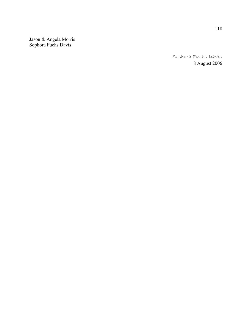Jason & Angela Morris Sophora Fuchs Davis

> Sophora Fuchs Davís 8 August 2006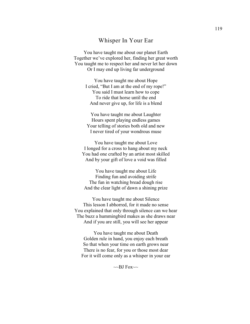### Whisper In Your Ear

You have taught me about our planet Earth Together we've explored her, finding her great worth You taught me to respect her and never let her down Or I may end up living far underground

> You have taught me about Hope I cried, "But I am at the end of my rope!" You said I must learn how to cope To ride that horse until the end And never give up, for life is a blend

You have taught me about Laughter Hours spent playing endless games Your telling of stories both old and new I never tired of your wondrous muse

You have taught me about Love I longed for a cross to hang about my neck You had one crafted by an artist most skilled And by your gift of love a void was filled

You have taught me about Life Finding fun and avoiding strife The fun in watching bread dough rise And the clear light of dawn a shining prize

You have taught me about Silence This lesson I abhorred, for it made no sense You explained that only through silence can we hear The buzz a hummingbird makes as she draws near And if you are still, you will see her appear

You have taught me about Death Golden rule in hand, you enjoy each breath So that when your time on earth grows near There is no fear, for you or those most dear For it will come only as a whisper in your ear

 $\sim$ BJ Fox $\sim$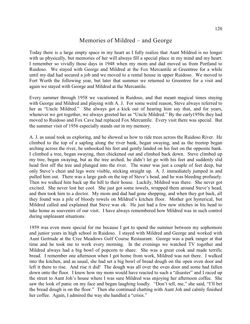## Memories of Mildred – and George

Today there is a large empty space in my heart as I fully realize that Aunt Mildred is no longer with us physically, but memories of her will always fill a special place in my mind and my heart. I remember so vividly those days in 1948 when my mom and dad moved us from Portland to Ruidoso. We stayed with George and Mildred at the Fox Mercantile at Greentree for a while until my dad had secured a job and we moved to a rental house in upper Ruidoso. We moved to Fort Worth the following year, but later that summer we returned to Greentree for a visit and again we stayed with George and Mildred at the Mercantile.

Every summer through 1958 we vacationed in Ruidoso, and that meant magical times staying with George and Mildred and playing with A. J. For some weird reason, Steve always referred to her as "Uncle Mildred." She always got a kick out of hearing him say that, and for years, whenever we got together, we always greeted her as "Uncle Mildred." By the early1950s they had moved to Ruidoso and Fox Cave had replaced Fox Mercantile. Every visit there was special. But the summer visit of 1956 especially stands out in my memory.

A. J. as usual took us exploring, and he showed us how to ride trees across the Ruidoso River. He climbed to the top of a sapling along the river bank, began swaying, and as the treetop began arching across the river, he unhooked his feet and gently landed on his feet on the opposite bank. I climbed a tree, began swaying, then chickened out and climbed back down. Steve climbed up my tree, began swaying, but as the tree arched, he didn't let go with his feet and suddenly slid head first off the tree and plunged into the river. The water was just a couple of feet deep, but only Steve's chest and legs were visible, sticking straight up. A. J. immediately jumped in and pulled him out. There was a large gash on the top of Steve's head, and he was bleeding profusely. Then we walked him back up the hill to their house. Luckily, Mildred was there. She never got excited. She never lost her cool. She just got some towels, wrapped them around Steve's head, and then took him to a doctor. My mom and dad had gone shopping, and when they got back, all they found was a pile of bloody towels on Mildred's kitchen floor. Mother got hysterical, but Mildred called and explained that Steve was ok. He just had a few new stitches in his head to take home as souvenirs of our visit. I have always remembered how Mildred was in such control during unpleasant situations.

1959 was even more special for me because I got to spend the summer between my sophomore and junior years in high school in Ruidoso. I stayed with Mildred and George and worked with Aunt Gertrude at the Cree Meadows Golf Course Restaurant. George was a park ranger at that time and he took me to work every morning. In the evenings we watched TV together and Mildred always had a big bowl of popcorn to share. She was a great cook and made terrific bread. I remember one afternoon when I got home from work, Mildred was not there. I walked into the kitchen, and as usual, she had set a big bowl of bread dough on the open oven door and left it there to rise. And rise it did! The dough was all over the oven door and some had fallen down onto the floor. I knew how my mom would have reacted to such a "disaster" and I raced up the street to Aunt Joh's house where I was sure Mildred was enjoying her afternoon coffee. She saw the look of panic on my face and began laughing loudly. "Don't tell, me," she said, "I'll bet the bread dough is on the floor." Then she continued chatting with Aunt Joh and calmly finished her coffee. Again, I admired the way she handled a "crisis."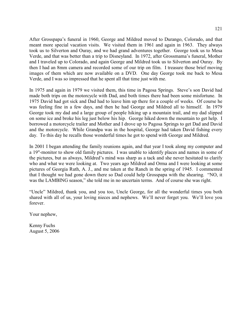After Grosspapa's funeral in 1960, George and Mildred moved to Durango, Colorado, and that meant more special vacation visits. We visited them in 1961 and again in 1963. They always took us to Silverton and Ouray, and we had grand adventures together. George took us to Mesa Verde, and that was better than a trip to Disneyland. In 1972, after Grossmama's funeral, Mother and I traveled up to Colorado, and again George and Mildred took us to Silverton and Ouray. By then I had an 8mm camera and recorded some of our trip on film. I treasure those brief moving images of them which are now available on a DVD. One day George took me back to Mesa Verde, and I was so impressed that he spent all that time just with me.

In 1975 and again in 1979 we visited them, this time in Pagosa Springs. Steve's son David had made both trips on the motorcycle with Dad, and both times there had been some misfortune. In 1975 David had got sick and Dad had to leave him up there for a couple of weeks. Of course he was feeling fine in a few days, and then he had George and Mildred all to himself. In 1979 George took my dad and a large group of people hiking up a mountain trail, and my dad slipped on some ice and broke his leg just below his hip. George hiked down the mountain to get help. I borrowed a motorcycle trailer and Mother and I drove up to Pagosa Springs to get Dad and David and the motorcycle. While Grandpa was in the hospital, George had taken David fishing every day. To this day he recalls those wonderful times he got to spend with George and Mildred.

In 2001 I began attending the family reunions again, and that year I took along my computer and a 19"-monitor to show old family pictures. I was unable to identify places and names in some of the pictures, but as always, Mildred's mind was sharp as a tack and she never hesitated to clarify who and what we were looking at. Two years ago Mildred and Orma and I were looking at some pictures of Georgia Ruth, A. J., and me taken at the Ranch in the spring of 1945. I commented that I thought we had gone down there so Dad could help Grosspapa with the shearing. "NO, it was the LAMBING season," she told me in no uncertain terms. And of course she was right.

"Uncle" Mildred, thank you, and you too, Uncle George, for all the wonderful times you both shared with all of us, your loving nieces and nephews. We'll never forget you. We'll love you forever.

Your nephew,

Kenny Fuchs August 5, 2006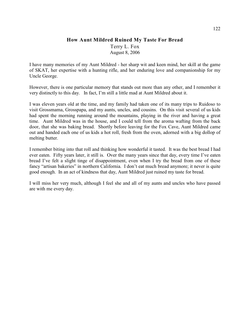### **How Aunt Mildred Ruined My Taste For Bread**

Terry L. Fox August 8, 2006

I have many memories of my Aunt Mildred - her sharp wit and keen mind, her skill at the game of SKAT, her expertise with a hunting rifle, and her enduring love and companionship for my Uncle George.

However, there is one particular memory that stands out more than any other, and I remember it very distinctly to this day. In fact, I'm still a little mad at Aunt Mildred about it.

I was eleven years old at the time, and my family had taken one of its many trips to Ruidoso to visit Grossmama, Grosspapa, and my aunts, uncles, and cousins. On this visit several of us kids had spent the morning running around the mountains, playing in the river and having a great time. Aunt Mildred was in the house, and I could tell from the aroma wafting from the back door, that she was baking bread. Shortly before leaving for the Fox Cave, Aunt Mildred came out and handed each one of us kids a hot roll, fresh from the oven, adorned with a big dollop of melting butter.

I remember biting into that roll and thinking how wonderful it tasted. It was the best bread I had ever eaten. Fifty years later, it still is. Over the many years since that day, every time I've eaten bread I've felt a slight tinge of disappointment, even when I try the bread from one of these fancy "artisan bakeries" in northern California. I don't eat much bread anymore; it never is quite good enough. In an act of kindness that day, Aunt Mildred just ruined my taste for bread.

I will miss her very much, although I feel she and all of my aunts and uncles who have passed are with me every day.